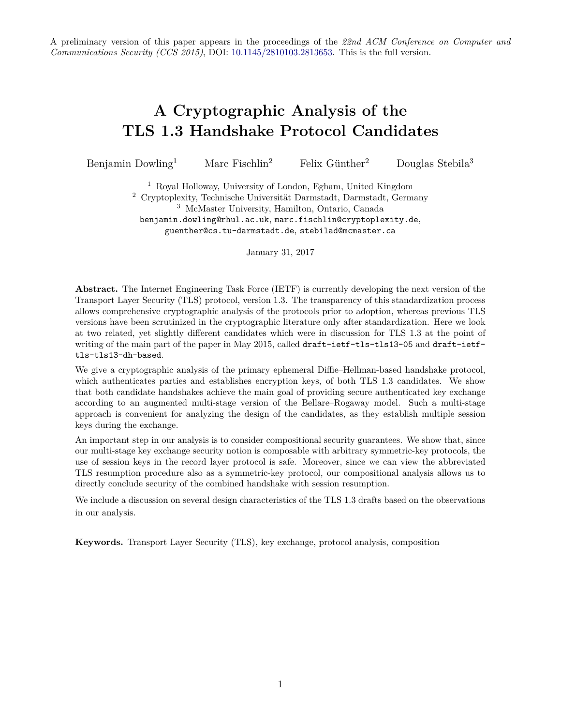A preliminary version of this paper appears in the proceedings of the *22nd ACM Conference on Computer and Communications Security (CCS 2015)*, DOI: [10.1145/2810103.2813653.](http://dx.doi.org/10.1145/2810103.2813653) This is the full version.

# **A Cryptographic Analysis of the TLS 1.3 Handshake Protocol Candidates**

Benjamin Dowling<sup>1</sup> Marc Fischlin<sup>2</sup> Felix Günther<sup>2</sup> Douglas Stebila<sup>3</sup>

<sup>1</sup> Royal Holloway, University of London, Egham, United Kingdom <sup>2</sup> Cryptoplexity, Technische Universität Darmstadt, Darmstadt, Germany <sup>3</sup> McMaster University, Hamilton, Ontario, Canada benjamin.dowling@rhul.ac.uk, marc.fischlin@cryptoplexity.de, guenther@cs.tu-darmstadt.de, stebilad@mcmaster.ca

January 31, 2017

**Abstract.** The Internet Engineering Task Force (IETF) is currently developing the next version of the Transport Layer Security (TLS) protocol, version 1.3. The transparency of this standardization process allows comprehensive cryptographic analysis of the protocols prior to adoption, whereas previous TLS versions have been scrutinized in the cryptographic literature only after standardization. Here we look at two related, yet slightly different candidates which were in discussion for TLS 1.3 at the point of writing of the main part of the paper in May 2015, called draft-ietf-tls-tls13-05 and draft-ietftls-tls13-dh-based.

We give a cryptographic analysis of the primary ephemeral Diffie–Hellman-based handshake protocol, which authenticates parties and establishes encryption keys, of both TLS 1.3 candidates. We show that both candidate handshakes achieve the main goal of providing secure authenticated key exchange according to an augmented multi-stage version of the Bellare–Rogaway model. Such a multi-stage approach is convenient for analyzing the design of the candidates, as they establish multiple session keys during the exchange.

An important step in our analysis is to consider compositional security guarantees. We show that, since our multi-stage key exchange security notion is composable with arbitrary symmetric-key protocols, the use of session keys in the record layer protocol is safe. Moreover, since we can view the abbreviated TLS resumption procedure also as a symmetric-key protocol, our compositional analysis allows us to directly conclude security of the combined handshake with session resumption.

We include a discussion on several design characteristics of the TLS 1.3 drafts based on the observations in our analysis.

**Keywords.** Transport Layer Security (TLS), key exchange, protocol analysis, composition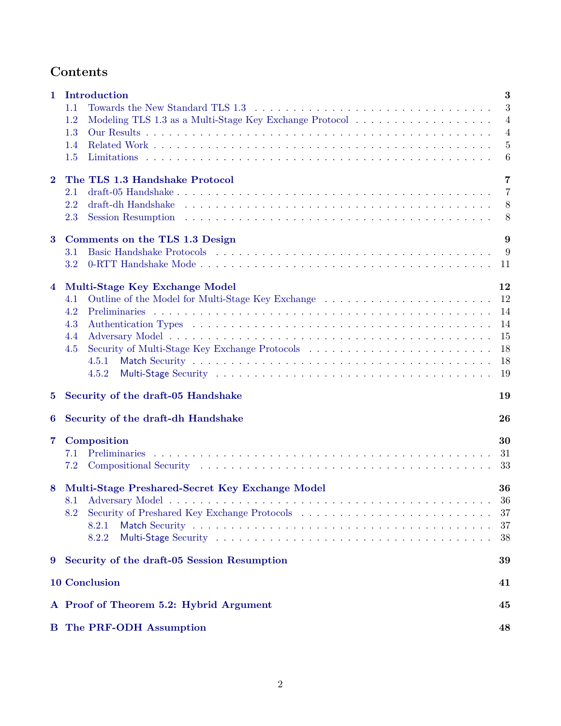# **Contents**

| 1              | Introduction                                    | 3                |
|----------------|-------------------------------------------------|------------------|
|                | 1.1                                             | $\boldsymbol{3}$ |
|                | 1.2                                             | 4                |
|                | 1.3                                             | $\overline{4}$   |
|                | 1.4                                             | 5                |
|                | 1.5                                             | $6\phantom{.}6$  |
|                |                                                 |                  |
| $\overline{2}$ | The TLS 1.3 Handshake Protocol                  | 7                |
|                | 2.1                                             | 7                |
|                | 2.2                                             | 8                |
|                | 2.3                                             | 8                |
| $\bf{3}$       | Comments on the TLS 1.3 Design                  | 9                |
|                | 3.1                                             | 9                |
|                | 3.2                                             | 11               |
|                |                                                 |                  |
| 4              | Multi-Stage Key Exchange Model                  | 12               |
|                | 4.1                                             | 12               |
|                | 4.2                                             | 14               |
|                | 4.3                                             | 14               |
|                | 4.4                                             | 15               |
|                | 4.5                                             | 18               |
|                | 4.5.1                                           | 18               |
|                | 4.5.2                                           | 19               |
| 5              | Security of the draft-05 Handshake              | 19               |
| 6              | Security of the draft-dh Handshake              | 26               |
| 7              | Composition                                     | 30               |
|                | <b>Preliminaries</b><br>7.1                     | 31               |
|                | 7.2                                             | 33               |
|                |                                                 |                  |
| 8              | Multi-Stage Preshared-Secret Key Exchange Model | 36               |
|                |                                                 | $36\,$           |
|                | 8.2                                             | 37               |
|                | 8.2.1                                           | 37               |
|                | 8.2.2                                           | 38               |
| 9              | Security of the draft-05 Session Resumption     | 39               |
|                | <b>10 Conclusion</b>                            | 41               |
|                | A Proof of Theorem 5.2: Hybrid Argument         | 45               |
|                | <b>B</b> The PRF-ODH Assumption                 | 48               |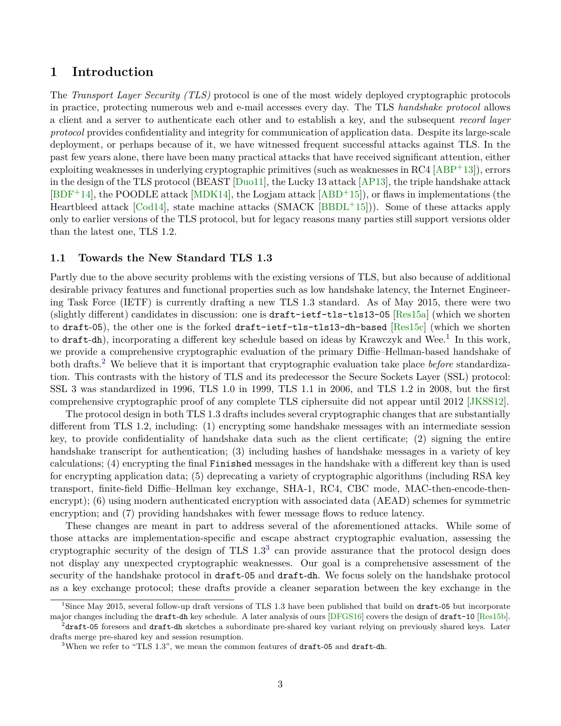# <span id="page-2-5"></span><span id="page-2-0"></span>**1 Introduction**

The *Transport Layer Security (TLS)* protocol is one of the most widely deployed cryptographic protocols in practice, protecting numerous web and e-mail accesses every day. The TLS *handshake protocol* allows a client and a server to authenticate each other and to establish a key, and the subsequent *record layer protocol* provides confidentiality and integrity for communication of application data. Despite its large-scale deployment, or perhaps because of it, we have witnessed frequent successful attacks against TLS. In the past few years alone, there have been many practical attacks that have received significant attention, either exploiting weaknesses in underlying cryptographic primitives (such as weaknesses in  $\text{RC}4 \text{ [ABP+13]}$  $\text{RC}4 \text{ [ABP+13]}$  $\text{RC}4 \text{ [ABP+13]}$ ), errors in the design of the TLS protocol (BEAST [\[Duo11\]](#page-43-0), the Lucky 13 attack [\[AP13\]](#page-41-1), the triple handshake attack  $[BDF+14]$  $[BDF+14]$ , the POODLE attack  $[MDK14]$ , the Logjam attack  $[ABD+15]$  $[ABD+15]$ , or flaws in implementations (the Heartbleed attack [\[Cod14\]](#page-43-1), state machine attacks (SMACK  $[BBDL+15]$  $[BBDL+15]$ )). Some of these attacks apply only to earlier versions of the TLS protocol, but for legacy reasons many parties still support versions older than the latest one, TLS 1.2.

## <span id="page-2-1"></span>**1.1 Towards the New Standard TLS 1.3**

Partly due to the above security problems with the existing versions of TLS, but also because of additional desirable privacy features and functional properties such as low handshake latency, the Internet Engineering Task Force (IETF) is currently drafting a new TLS 1.3 standard. As of May 2015, there were two (slightly different) candidates in discussion: one is draft-ietf-tls-tls13-05 [\[Res15a\]](#page-44-2) (which we shorten to draft-05), the other one is the forked draft-ietf-tls-tls13-dh-based [\[Res15c\]](#page-44-3) (which we shorten to draft-dh), incorporating a different key schedule based on ideas by Krawczyk and Wee.<sup>[1](#page-2-2)</sup> In this work, we provide a comprehensive cryptographic evaluation of the primary Diffie–Hellman-based handshake of both drafts.[2](#page-2-3) We believe that it is important that cryptographic evaluation take place *before* standardization. This contrasts with the history of TLS and its predecessor the Secure Sockets Layer (SSL) protocol: SSL 3 was standardized in 1996, TLS 1.0 in 1999, TLS 1.1 in 2006, and TLS 1.2 in 2008, but the first comprehensive cryptographic proof of any complete TLS ciphersuite did not appear until 2012 [\[JKSS12\]](#page-43-2).

The protocol design in both TLS 1.3 drafts includes several cryptographic changes that are substantially different from TLS 1.2, including: (1) encrypting some handshake messages with an intermediate session key, to provide confidentiality of handshake data such as the client certificate; (2) signing the entire handshake transcript for authentication; (3) including hashes of handshake messages in a variety of key calculations; (4) encrypting the final Finished messages in the handshake with a different key than is used for encrypting application data; (5) deprecating a variety of cryptographic algorithms (including RSA key transport, finite-field Diffie–Hellman key exchange, SHA-1, RC4, CBC mode, MAC-then-encode-thenencrypt); (6) using modern authenticated encryption with associated data (AEAD) schemes for symmetric encryption; and (7) providing handshakes with fewer message flows to reduce latency.

These changes are meant in part to address several of the aforementioned attacks. While some of those attacks are implementation-specific and escape abstract cryptographic evaluation, assessing the cryptographic security of the design of  $TLS$  1.[3](#page-2-4)<sup>3</sup> can provide assurance that the protocol design does not display any unexpected cryptographic weaknesses. Our goal is a comprehensive assessment of the security of the handshake protocol in draft-05 and draft-dh. We focus solely on the handshake protocol as a key exchange protocol; these drafts provide a cleaner separation between the key exchange in the

<span id="page-2-2"></span><sup>&</sup>lt;sup>1</sup>Since May 2015, several follow-up draft versions of TLS 1.3 have been published that build on draft-05 but incorporate major changes including the draft-dh key schedule. A later analysis of ours [\[DFGS16\]](#page-43-3) covers the design of draft-10 [\[Res15b\]](#page-44-4).  $^{2}$ draft-05 foresees and draft-dh sketches a subordinate pre-shared key variant relying on previously shared keys. Later

<span id="page-2-3"></span>drafts merge pre-shared key and session resumption.

<span id="page-2-4"></span><sup>&</sup>lt;sup>3</sup>When we refer to "TLS 1.3", we mean the common features of  $dr$  and  $dr$  are  $dt$ -dh.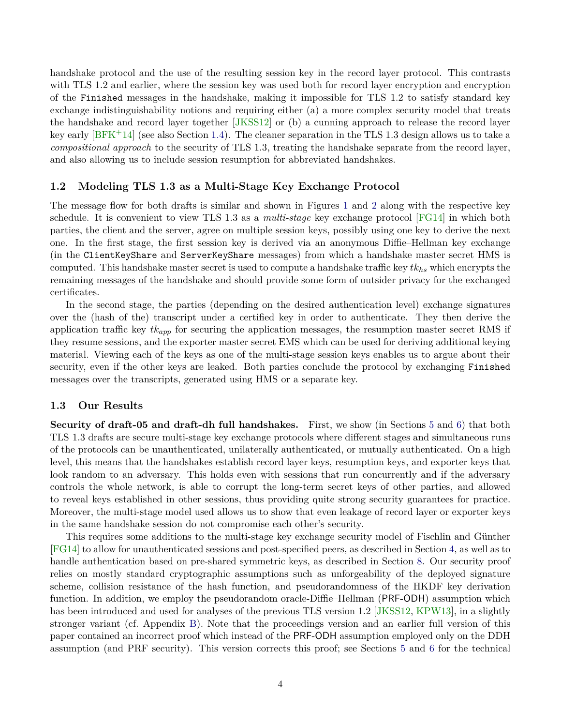<span id="page-3-2"></span>handshake protocol and the use of the resulting session key in the record layer protocol. This contrasts with TLS 1.2 and earlier, where the session key was used both for record layer encryption and encryption of the Finished messages in the handshake, making it impossible for TLS 1.2 to satisfy standard key exchange indistinguishability notions and requiring either (a) a more complex security model that treats the handshake and record layer together [\[JKSS12\]](#page-43-2) or (b) a cunning approach to release the record layer key early [\[BFK](#page-42-1)+14] (see also Section [1.4\)](#page-4-0). The cleaner separation in the TLS 1.3 design allows us to take a *compositional approach* to the security of TLS 1.3, treating the handshake separate from the record layer, and also allowing us to include session resumption for abbreviated handshakes.

## <span id="page-3-0"></span>**1.2 Modeling TLS 1.3 as a Multi-Stage Key Exchange Protocol**

The message flow for both drafts is similar and shown in Figures [1](#page-6-2) and [2](#page-8-2) along with the respective key schedule. It is convenient to view TLS 1.3 as a *multi-stage* key exchange protocol [\[FG14\]](#page-43-4) in which both parties, the client and the server, agree on multiple session keys, possibly using one key to derive the next one. In the first stage, the first session key is derived via an anonymous Diffie–Hellman key exchange (in the ClientKeyShare and ServerKeyShare messages) from which a handshake master secret HMS is computed. This handshake master secret is used to compute a handshake traffic key *tkhs* which encrypts the remaining messages of the handshake and should provide some form of outsider privacy for the exchanged certificates.

In the second stage, the parties (depending on the desired authentication level) exchange signatures over the (hash of the) transcript under a certified key in order to authenticate. They then derive the application traffic key *tkapp* for securing the application messages, the resumption master secret RMS if they resume sessions, and the exporter master secret EMS which can be used for deriving additional keying material. Viewing each of the keys as one of the multi-stage session keys enables us to argue about their security, even if the other keys are leaked. Both parties conclude the protocol by exchanging Finished messages over the transcripts, generated using HMS or a separate key.

#### <span id="page-3-1"></span>**1.3 Our Results**

**Security of draft-05 and draft-dh full handshakes.** First, we show (in Sections [5](#page-18-1) and [6\)](#page-25-0) that both TLS 1.3 drafts are secure multi-stage key exchange protocols where different stages and simultaneous runs of the protocols can be unauthenticated, unilaterally authenticated, or mutually authenticated. On a high level, this means that the handshakes establish record layer keys, resumption keys, and exporter keys that look random to an adversary. This holds even with sessions that run concurrently and if the adversary controls the whole network, is able to corrupt the long-term secret keys of other parties, and allowed to reveal keys established in other sessions, thus providing quite strong security guarantees for practice. Moreover, the multi-stage model used allows us to show that even leakage of record layer or exporter keys in the same handshake session do not compromise each other's security.

This requires some additions to the multi-stage key exchange security model of Fischlin and Günther [\[FG14\]](#page-43-4) to allow for unauthenticated sessions and post-specified peers, as described in Section [4,](#page-11-0) as well as to handle authentication based on pre-shared symmetric keys, as described in Section [8.](#page-35-0) Our security proof relies on mostly standard cryptographic assumptions such as unforgeability of the deployed signature scheme, collision resistance of the hash function, and pseudorandomness of the HKDF key derivation function. In addition, we employ the pseudorandom oracle-Diffie–Hellman (PRF-ODH) assumption which has been introduced and used for analyses of the previous TLS version 1.2 [\[JKSS12,](#page-43-2) [KPW13\]](#page-43-5), in a slightly stronger variant (cf. Appendix [B\)](#page-47-0). Note that the proceedings version and an earlier full version of this paper contained an incorrect proof which instead of the PRF-ODH assumption employed only on the DDH assumption (and PRF security). This version corrects this proof; see Sections [5](#page-18-1) and [6](#page-25-0) for the technical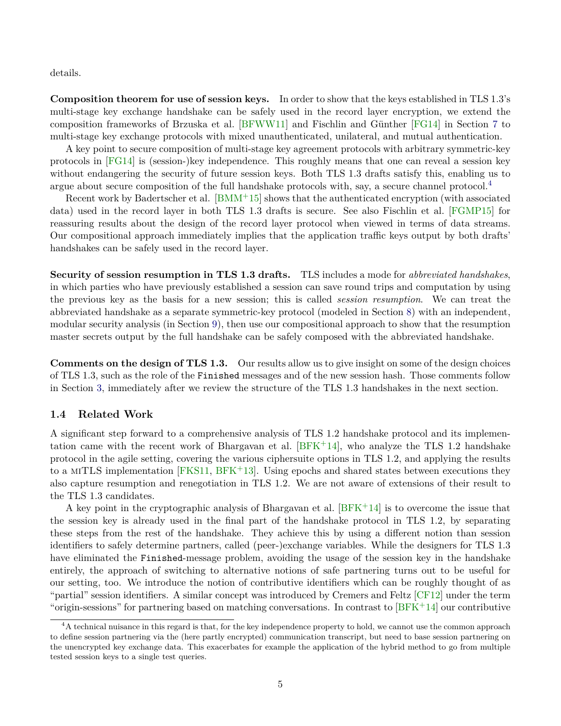<span id="page-4-2"></span>details.

**Composition theorem for use of session keys.** In order to show that the keys established in TLS 1.3's multi-stage key exchange handshake can be safely used in the record layer encryption, we extend the composition frameworks of Brzuska et al. [\[BFWW11\]](#page-42-2) and Fischlin and Günther [\[FG14\]](#page-43-4) in Section [7](#page-29-0) to multi-stage key exchange protocols with mixed unauthenticated, unilateral, and mutual authentication.

A key point to secure composition of multi-stage key agreement protocols with arbitrary symmetric-key protocols in [\[FG14\]](#page-43-4) is (session-)key independence. This roughly means that one can reveal a session key without endangering the security of future session keys. Both TLS 1.3 drafts satisfy this, enabling us to argue about secure composition of the full handshake protocols with, say, a secure channel protocol.<sup>[4](#page-4-1)</sup>

Recent work by Badertscher et al.  $[BMM<sup>+</sup>15]$  $[BMM<sup>+</sup>15]$  shows that the authenticated encryption (with associated data) used in the record layer in both TLS 1.3 drafts is secure. See also Fischlin et al. [\[FGMP15\]](#page-43-6) for reassuring results about the design of the record layer protocol when viewed in terms of data streams. Our compositional approach immediately implies that the application traffic keys output by both drafts' handshakes can be safely used in the record layer.

**Security of session resumption in TLS 1.3 drafts.** TLS includes a mode for *abbreviated handshakes*, in which parties who have previously established a session can save round trips and computation by using the previous key as the basis for a new session; this is called *session resumption*. We can treat the abbreviated handshake as a separate symmetric-key protocol (modeled in Section [8\)](#page-35-0) with an independent, modular security analysis (in Section [9\)](#page-38-0), then use our compositional approach to show that the resumption master secrets output by the full handshake can be safely composed with the abbreviated handshake.

**Comments on the design of TLS 1.3.** Our results allow us to give insight on some of the design choices of TLS 1.3, such as the role of the Finished messages and of the new session hash. Those comments follow in Section [3,](#page-8-0) immediately after we review the structure of the TLS 1.3 handshakes in the next section.

## <span id="page-4-0"></span>**1.4 Related Work**

A significant step forward to a comprehensive analysis of TLS 1.2 handshake protocol and its implementation came with the recent work of Bhargavan et al.  $BFK+14$ , who analyze the TLS 1.2 handshake protocol in the agile setting, covering the various ciphersuite options in TLS 1.2, and applying the results to a miTLS implementation [\[FKS11,](#page-43-7) [BFK](#page-42-4)+13]. Using epochs and shared states between executions they also capture resumption and renegotiation in TLS 1.2. We are not aware of extensions of their result to the TLS 1.3 candidates.

A key point in the cryptographic analysis of Bhargavan et al.  $[BFK+14]$  $[BFK+14]$  is to overcome the issue that the session key is already used in the final part of the handshake protocol in TLS 1.2, by separating these steps from the rest of the handshake. They achieve this by using a different notion than session identifiers to safely determine partners, called (peer-)exchange variables. While the designers for TLS 1.3 have eliminated the Finished-message problem, avoiding the usage of the session key in the handshake entirely, the approach of switching to alternative notions of safe partnering turns out to be useful for our setting, too. We introduce the notion of contributive identifiers which can be roughly thought of as "partial" session identifiers. A similar concept was introduced by Cremers and Feltz [\[CF12\]](#page-42-5) under the term "origin-sessions" for partnering based on matching conversations. In contrast to  $BFK^+14$  our contributive

<span id="page-4-1"></span> $4A$  technical nuisance in this regard is that, for the key independence property to hold, we cannot use the common approach to define session partnering via the (here partly encrypted) communication transcript, but need to base session partnering on the unencrypted key exchange data. This exacerbates for example the application of the hybrid method to go from multiple tested session keys to a single test queries.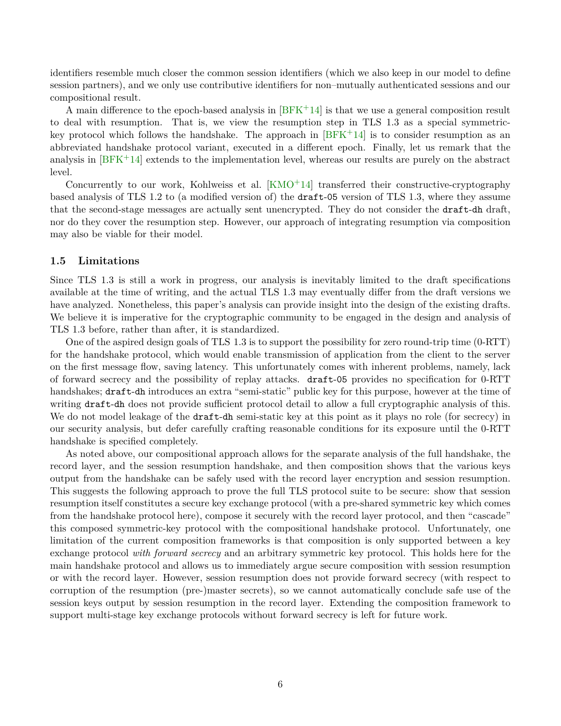<span id="page-5-1"></span>identifiers resemble much closer the common session identifiers (which we also keep in our model to define session partners), and we only use contributive identifiers for non–mutually authenticated sessions and our compositional result.

A main difference to the epoch-based analysis in  $BFK+14$  is that we use a general composition result to deal with resumption. That is, we view the resumption step in TLS 1.3 as a special symmetrickey protocol which follows the handshake. The approach in  $[BFK^+14]$  $[BFK^+14]$  is to consider resumption as an abbreviated handshake protocol variant, executed in a different epoch. Finally, let us remark that the analysis in  $BFK+14$  extends to the implementation level, whereas our results are purely on the abstract level.

Concurrently to our work, Kohlweiss et al.  $KMO+14$  transferred their constructive-cryptography based analysis of TLS 1.2 to (a modified version of) the draft-05 version of TLS 1.3, where they assume that the second-stage messages are actually sent unencrypted. They do not consider the draft-dh draft, nor do they cover the resumption step. However, our approach of integrating resumption via composition may also be viable for their model.

#### <span id="page-5-0"></span>**1.5 Limitations**

Since TLS 1.3 is still a work in progress, our analysis is inevitably limited to the draft specifications available at the time of writing, and the actual TLS 1.3 may eventually differ from the draft versions we have analyzed. Nonetheless, this paper's analysis can provide insight into the design of the existing drafts. We believe it is imperative for the cryptographic community to be engaged in the design and analysis of TLS 1.3 before, rather than after, it is standardized.

One of the aspired design goals of TLS 1.3 is to support the possibility for zero round-trip time (0-RTT) for the handshake protocol, which would enable transmission of application from the client to the server on the first message flow, saving latency. This unfortunately comes with inherent problems, namely, lack of forward secrecy and the possibility of replay attacks. draft-05 provides no specification for 0-RTT handshakes; draft-dh introduces an extra "semi-static" public key for this purpose, however at the time of writing draft-dh does not provide sufficient protocol detail to allow a full cryptographic analysis of this. We do not model leakage of the **draft-dh** semi-static key at this point as it plays no role (for secrecy) in our security analysis, but defer carefully crafting reasonable conditions for its exposure until the 0-RTT handshake is specified completely.

As noted above, our compositional approach allows for the separate analysis of the full handshake, the record layer, and the session resumption handshake, and then composition shows that the various keys output from the handshake can be safely used with the record layer encryption and session resumption. This suggests the following approach to prove the full TLS protocol suite to be secure: show that session resumption itself constitutes a secure key exchange protocol (with a pre-shared symmetric key which comes from the handshake protocol here), compose it securely with the record layer protocol, and then "cascade" this composed symmetric-key protocol with the compositional handshake protocol. Unfortunately, one limitation of the current composition frameworks is that composition is only supported between a key exchange protocol *with forward secrecy* and an arbitrary symmetric key protocol. This holds here for the main handshake protocol and allows us to immediately argue secure composition with session resumption or with the record layer. However, session resumption does not provide forward secrecy (with respect to corruption of the resumption (pre-)master secrets), so we cannot automatically conclude safe use of the session keys output by session resumption in the record layer. Extending the composition framework to support multi-stage key exchange protocols without forward secrecy is left for future work.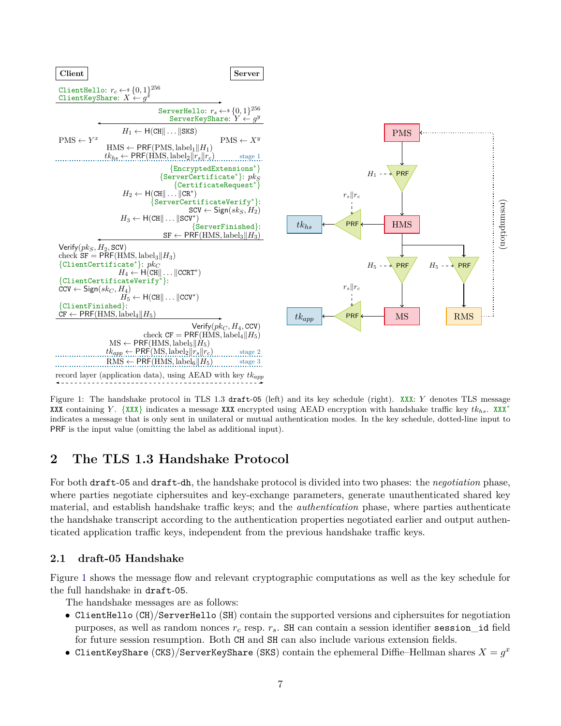<span id="page-6-2"></span>

Figure 1: The handshake protocol in TLS 1.3 draft-05 (left) and its key schedule (right). XXX: *Y* denotes TLS message XXX containing *Y* . {XXX} indicates a message XXX encrypted using AEAD encryption with handshake traffic key *tkhs*. XXX<sup>∗</sup> indicates a message that is only sent in unilateral or mutual authentication modes. In the key schedule, dotted-line input to PRF is the input value (omitting the label as additional input).

# <span id="page-6-0"></span>**2 The TLS 1.3 Handshake Protocol**

For both draft-05 and draft-dh, the handshake protocol is divided into two phases: the *negotiation* phase, where parties negotiate ciphersuites and key-exchange parameters, generate unauthenticated shared key material, and establish handshake traffic keys; and the *authentication* phase, where parties authenticate the handshake transcript according to the authentication properties negotiated earlier and output authenticated application traffic keys, independent from the previous handshake traffic keys.

# <span id="page-6-1"></span>**2.1 draft-05 Handshake**

Figure [1](#page-6-2) shows the message flow and relevant cryptographic computations as well as the key schedule for the full handshake in draft-05.

The handshake messages are as follows:

- ClientHello (CH)/ServerHello (SH) contain the supported versions and ciphersuites for negotiation purposes, as well as random nonces *r<sup>c</sup>* resp. *rs*. SH can contain a session identifier session\_id field for future session resumption. Both CH and SH can also include various extension fields.
- ClientKeyShare (CKS)/ServerKeyShare (SKS) contain the ephemeral Diffie–Hellman shares  $X = g^x$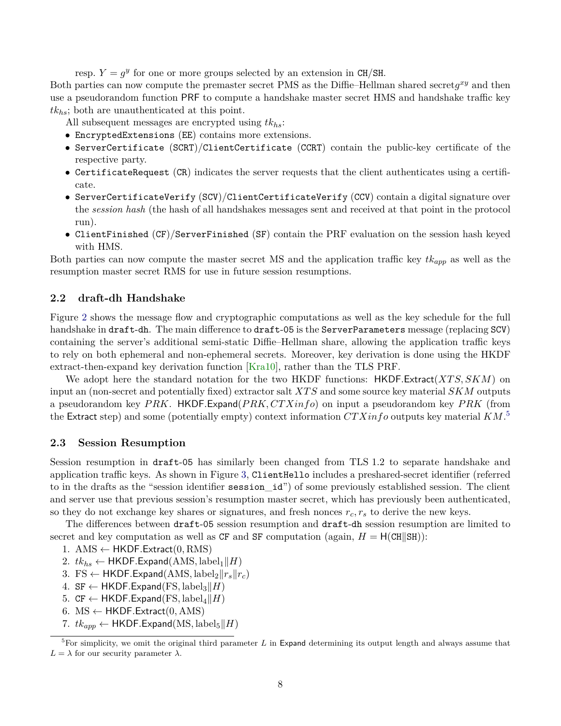<span id="page-7-3"></span>resp.  $Y = g^y$  for one or more groups selected by an extension in CH/SH.

Both parties can now compute the premaster secret PMS as the Diffie–Hellman shared secret*g xy* and then use a pseudorandom function PRF to compute a handshake master secret HMS and handshake traffic key *tkhs*; both are unauthenticated at this point.

All subsequent messages are encrypted using *tkhs*:

- EncryptedExtensions (EE) contains more extensions.
- ServerCertificate (SCRT)/ClientCertificate (CCRT) contain the public-key certificate of the respective party.
- CertificateRequest (CR) indicates the server requests that the client authenticates using a certificate.
- ServerCertificateVerify (SCV)/ClientCertificateVerify (CCV) contain a digital signature over the *session hash* (the hash of all handshakes messages sent and received at that point in the protocol run).
- ClientFinished (CF)/ServerFinished (SF) contain the PRF evaluation on the session hash keyed with HMS.

Both parties can now compute the master secret MS and the application traffic key *tkapp* as well as the resumption master secret RMS for use in future session resumptions.

## <span id="page-7-0"></span>**2.2 draft-dh Handshake**

Figure [2](#page-8-2) shows the message flow and cryptographic computations as well as the key schedule for the full handshake in draft-dh. The main difference to draft-05 is the ServerParameters message (replacing SCV) containing the server's additional semi-static Diffie–Hellman share, allowing the application traffic keys to rely on both ephemeral and non-ephemeral secrets. Moreover, key derivation is done using the HKDF extract-then-expand key derivation function [\[Kra10\]](#page-43-9), rather than the TLS PRF.

We adopt here the standard notation for the two HKDF functions: HKDF*.*Extract(*XT S, SKM*) on input an (non-secret and potentially fixed) extractor salt *XT S* and some source key material *SKM* outputs a pseudorandom key *P RK*. HKDF*.*Expand(*P RK, CT Xinfo*) on input a pseudorandom key *P RK* (from the Extract step) and some (potentially empty) context information *CT Xinfo* outputs key material *KM*. [5](#page-7-2)

### <span id="page-7-1"></span>**2.3 Session Resumption**

Session resumption in draft-05 has similarly been changed from TLS 1.2 to separate handshake and application traffic keys. As shown in Figure [3,](#page-9-0) ClientHello includes a preshared-secret identifier (referred to in the drafts as the "session identifier session\_id") of some previously established session. The client and server use that previous session's resumption master secret, which has previously been authenticated, so they do not exchange key shares or signatures, and fresh nonces  $r_c$ ,  $r_s$  to derive the new keys.

The differences between draft-05 session resumption and draft-dh session resumption are limited to secret and key computation as well as CF and SF computation (again,  $H = H(CH||SH)$ ):

- 1. AMS ← HKDF*.*Extract(0*,* RMS)
- 2.  $tk_{hs} \leftarrow$  HKDF.Expand(AMS, label<sub>1</sub>||*H*)
- 3. FS  $\leftarrow$  HKDF. Expand(AMS, label<sub>2</sub> $\|r_s\|r_c$ )
- 4. SF ← HKDF.Expand(FS, label<sub>3</sub>|| $H$ )
- 5.  $CF \leftarrow$  HKDF. Expand(FS, label<sub>4</sub>||*H*)
- 6.  $MS \leftarrow HKDF.Extract(0, AMS)$
- 7.  $tk_{app} \leftarrow$  HKDF.Expand(MS, label<sub>5</sub>||*H*)

<span id="page-7-2"></span><sup>&</sup>lt;sup>5</sup>For simplicity, we omit the original third parameter *L* in Expand determining its output length and always assume that  $L = \lambda$  for our security parameter  $\lambda$ .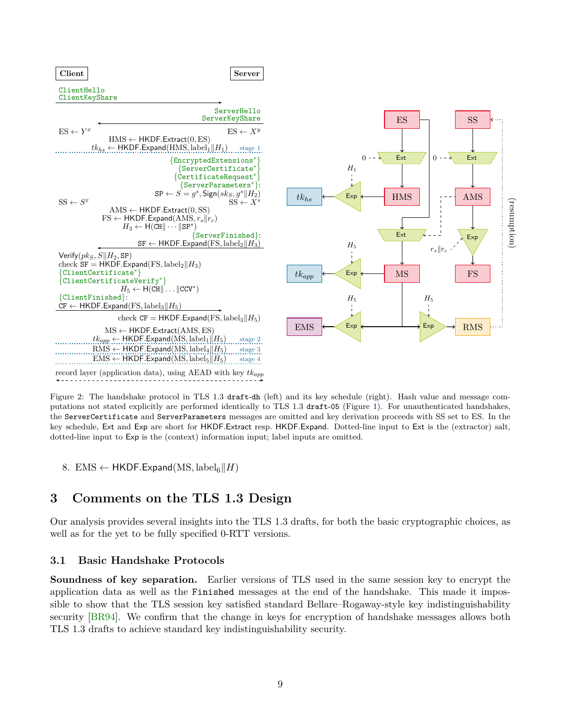<span id="page-8-3"></span><span id="page-8-2"></span>

Figure 2: The handshake protocol in TLS 1.3 draft-dh (left) and its key schedule (right). Hash value and message computations not stated explicitly are performed identically to TLS 1.3 draft-05 (Figure [1\)](#page-6-2). For unauthenticated handshakes, the ServerCertificate and ServerParameters messages are omitted and key derivation proceeds with SS set to ES. In the key schedule, Ext and Exp are short for HKDF*.*Extract resp. HKDF*.*Expand. Dotted-line input to Ext is the (extractor) salt, dotted-line input to Exp is the (context) information input; label inputs are omitted.

8. EMS  $\leftarrow$  HKDF. Expand(MS, label<sub>6</sub>||*H*)

# <span id="page-8-0"></span>**3 Comments on the TLS 1.3 Design**

Our analysis provides several insights into the TLS 1.3 drafts, for both the basic cryptographic choices, as well as for the yet to be fully specified 0-RTT versions.

## <span id="page-8-1"></span>**3.1 Basic Handshake Protocols**

**Soundness of key separation.** Earlier versions of TLS used in the same session key to encrypt the application data as well as the Finished messages at the end of the handshake. This made it impossible to show that the TLS session key satisfied standard Bellare–Rogaway-style key indistinguishability security [\[BR94\]](#page-42-6). We confirm that the change in keys for encryption of handshake messages allows both TLS 1.3 drafts to achieve standard key indistinguishability security.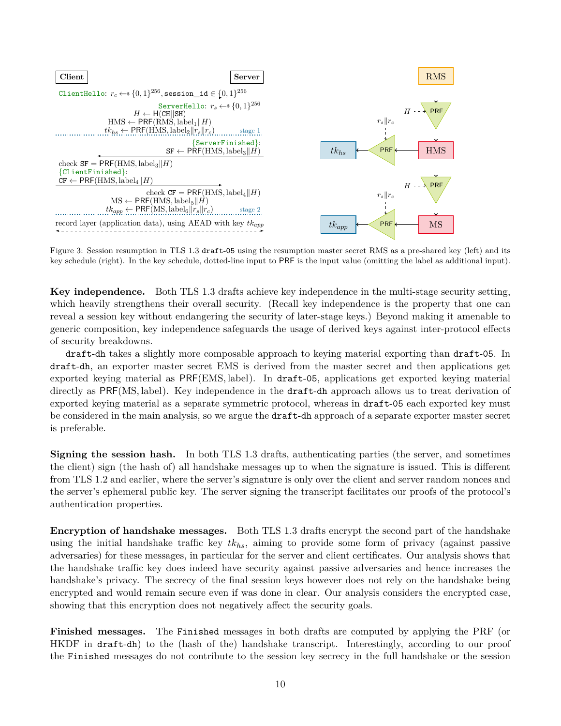<span id="page-9-0"></span>

Figure 3: Session resumption in TLS 1.3 draft-05 using the resumption master secret RMS as a pre-shared key (left) and its key schedule (right). In the key schedule, dotted-line input to PRF is the input value (omitting the label as additional input).

**Key independence.** Both TLS 1.3 drafts achieve key independence in the multi-stage security setting, which heavily strengthens their overall security. (Recall key independence is the property that one can reveal a session key without endangering the security of later-stage keys.) Beyond making it amenable to generic composition, key independence safeguards the usage of derived keys against inter-protocol effects of security breakdowns.

draft-dh takes a slightly more composable approach to keying material exporting than draft-05. In draft-dh, an exporter master secret EMS is derived from the master secret and then applications get exported keying material as PRF(EMS*,* label). In draft-05, applications get exported keying material directly as PRF(MS*,* label). Key independence in the draft-dh approach allows us to treat derivation of exported keying material as a separate symmetric protocol, whereas in draft-05 each exported key must be considered in the main analysis, so we argue the draft-dh approach of a separate exporter master secret is preferable.

**Signing the session hash.** In both TLS 1.3 drafts, authenticating parties (the server, and sometimes the client) sign (the hash of) all handshake messages up to when the signature is issued. This is different from TLS 1.2 and earlier, where the server's signature is only over the client and server random nonces and the server's ephemeral public key. The server signing the transcript facilitates our proofs of the protocol's authentication properties.

**Encryption of handshake messages.** Both TLS 1.3 drafts encrypt the second part of the handshake using the initial handshake traffic key *tkhs*, aiming to provide some form of privacy (against passive adversaries) for these messages, in particular for the server and client certificates. Our analysis shows that the handshake traffic key does indeed have security against passive adversaries and hence increases the handshake's privacy. The secrecy of the final session keys however does not rely on the handshake being encrypted and would remain secure even if was done in clear. Our analysis considers the encrypted case, showing that this encryption does not negatively affect the security goals.

**Finished messages.** The Finished messages in both drafts are computed by applying the PRF (or HKDF in draft-dh) to the (hash of the) handshake transcript. Interestingly, according to our proof the Finished messages do not contribute to the session key secrecy in the full handshake or the session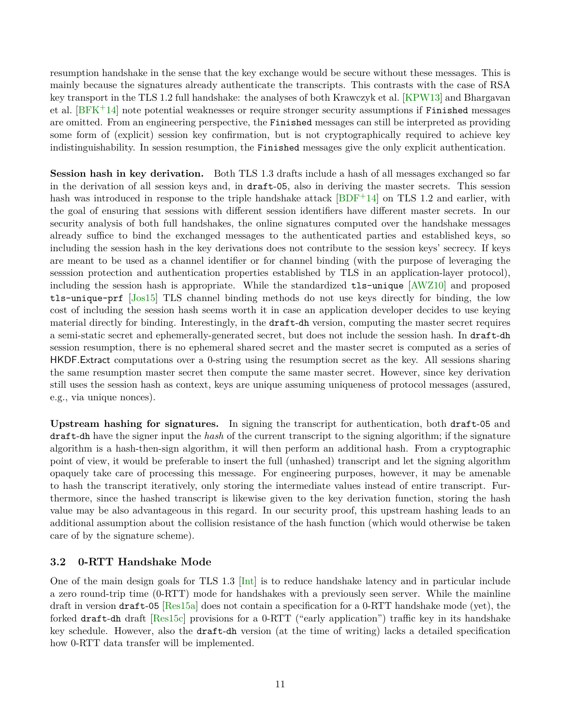<span id="page-10-1"></span>resumption handshake in the sense that the key exchange would be secure without these messages. This is mainly because the signatures already authenticate the transcripts. This contrasts with the case of RSA key transport in the TLS 1.2 full handshake: the analyses of both Krawczyk et al. [\[KPW13\]](#page-43-5) and Bhargavan et al.  $[BFK^+14]$  $[BFK^+14]$  note potential weaknesses or require stronger security assumptions if Finished messages are omitted. From an engineering perspective, the Finished messages can still be interpreted as providing some form of (explicit) session key confirmation, but is not cryptographically required to achieve key indistinguishability. In session resumption, the Finished messages give the only explicit authentication.

**Session hash in key derivation.** Both TLS 1.3 drafts include a hash of all messages exchanged so far in the derivation of all session keys and, in draft-05, also in deriving the master secrets. This session hash was introduced in response to the triple handshake attack  $[BDF+14]$  $[BDF+14]$  on TLS 1.2 and earlier, with the goal of ensuring that sessions with different session identifiers have different master secrets. In our security analysis of both full handshakes, the online signatures computed over the handshake messages already suffice to bind the exchanged messages to the authenticated parties and established keys, so including the session hash in the key derivations does not contribute to the session keys' secrecy. If keys are meant to be used as a channel identifier or for channel binding (with the purpose of leveraging the sesssion protection and authentication properties established by TLS in an application-layer protocol), including the session hash is appropriate. While the standardized tls-unique [\[AWZ10\]](#page-41-4) and proposed tls-unique-prf [\[Jos15\]](#page-43-10) TLS channel binding methods do not use keys directly for binding, the low cost of including the session hash seems worth it in case an application developer decides to use keying material directly for binding. Interestingly, in the draft-dh version, computing the master secret requires a semi-static secret and ephemerally-generated secret, but does not include the session hash. In draft-dh session resumption, there is no ephemeral shared secret and the master secret is computed as a series of HKDF*.*Extract computations over a 0-string using the resumption secret as the key. All sessions sharing the same resumption master secret then compute the same master secret. However, since key derivation still uses the session hash as context, keys are unique assuming uniqueness of protocol messages (assured, e.g., via unique nonces).

**Upstream hashing for signatures.** In signing the transcript for authentication, both draft-05 and draft-dh have the signer input the *hash* of the current transcript to the signing algorithm; if the signature algorithm is a hash-then-sign algorithm, it will then perform an additional hash. From a cryptographic point of view, it would be preferable to insert the full (unhashed) transcript and let the signing algorithm opaquely take care of processing this message. For engineering purposes, however, it may be amenable to hash the transcript iteratively, only storing the intermediate values instead of entire transcript. Furthermore, since the hashed transcript is likewise given to the key derivation function, storing the hash value may be also advantageous in this regard. In our security proof, this upstream hashing leads to an additional assumption about the collision resistance of the hash function (which would otherwise be taken care of by the signature scheme).

## <span id="page-10-0"></span>**3.2 0-RTT Handshake Mode**

One of the main design goals for TLS 1.3 [\[Int\]](#page-43-11) is to reduce handshake latency and in particular include a zero round-trip time (0-RTT) mode for handshakes with a previously seen server. While the mainline draft in version draft-05 [\[Res15a\]](#page-44-2) does not contain a specification for a 0-RTT handshake mode (yet), the forked draft-dh draft [\[Res15c\]](#page-44-3) provisions for a 0-RTT ("early application") traffic key in its handshake key schedule. However, also the draft-dh version (at the time of writing) lacks a detailed specification how 0-RTT data transfer will be implemented.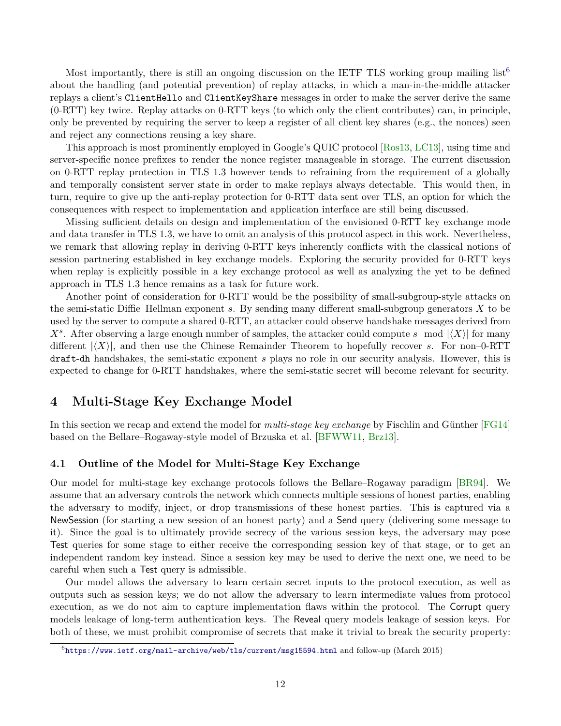<span id="page-11-3"></span>Most importantly, there is still an ongoing discussion on the IETF TLS working group mailing list<sup>[6](#page-11-2)</sup> about the handling (and potential prevention) of replay attacks, in which a man-in-the-middle attacker replays a client's ClientHello and ClientKeyShare messages in order to make the server derive the same (0-RTT) key twice. Replay attacks on 0-RTT keys (to which only the client contributes) can, in principle, only be prevented by requiring the server to keep a register of all client key shares (e.g., the nonces) seen and reject any connections reusing a key share.

This approach is most prominently employed in Google's QUIC protocol [\[Ros13,](#page-44-5) [LC13\]](#page-44-6), using time and server-specific nonce prefixes to render the nonce register manageable in storage. The current discussion on 0-RTT replay protection in TLS 1.3 however tends to refraining from the requirement of a globally and temporally consistent server state in order to make replays always detectable. This would then, in turn, require to give up the anti-replay protection for 0-RTT data sent over TLS, an option for which the consequences with respect to implementation and application interface are still being discussed.

Missing sufficient details on design and implementation of the envisioned 0-RTT key exchange mode and data transfer in TLS 1.3, we have to omit an analysis of this protocol aspect in this work. Nevertheless, we remark that allowing replay in deriving 0-RTT keys inherently conflicts with the classical notions of session partnering established in key exchange models. Exploring the security provided for 0-RTT keys when replay is explicitly possible in a key exchange protocol as well as analyzing the yet to be defined approach in TLS 1.3 hence remains as a task for future work.

Another point of consideration for 0-RTT would be the possibility of small-subgroup-style attacks on the semi-static Diffie–Hellman exponent *s*. By sending many different small-subgroup generators *X* to be used by the server to compute a shared 0-RTT, an attacker could observe handshake messages derived from  $X<sup>s</sup>$ . After observing a large enough number of samples, the attacker could compute *s* mod  $|\langle X \rangle|$  for many different  $|\langle X \rangle|$ , and then use the Chinese Remainder Theorem to hopefully recover *s*. For non–0-RTT draft-dh handshakes, the semi-static exponent *s* plays no role in our security analysis. However, this is expected to change for 0-RTT handshakes, where the semi-static secret will become relevant for security.

# <span id="page-11-0"></span>**4 Multi-Stage Key Exchange Model**

In this section we recap and extend the model for *multi-stage key exchange* by Fischlin and Günther [\[FG14\]](#page-43-4) based on the Bellare–Rogaway-style model of Brzuska et al. [\[BFWW11,](#page-42-2) [Brz13\]](#page-42-7).

## <span id="page-11-1"></span>**4.1 Outline of the Model for Multi-Stage Key Exchange**

Our model for multi-stage key exchange protocols follows the Bellare–Rogaway paradigm [\[BR94\]](#page-42-6). We assume that an adversary controls the network which connects multiple sessions of honest parties, enabling the adversary to modify, inject, or drop transmissions of these honest parties. This is captured via a NewSession (for starting a new session of an honest party) and a Send query (delivering some message to it). Since the goal is to ultimately provide secrecy of the various session keys, the adversary may pose Test queries for some stage to either receive the corresponding session key of that stage, or to get an independent random key instead. Since a session key may be used to derive the next one, we need to be careful when such a Test query is admissible.

Our model allows the adversary to learn certain secret inputs to the protocol execution, as well as outputs such as session keys; we do not allow the adversary to learn intermediate values from protocol execution, as we do not aim to capture implementation flaws within the protocol. The Corrupt query models leakage of long-term authentication keys. The Reveal query models leakage of session keys. For both of these, we must prohibit compromise of secrets that make it trivial to break the security property:

<span id="page-11-2"></span> $^6$ <https://www.ietf.org/mail-archive/web/tls/current/msg15594.html> and follow-up (March 2015)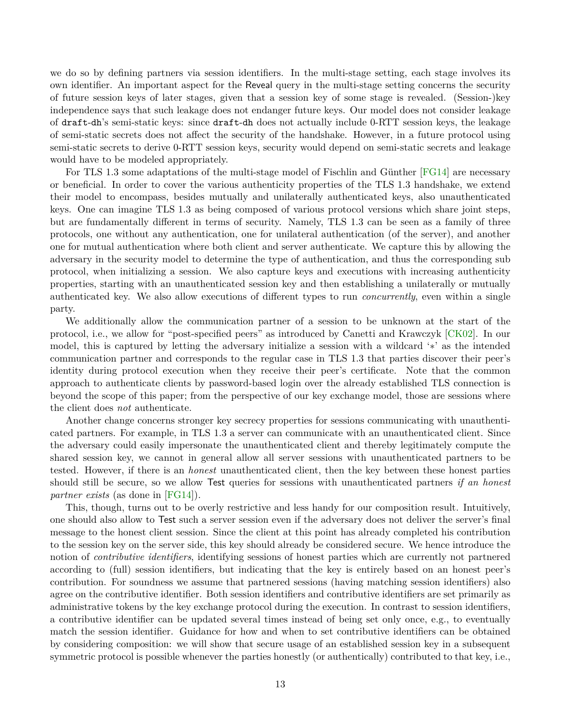<span id="page-12-0"></span>we do so by defining partners via session identifiers. In the multi-stage setting, each stage involves its own identifier. An important aspect for the Reveal query in the multi-stage setting concerns the security of future session keys of later stages, given that a session key of some stage is revealed. (Session-)key independence says that such leakage does not endanger future keys. Our model does not consider leakage of draft-dh's semi-static keys: since draft-dh does not actually include 0-RTT session keys, the leakage of semi-static secrets does not affect the security of the handshake. However, in a future protocol using semi-static secrets to derive 0-RTT session keys, security would depend on semi-static secrets and leakage would have to be modeled appropriately.

For TLS 1.3 some adaptations of the multi-stage model of Fischlin and Günther [\[FG14\]](#page-43-4) are necessary or beneficial. In order to cover the various authenticity properties of the TLS 1.3 handshake, we extend their model to encompass, besides mutually and unilaterally authenticated keys, also unauthenticated keys. One can imagine TLS 1.3 as being composed of various protocol versions which share joint steps, but are fundamentally different in terms of security. Namely, TLS 1.3 can be seen as a family of three protocols, one without any authentication, one for unilateral authentication (of the server), and another one for mutual authentication where both client and server authenticate. We capture this by allowing the adversary in the security model to determine the type of authentication, and thus the corresponding sub protocol, when initializing a session. We also capture keys and executions with increasing authenticity properties, starting with an unauthenticated session key and then establishing a unilaterally or mutually authenticated key. We also allow executions of different types to run *concurrently*, even within a single party.

We additionally allow the communication partner of a session to be unknown at the start of the protocol, i.e., we allow for "post-specified peers" as introduced by Canetti and Krawczyk [\[CK02\]](#page-42-8). In our model, this is captured by letting the adversary initialize a session with a wildcard '∗' as the intended communication partner and corresponds to the regular case in TLS 1.3 that parties discover their peer's identity during protocol execution when they receive their peer's certificate. Note that the common approach to authenticate clients by password-based login over the already established TLS connection is beyond the scope of this paper; from the perspective of our key exchange model, those are sessions where the client does *not* authenticate.

Another change concerns stronger key secrecy properties for sessions communicating with unauthenticated partners. For example, in TLS 1.3 a server can communicate with an unauthenticated client. Since the adversary could easily impersonate the unauthenticated client and thereby legitimately compute the shared session key, we cannot in general allow all server sessions with unauthenticated partners to be tested. However, if there is an *honest* unauthenticated client, then the key between these honest parties should still be secure, so we allow Test queries for sessions with unauthenticated partners *if an honest partner exists* (as done in [\[FG14\]](#page-43-4)).

This, though, turns out to be overly restrictive and less handy for our composition result. Intuitively, one should also allow to Test such a server session even if the adversary does not deliver the server's final message to the honest client session. Since the client at this point has already completed his contribution to the session key on the server side, this key should already be considered secure. We hence introduce the notion of *contributive identifiers*, identifying sessions of honest parties which are currently not partnered according to (full) session identifiers, but indicating that the key is entirely based on an honest peer's contribution. For soundness we assume that partnered sessions (having matching session identifiers) also agree on the contributive identifier. Both session identifiers and contributive identifiers are set primarily as administrative tokens by the key exchange protocol during the execution. In contrast to session identifiers, a contributive identifier can be updated several times instead of being set only once, e.g., to eventually match the session identifier. Guidance for how and when to set contributive identifiers can be obtained by considering composition: we will show that secure usage of an established session key in a subsequent symmetric protocol is possible whenever the parties honestly (or authentically) contributed to that key, i.e.,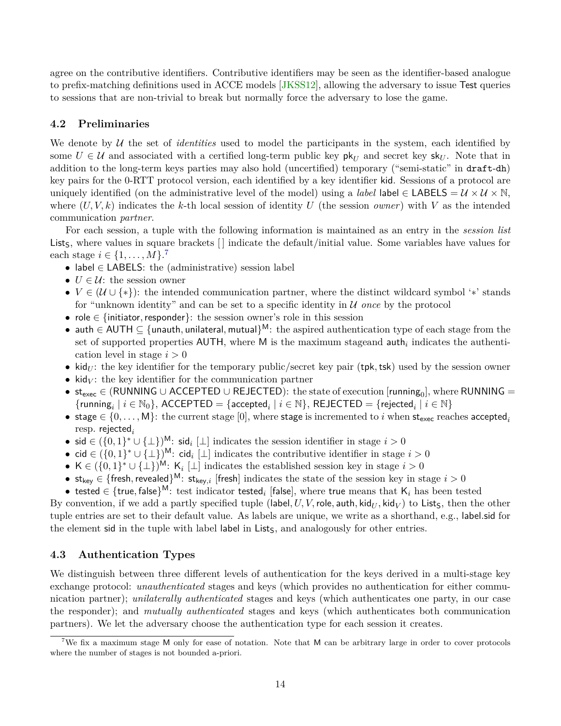<span id="page-13-3"></span>agree on the contributive identifiers. Contributive identifiers may be seen as the identifier-based analogue to prefix-matching definitions used in ACCE models [\[JKSS12\]](#page-43-2), allowing the adversary to issue Test queries to sessions that are non-trivial to break but normally force the adversary to lose the game.

## <span id="page-13-0"></span>**4.2 Preliminaries**

We denote by  $U$  the set of *identities* used to model the participants in the system, each identified by some  $U \in \mathcal{U}$  and associated with a certified long-term public key  $\mathsf{pk}_U$  and secret key  $\mathsf{sk}_U$ . Note that in addition to the long-term keys parties may also hold (uncertified) temporary ("semi-static" in draft-dh) key pairs for the 0-RTT protocol version, each identified by a key identifier kid. Sessions of a protocol are uniquely identified (on the administrative level of the model) using a *label* label ∈ LABELS =  $\mathcal{U} \times \mathcal{U} \times \mathbb{N}$ . where  $(U, V, k)$  indicates the *k*-th local session of identity *U* (the session *owner*) with *V* as the intended communication *partner*.

For each session, a tuple with the following information is maintained as an entry in the *session list* List<sub>S</sub>, where values in square brackets [] indicate the default/initial value. Some variables have values for each stage *i* ∈ {1, . . . , *M*}.<sup>[7](#page-13-2)</sup>

- label ∈ LABELS: the (administrative) session label
- $U \in \mathcal{U}$ : the session owner
- $V \in (\mathcal{U} \cup \{*\})$ : the intended communication partner, where the distinct wildcard symbol '\*' stands for "unknown identity" and can be set to a specific identity in U *once* by the protocol
- role ∈ {initiator*,*responder}: the session owner's role in this session
- auth ∈ AUTH ⊆ {unauth*,* unilateral*,* mutual} <sup>M</sup>: the aspired authentication type of each stage from the set of supported properties  $AUTH$ , where M is the maximum stageand  $\text{auth}_i$  indicates the authentication level in stage *i >* 0
- kid<sub>*U*</sub>: the key identifier for the temporary public/secret key pair (tpk, tsk) used by the session owner
- kid $V$ : the key identifier for the communication partner
- $st_{exec} \in (RUNNING \cup ACCEPTED \cup REJECTED):$  the state of execution  $[running_0],$  where  $RUNNING =$  $\{\mathsf{running}_i \mid i \in \mathbb{N}_0\}, \ \mathsf{ACCEPTED} = \{\mathsf{accepted}_i \mid i \in \mathbb{N}\}, \ \mathsf{REJECTED} = \{\mathsf{rejected}_i \mid i \in \mathbb{N}\}$
- stage  $\in \{0, \ldots, M\}$ : the current stage [0], where stage is incremented to *i* when st<sub>exec</sub> reaches accepted<sub>*i*</sub> resp. rejected*<sup>i</sup>*
- sid ∈  $({0, 1}^* \cup {\perp})^{\mathsf{M}}$ : sid<sub>*i*</sub> [⊥] indicates the session identifier in stage *i* > 0
- cid ∈ ({0*,* 1} <sup>∗</sup> ∪ {⊥}) <sup>M</sup>: cid*<sup>i</sup>* [⊥] indicates the contributive identifier in stage *i >* 0
- K ∈  $({0,1}^* \cup {\perp})^M$ : K<sub>i</sub>  $\perp$  indicates the established session key in stage  $i > 0$
- $st_{key} \in \{$  fresh, revealed $\}^M$ :  $st_{key,i}$  [fresh] indicates the state of the session key in stage  $i > 0$
- $\bullet$  tested  $\in$  {true, false}<sup>M</sup>: test indicator tested<sub>*i*</sub> [false], where true means that  $\mathsf{K}_i$  has been tested

By convention, if we add a partly specified tuple (label,  $U, V$ , role, auth, kid $_U$ , kid $_V$ ) to Lists, then the other tuple entries are set to their default value. As labels are unique, we write as a shorthand, e.g., label*.*sid for the element sid in the tuple with label label in Lists, and analogously for other entries.

## <span id="page-13-1"></span>**4.3 Authentication Types**

We distinguish between three different levels of authentication for the keys derived in a multi-stage key exchange protocol: *unauthenticated* stages and keys (which provides no authentication for either communication partner); *unilaterally authenticated* stages and keys (which authenticates one party, in our case the responder); and *mutually authenticated* stages and keys (which authenticates both communication partners). We let the adversary choose the authentication type for each session it creates.

<span id="page-13-2"></span><sup>7</sup>We fix a maximum stage M only for ease of notation. Note that M can be arbitrary large in order to cover protocols where the number of stages is not bounded a-priori.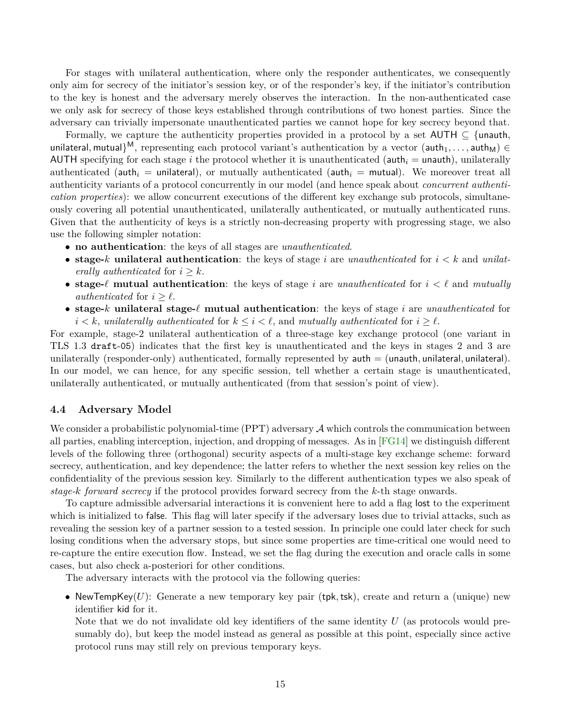<span id="page-14-1"></span>For stages with unilateral authentication, where only the responder authenticates, we consequently only aim for secrecy of the initiator's session key, or of the responder's key, if the initiator's contribution to the key is honest and the adversary merely observes the interaction. In the non-authenticated case we only ask for secrecy of those keys established through contributions of two honest parties. Since the adversary can trivially impersonate unauthenticated parties we cannot hope for key secrecy beyond that.

Formally, we capture the authenticity properties provided in a protocol by a set  $AUTH \subseteq \{$ unauth, unilateral, mutual}<sup>M</sup>, representing each protocol variant's authentication by a vector (auth<sub>1</sub>, ..., auth<sub>M</sub>) ∈ AUTH specifying for each stage  $i$  the protocol whether it is unauthenticated ( $\text{auth}_i = \text{unauth}$ ), unilaterally authenticated (auth<sub>i</sub> = unilateral), or mutually authenticated (auth<sub>i</sub> = mutual). We moreover treat all authenticity variants of a protocol concurrently in our model (and hence speak about *concurrent authentication properties*): we allow concurrent executions of the different key exchange sub protocols, simultaneously covering all potential unauthenticated, unilaterally authenticated, or mutually authenticated runs. Given that the authenticity of keys is a strictly non-decreasing property with progressing stage, we also use the following simpler notation:

- **no authentication**: the keys of all stages are *unauthenticated*.
- **stage-***k* **unilateral authentication**: the keys of stage *i* are *unauthenticated* for *i < k* and *unilaterally authenticated* for  $i \geq k$ .
- **stage-** $\ell$  **mutual authentication**: the keys of stage *i* are *unauthenticated* for  $i < \ell$  and *mutually authenticated* for  $i \geq \ell$ .
- **stage-***k* **unilateral stage-***`* **mutual authentication**: the keys of stage *i* are *unauthenticated* for  $i < k$ , *unilaterally authenticated* for  $k \leq i < \ell$ , and *mutually authenticated* for  $i \geq \ell$ .

For example, stage-2 unilateral authentication of a three-stage key exchange protocol (one variant in TLS 1.3 draft-05) indicates that the first key is unauthenticated and the keys in stages 2 and 3 are unilaterally (responder-only) authenticated, formally represented by auth = (unauth*,* unilateral*,* unilateral). In our model, we can hence, for any specific session, tell whether a certain stage is unauthenticated, unilaterally authenticated, or mutually authenticated (from that session's point of view).

### <span id="page-14-0"></span>**4.4 Adversary Model**

We consider a probabilistic polynomial-time (PPT) adversary  $A$  which controls the communication between all parties, enabling interception, injection, and dropping of messages. As in [\[FG14\]](#page-43-4) we distinguish different levels of the following three (orthogonal) security aspects of a multi-stage key exchange scheme: forward secrecy, authentication, and key dependence; the latter refers to whether the next session key relies on the confidentiality of the previous session key. Similarly to the different authentication types we also speak of *stage-k forward secrecy* if the protocol provides forward secrecy from the *k*-th stage onwards.

To capture admissible adversarial interactions it is convenient here to add a flag lost to the experiment which is initialized to false. This flag will later specify if the adversary loses due to trivial attacks, such as revealing the session key of a partner session to a tested session. In principle one could later check for such losing conditions when the adversary stops, but since some properties are time-critical one would need to re-capture the entire execution flow. Instead, we set the flag during the execution and oracle calls in some cases, but also check a-posteriori for other conditions.

The adversary interacts with the protocol via the following queries:

• NewTempKey(*U*): Generate a new temporary key pair (tpk*,*tsk), create and return a (unique) new identifier kid for it.

Note that we do not invalidate old key identifiers of the same identity *U* (as protocols would presumably do), but keep the model instead as general as possible at this point, especially since active protocol runs may still rely on previous temporary keys.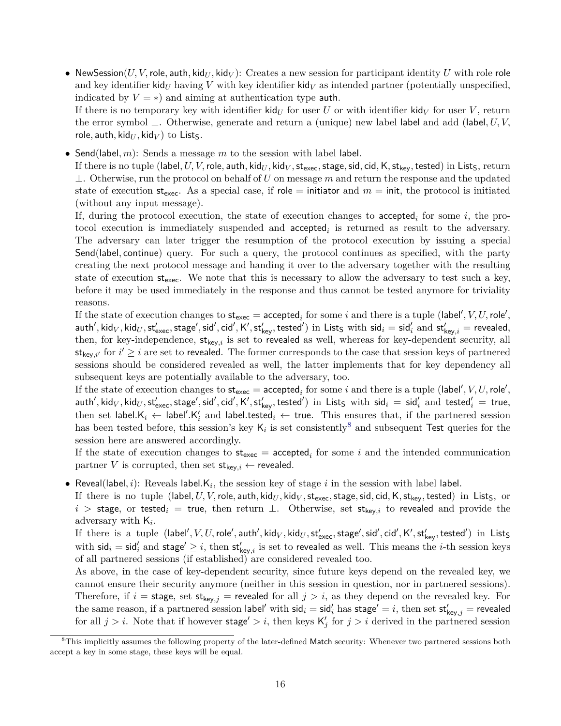• NewSession(*U, V,* role, auth, kid<sub>*U*</sub>, kid<sub>*V*</sub>): Creates a new session for participant identity *U* with role role and key identifier kid<sub>*U*</sub> having *V* with key identifier kid<sub>*V*</sub> as intended partner (potentially unspecified, indicated by  $V = \ast$ ) and aiming at authentication type **auth**.

If there is no temporary key with identifier kid<sub>*U*</sub> for user *U* or with identifier kid<sub>*V*</sub> for user *V*, return the error symbol ⊥. Otherwise, generate and return a (unique) new label label and add (label*, U, V,* role, auth, kid $_U$ , kid $_V$ ) to Lists.

• Send(label*, m*): Sends a message *m* to the session with label label.

If there is no tuple (label,  $U, V$ , role, auth, kid $_U$ , kid $_V$ , st<sub>exec</sub>, stage, sid, cid, K, st<sub>key</sub>, tested) in List<sub>S</sub>, return ⊥. Otherwise, run the protocol on behalf of *U* on message *m* and return the response and the updated state of execution  $st_{exec}$ . As a special case, if role = initiator and  $m = \text{init}$ , the protocol is initiated (without any input message).

If, during the protocol execution, the state of execution changes to accepted<sub>i</sub> for some  $i$ , the protocol execution is immediately suspended and  $\alpha$  accepted<sub>i</sub> is returned as result to the adversary. The adversary can later trigger the resumption of the protocol execution by issuing a special Send(label*,* continue) query. For such a query, the protocol continues as specified, with the party creating the next protocol message and handing it over to the adversary together with the resulting state of execution  $st_{\text{exec}}$ . We note that this is necessary to allow the adversary to test such a key, before it may be used immediately in the response and thus cannot be tested anymore for triviality reasons.

If the state of execution changes to  $\mathsf{st}_{\mathsf{exec}} = \mathsf{accepted}_i$  for some  $i$  and there is a tuple (label',  $V, U, \mathsf{role}',$  $\mathsf{auth}', \mathsf{kid}_V, \mathsf{kid}_U, \mathsf{st}'_\mathsf{exec}, \mathsf{stage}', \mathsf{sid}', \mathsf{cid}', \mathsf{K}', \mathsf{st}'_\mathsf{key}, \mathsf{tested}') \text{ in } \mathsf{List}_\mathsf{S} \text{ with } \mathsf{sid}_i = \mathsf{sid}'_i \text{ and } \mathsf{st}'_\mathsf{key,i} = \mathsf{revealed},$ then, for key-independence,  $st_{key,i}$  is set to revealed as well, whereas for key-dependent security, all  $\mathsf{st}_{\mathsf{key},i'}$  for  $i' \geq i$  are set to revealed. The former corresponds to the case that session keys of partnered sessions should be considered revealed as well, the latter implements that for key dependency all subsequent keys are potentially available to the adversary, too.

If the state of execution changes to  $\mathsf{st}_{\mathsf{exec}} = \mathsf{accepted}_i$  for some  $i$  and there is a tuple (label',  $V, U, \mathsf{role}',$  $\mathsf{auth}', \mathsf{kid}_V, \mathsf{kid}_U, \mathsf{st}'_\mathsf{exec}, \mathsf{stage}', \mathsf{sid}', \mathsf{cid}', \mathsf{K}', \mathsf{st}'_\mathsf{key}, \mathsf{tested}') \text{ in } \mathsf{List}_\mathsf{S} \text{ with } \mathsf{sid}_i \ = \ \mathsf{sid}'_i \text{ and } \mathsf{tested}'_i \ = \ \mathsf{true},$ then set label. $K_i \leftarrow$  label'. $K'_i$  and label.tested $_i \leftarrow$  true. This ensures that, if the partnered session has been tested before, this session's key  $\mathsf{K}_i$  is set consistently<sup>[8](#page-15-0)</sup> and subsequent Test queries for the session here are answered accordingly.

If the state of execution changes to  $st_{exec}$  = accepted<sub>*i*</sub> for some *i* and the intended communication partner *V* is corrupted, then set  $st_{key,i} \leftarrow$  revealed.

• Reveal(label,  $i$ ): Reveals label. $K_i$ , the session key of stage  $i$  in the session with label label.

If there is no tuple (label,  $U, V$ , role, auth, kid $_U$ , kid $_V$ , st<sub>exec</sub>, stage, sid, cid, K, st<sub>kev</sub>, tested) in List<sub>S</sub>, or  $i >$  stage, or tested<sub>i</sub> = true, then return  $\perp$ . Otherwise, set st<sub>key,i</sub> to revealed and provide the adversary with K*<sup>i</sup>* .

 $\rm{If~there~ is~ a~ tuple~ (label', *V, U, role', author, kid<sub>V</sub>, kid<sub>U</sub>, st<sub>exec</sub>, stage', sid', cid', K', st<sub>key</sub>, tested')~ in~ List<sub>S</sub>}*$ with  $\mathsf{sid}_i = \mathsf{sid}_i'$  and  $\mathsf{stage}' \geq i$ , then  $\mathsf{st}'_{\mathsf{key},i}$  is set to revealed as well. This means the *i*-th session keys of all partnered sessions (if established) are considered revealed too.

As above, in the case of key-dependent security, since future keys depend on the revealed key, we cannot ensure their security anymore (neither in this session in question, nor in partnered sessions). Therefore, if  $i =$  stage, set st<sub>key,j</sub> = revealed for all  $j > i$ , as they depend on the revealed key. For the same reason, if a partnered session label' with  $\mathsf{sid}_i = \mathsf{sid}_i'$  has  $\mathsf{stage}' = i$ , then set  $\mathsf{st}'_{\mathsf{key},j} = \mathsf{revealed}$ for all  $j > i$ . Note that if however stage'  $> i$ , then keys  $\mathsf{K}'_j$  for  $j > i$  derived in the partnered session

<span id="page-15-0"></span><sup>&</sup>lt;sup>8</sup>This implicitly assumes the following property of the later-defined Match security: Whenever two partnered sessions both accept a key in some stage, these keys will be equal.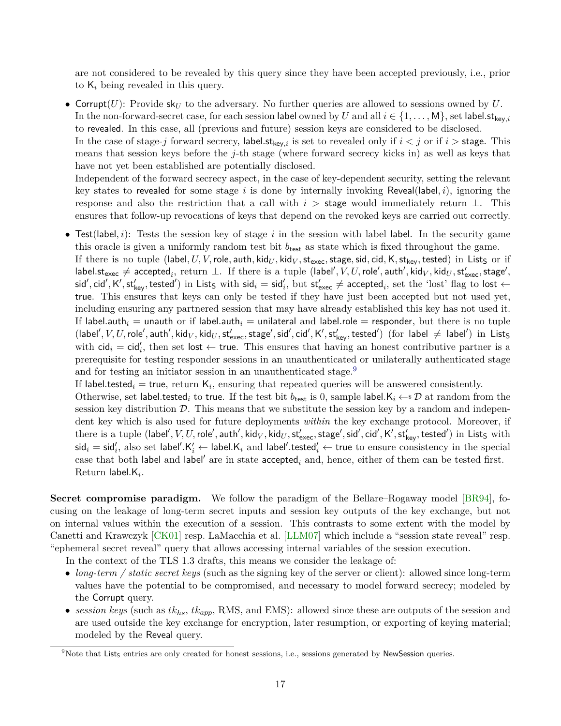<span id="page-16-1"></span>are not considered to be revealed by this query since they have been accepted previously, i.e., prior to K*<sup>i</sup>* being revealed in this query.

• Corrupt $(U)$ : Provide sk<sub>*U*</sub> to the adversary. No further queries are allowed to sessions owned by  $U$ . In the non-forward-secret case, for each session label owned by *U* and all  $i \in \{1, \ldots, M\}$ , set label.  $\mathsf{st}_{\mathsf{key},i}$ to revealed. In this case, all (previous and future) session keys are considered to be disclosed.

In the case of stage-*j* forward secrecy, label.  $\mathsf{st}_{\mathsf{kev},i}$  is set to revealed only if  $i < j$  or if  $i >$  stage. This means that session keys before the *j*-th stage (where forward secrecy kicks in) as well as keys that have not yet been established are potentially disclosed.

Independent of the forward secrecy aspect, in the case of key-dependent security, setting the relevant key states to revealed for some stage *i* is done by internally invoking Reveal(label*, i*), ignoring the response and also the restriction that a call with  $i >$  stage would immediately return  $\perp$ . This ensures that follow-up revocations of keys that depend on the revoked keys are carried out correctly.

• Test(label*, i*): Tests the session key of stage *i* in the session with label label. In the security game this oracle is given a uniformly random test bit  $b_{\text{test}}$  as state which is fixed throughout the game. If there is no tuple (label,  $U, V$ , role, auth, kid $_U$ , kid $_V$ , st<sub>exec</sub>, stage, sid, cid, K, st<sub>key</sub>, tested) in List<sub>S</sub> or if  $\mathsf{label} \mathsf{label}$ ,  $\mathsf{label}$ , return  $\bot$ . If there is a tuple (label $',V,U,\mathsf{role}',\mathsf{auth}',\mathsf{kid}_U,\mathsf{std}_U,\mathsf{st}'_\mathsf{exec},\mathsf{stage}',\mathsf{map}'$  $\mathsf{sid}', \mathsf{cid}', \mathsf{K}', \mathsf{st}'_{\mathsf{key}}, \mathsf{tested}')$  in List<sub>S</sub> with  $\mathsf{sid}_i = \mathsf{sid}'_i, \text{ but } \mathsf{st}'_{\mathsf{exec}} \neq \mathsf{accepted}_i, \text{ set the 'lost'} \mathsf{flag to lost} \leftarrow \mathsf{cost}$ true. This ensures that keys can only be tested if they have just been accepted but not used yet, including ensuring any partnered session that may have already established this key has not used it. If label.auth<sub>i</sub> = unauth or if label.auth<sub>i</sub> = unilateral and label.role = responder, but there is no tuple  $(\mathsf{label}', V, U, \mathsf{role}', \mathsf{auth}', \mathsf{kid}_V, \mathsf{kid}_U, \mathsf{st}'_\mathsf{exec}, \mathsf{stage}', \mathsf{sid}', \mathsf{cid}', \mathsf{K}', \mathsf{st}'_\mathsf{key}, \mathsf{tested}') \;\; (\text{for label} \neq \mathsf{label}') \;\; \text{in } \;\mathsf{List}_\mathsf{S}$ with  $\text{cid}_i = \text{cid}'_i$ , then set lost  $\leftarrow$  true. This ensures that having an honest contributive partner is a prerequisite for testing responder sessions in an unauthenticated or unilaterally authenticated stage and for testing an initiator session in an unauthenticated stage.<sup>[9](#page-16-0)</sup>

If label.tested $_i$  = true, return  $\mathsf{K}_i$ , ensuring that repeated queries will be answered consistently.

Otherwise, set label.tested<sub>*i*</sub> to true. If the test bit  $b_{test}$  is 0, sample label. $K_i \leftarrow \mathcal{D}$  at random from the session key distribution  $\mathcal{D}$ . This means that we substitute the session key by a random and independent key which is also used for future deployments *within* the key exchange protocol. Moreover, if  $\phi$  there is a tuple (label $',V,U,$  role $',$  auth $',$  kid $_V$ , kid $_U$ , st $'_{\rm exec}$ , stage $',$  sid $',$  cid $',$  K $',$  st $'_{\rm key},$  tested $')$  in List $_{\rm S}$  with  $\mathsf{sid}_i = \mathsf{sid}_i',$  also set label $'.\mathsf{K}_i' \leftarrow$  label. $\mathsf{K}_i$  and label $'.\mathsf{tested}_i' \leftarrow \mathsf{true}$  to ensure consistency in the special case that both label and label<sup>'</sup> are in state  $\operatorname{accepted}_i$  and, hence, either of them can be tested first. Return label*.*K*<sup>i</sup>* .

**Secret compromise paradigm.** We follow the paradigm of the Bellare–Rogaway model [\[BR94\]](#page-42-6), focusing on the leakage of long-term secret inputs and session key outputs of the key exchange, but not on internal values within the execution of a session. This contrasts to some extent with the model by Canetti and Krawczyk [\[CK01\]](#page-42-9) resp. LaMacchia et al. [\[LLM07\]](#page-44-7) which include a "session state reveal" resp. "ephemeral secret reveal" query that allows accessing internal variables of the session execution.

In the context of the TLS 1.3 drafts, this means we consider the leakage of:

- *long-term / static secret keys* (such as the signing key of the server or client): allowed since long-term values have the potential to be compromised, and necessary to model forward secrecy; modeled by the Corrupt query.
- *session keys* (such as  $tk_{hs}$ ,  $tk_{app}$ , RMS, and EMS): allowed since these are outputs of the session and are used outside the key exchange for encryption, later resumption, or exporting of keying material; modeled by the Reveal query.

<span id="page-16-0"></span><sup>&</sup>lt;sup>9</sup>Note that List<sub>S</sub> entries are only created for honest sessions, i.e., sessions generated by NewSession queries.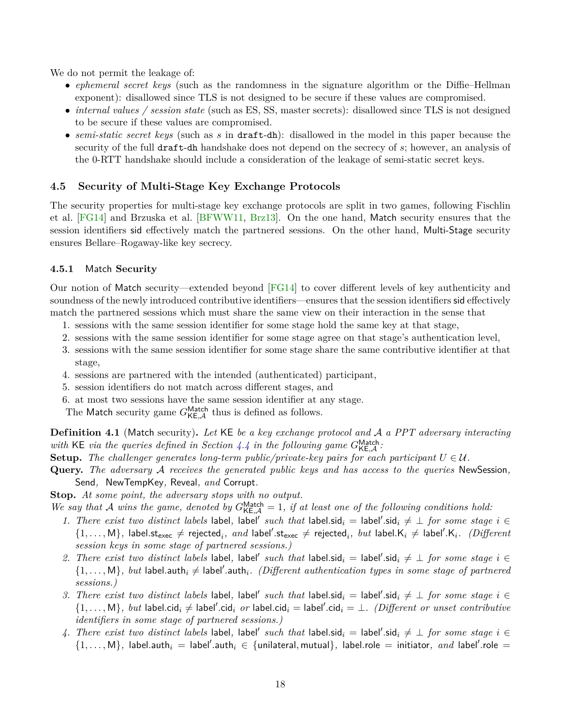<span id="page-17-2"></span>We do not permit the leakage of:

- *ephemeral secret keys* (such as the randomness in the signature algorithm or the Diffie–Hellman exponent): disallowed since TLS is not designed to be secure if these values are compromised.
- *internal values / session state* (such as ES, SS, master secrets): disallowed since TLS is not designed to be secure if these values are compromised.
- *semi-static secret keys* (such as *s* in draft-dh): disallowed in the model in this paper because the security of the full draft-dh handshake does not depend on the secrecy of *s*; however, an analysis of the 0-RTT handshake should include a consideration of the leakage of semi-static secret keys.

## <span id="page-17-0"></span>**4.5 Security of Multi-Stage Key Exchange Protocols**

The security properties for multi-stage key exchange protocols are split in two games, following Fischlin et al. [\[FG14\]](#page-43-4) and Brzuska et al. [\[BFWW11,](#page-42-2) [Brz13\]](#page-42-7). On the one hand, Match security ensures that the session identifiers sid effectively match the partnered sessions. On the other hand, Multi-Stage security ensures Bellare–Rogaway-like key secrecy.

#### <span id="page-17-1"></span>**4.5.1** Match **Security**

Our notion of Match security—extended beyond [\[FG14\]](#page-43-4) to cover different levels of key authenticity and soundness of the newly introduced contributive identifiers—ensures that the session identifiers sid effectively match the partnered sessions which must share the same view on their interaction in the sense that

- 1. sessions with the same session identifier for some stage hold the same key at that stage,
- 2. sessions with the same session identifier for some stage agree on that stage's authentication level,
- 3. sessions with the same session identifier for some stage share the same contributive identifier at that stage,
- 4. sessions are partnered with the intended (authenticated) participant,
- 5. session identifiers do not match across different stages, and
- 6. at most two sessions have the same session identifier at any stage.

The Match security game  $G_{\mathsf{KE},\mathcal{A}}^{\mathsf{Match}}$  thus is defined as follows.

**Def inition 4.1** (Match security)**.** *Let* KE *be a key exchange protocol and* A *a PPT adversary interacting* with KE via the queries defined in Section [4.4](#page-14-0) in the following game  $G_{\text{KE},\mathcal{A}}^{\text{Match}}$ .

- **Setup.** The challenger generates long-term public/private-key pairs for each participant  $U \in \mathcal{U}$ .
- **Query.** *The adversary* A *receives the generated public keys and has access to the queries* NewSession*,* Send*,* NewTempKey*,* Reveal*, and* Corrupt*.*

**Stop.** *At some point, the adversary stops with no output.*

We say that A wins the game, denoted by  $G_{\text{KE},\mathcal{A}}^{\text{Match}} = 1$ , if at least one of the following conditions hold:

- 1. There exist two distinct labels label, label' such that label.sid<sub>i</sub> = label'.sid<sub>i</sub>  $\neq \bot$  for some stage  $i \in$  $\{1,\ldots,M\}$ , label.st<sub>exec</sub>  $\neq$  rejected<sub>*i*</sub>, and label'.st<sub>exec</sub>  $\neq$  rejected<sub>*i*</sub>, but label.K<sub>i</sub>  $\neq$  label'.K<sub>i</sub>. (Different *session keys in some stage of partnered sessions.)*
- 2. There exist two distinct labels label, label' such that label.sid<sub>i</sub> = label'.sid<sub>i</sub>  $\neq \bot$  *for some stage*  $i \in$  $\{1,\ldots,M\}$ , but label.auth<sub>i</sub>  $\neq$  label'.auth<sub>i</sub>. (Different authentication types in some stage of partnered *sessions.)*
- 3. There exist two distinct labels label, label' such that label.sid<sub>i</sub> = label'.sid<sub>i</sub>  $\neq \bot$  for some stage  $i \in$  $\{1,\ldots,M\}$ , but label.cid $_i \neq$  label'.cid $_i$  or label.cid $_i =$  label'.cid $_i = \bot$ . *(Different or unset contributive identifiers in some stage of partnered sessions.)*
- 4. *There exist two distinct labels* label, label' such that label.sid<sub>i</sub> = label'.sid<sub>i</sub>  $\neq \bot$  *for some stage*  $i \in$  $\{1,\ldots,M\}$ , label.auth $_i =$  label'.auth $_i \in \{$ unilateral, mutual $\}$ , label.role = initiator, and label'.role =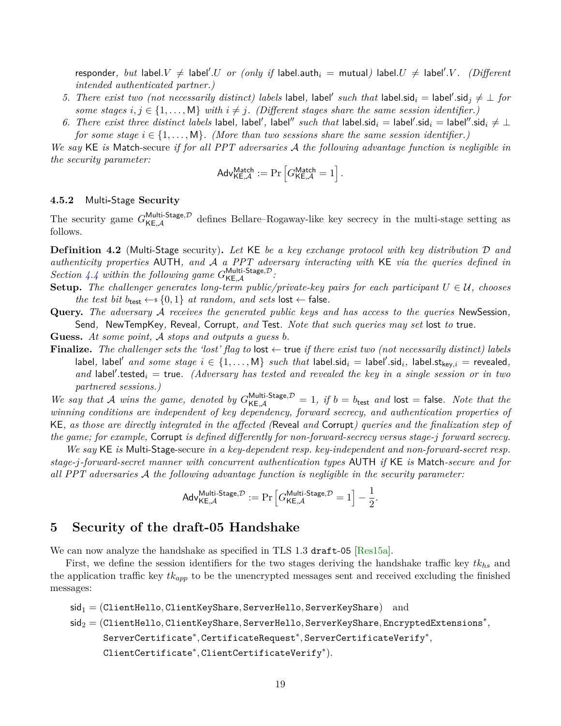<span id="page-18-2"></span> $\mathsf{respectively,}~but~\mathsf{label}.U \,\neq\, \mathsf{label}.U~~or~(only~\mathit{if}~\mathsf{label}.\mathsf{auth}_i~=~\mathsf{mutual})~\mathsf{label}.U \,\neq\, \mathsf{label}'.V.$   $\quad$ *intended authenticated partner.)*

- 5. There exist two (not necessarily distinct) labels label, label' such that label.sid<sub>i</sub> = label'.sid<sub>j</sub>  $\neq \perp$  for *some stages*  $i, j \in \{1, \ldots, M\}$  *with*  $i \neq j$ *. (Different stages share the same session identifier.)*
- 6. There exist three distinct labels label, label', label'' such that label.sid<sub>i</sub> = label'.sid<sub>i</sub> = label''.sid<sub>i</sub>  $\neq \bot$ *for some stage*  $i \in \{1, \ldots, M\}$ . (More than two sessions share the same session identifier.)

*We say* KE *is* Match-secure *if for all PPT adversaries* A *the following advantage function is negligible in the security parameter:*

$$
\mathsf{Adv}_{\mathsf{KE}, \mathcal{A}}^{\mathsf{Match}} := \Pr \left[ G_{\mathsf{KE}, \mathcal{A}}^{\mathsf{Match}} = 1 \right].
$$

#### <span id="page-18-0"></span>**4.5.2** Multi**-**Stage **Security**

The security game  $G_{\mathsf{KE},\mathcal{A}}^{\mathsf{Multi\text{-}Stage},\mathcal{D}}$  defines Bellare–Rogaway-like key secrecy in the multi-stage setting as follows.

<span id="page-18-3"></span>**Def inition 4.2** (Multi-Stage security)**.** *Let* KE *be a key exchange protocol with key distribution* D *and authenticity properties* AUTH*, and* A *a PPT adversary interacting with* KE *via the queries defined in Section* [4.4](#page-14-0) within the following game  $G_{\mathsf{KE},\mathcal{A}}^{\mathsf{Multi-Stage},\mathcal{D}}$ :

- **Setup.** The challenger generates long-term public/private-key pairs for each participant  $U \in \mathcal{U}$ , chooses *the test bit*  $b_{\text{test}} \leftarrow s \{0, 1\}$  *at random, and sets* lost  $\leftarrow$  false.
- **Query.** *The adversary* A *receives the generated public keys and has access to the queries* NewSession*,* Send*,* NewTempKey*,* Reveal*,* Corrupt*, and* Test*. Note that such queries may set* lost *to* true*.*
- **Guess.** *At some point,* A *stops and outputs a guess b.*
- **Finalize.** The challenger sets the 'lost' flag to  $\vert \text{ost} \rangle$  true if there exist two (not necessarily distinct) labels  $\{a,b,c\}$  and some stage  $i \in \{1,\ldots,M\}$  such that  $\mathsf{label}$ .sid $_i = \mathsf{label}$ .sid $_i$ ,  $\mathsf{label}$ .st<sub>key,</sub> $i = \mathsf{reweighted}$ , and label'.tested<sub>i</sub> = true. (Adversary has tested and revealed the key in a single session or in two *partnered sessions.)*

We say that A wins the game, denoted by  $G_{\text{KE},\mathcal{A}}^{\text{Multi-Stage},\mathcal{D}} = 1$ , if  $b = b_{\text{test}}$  and  $\text{lost} = \text{false}$ . Note that the *winning conditions are independent of key dependency, forward secrecy, and authentication properties of* KE*, as those are directly integrated in the affected (*Reveal *and* Corrupt*) queries and the finalization step of the game; for example,* Corrupt *is defined differently for non-forward-secrecy versus stage-j forward secrecy.*

*We say* KE *is* Multi-Stage-secure *in a key-dependent resp. key-independent and non-forward-secret resp. stage-j-forward-secret manner with concurrent authentication types* AUTH *if* KE *is* Match*-secure and for all PPT adversaries* A *the following advantage function is negligible in the security parameter:*

$$
\mathsf{Adv}_{\mathsf{KE}, \mathcal{A}}^{\mathsf{Multi\text{-}Stage}, \mathcal{D}} := \Pr\left[G_{\mathsf{KE}, \mathcal{A}}^{\mathsf{Multi\text{-}Stage}, \mathcal{D}} = 1\right] - \frac{1}{2}.
$$

## <span id="page-18-1"></span>**5 Security of the draft-05 Handshake**

We can now analyze the handshake as specified in TLS 1.3 draft-05 [\[Res15a\]](#page-44-2).

First, we define the session identifiers for the two stages deriving the handshake traffic key *tkhs* and the application traffic key *tkapp* to be the unencrypted messages sent and received excluding the finished messages:

```
sid1 = (ClientHello, ClientKeyShare, ServerHello, ServerKeyShare) and
sid2 = (ClientHello, ClientKeyShare, ServerHello, ServerKeyShare, EncryptedExtensions∗
,
       ServerCertificate∗
, CertificateRequest∗
, ServerCertificateVerify∗
,
       ClientCertificate∗
, ClientCertificateVerify∗
).
```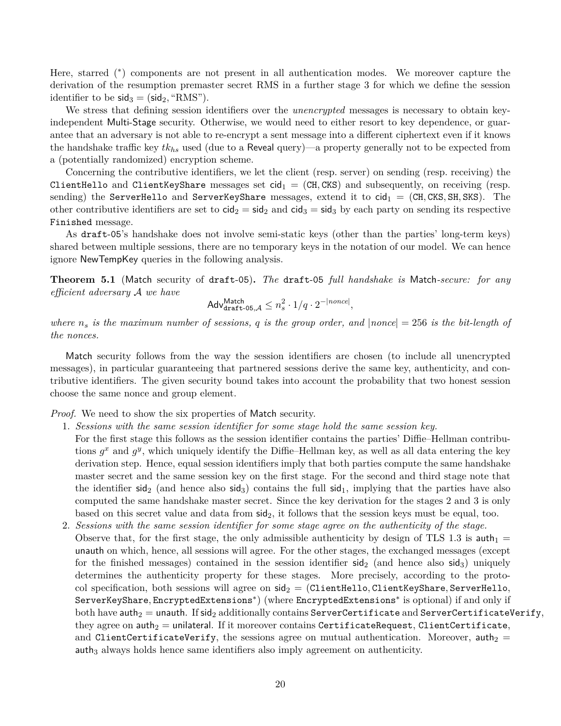Here, starred (\*) components are not present in all authentication modes. We moreover capture the derivation of the resumption premaster secret RMS in a further stage 3 for which we define the session identifier to be  $\mathsf{sid}_3 = (\mathsf{sid}_2, \text{``RMS''}).$ 

We stress that defining session identifiers over the *unencrypted* messages is necessary to obtain keyindependent Multi-Stage security. Otherwise, we would need to either resort to key dependence, or guarantee that an adversary is not able to re-encrypt a sent message into a different ciphertext even if it knows the handshake traffic key *tkhs* used (due to a Reveal query)—a property generally not to be expected from a (potentially randomized) encryption scheme.

Concerning the contributive identifiers, we let the client (resp. server) on sending (resp. receiving) the ClientHello and ClientKeyShare messages set  $cid_1 = (CH, CKS)$  and subsequently, on receiving (resp. sending) the ServerHello and ServerKeyShare messages, extend it to  $\text{cid}_1 = (\text{CH}, \text{CKS}, \text{SH}, \text{SKS})$ . The other contributive identifiers are set to  $\text{cid}_2 = \text{sid}_2$  and  $\text{cid}_3 = \text{sid}_3$  by each party on sending its respective Finished message.

As draft-05's handshake does not involve semi-static keys (other than the parties' long-term keys) shared between multiple sessions, there are no temporary keys in the notation of our model. We can hence ignore NewTempKey queries in the following analysis.

<span id="page-19-0"></span>**Theorem 5.1** (Match security of draft-05)**.** *The* draft-05 *full handshake is* Match*-secure: for any efficient adversary* A *we have*

$$
\mathsf{Adv}_{\mathsf{draff}\text{-}\mathsf{05},\mathcal{A}}^{\mathsf{Match}} \leq n_s^2 \cdot 1/q \cdot 2^{-|none|},
$$

*where*  $n_s$  *is the maximum number of sessions, q is the group order, and*  $|none| = 256$  *is the bit-length of the nonces.*

Match security follows from the way the session identifiers are chosen (to include all unencrypted messages), in particular guaranteeing that partnered sessions derive the same key, authenticity, and contributive identifiers. The given security bound takes into account the probability that two honest session choose the same nonce and group element.

*Proof.* We need to show the six properties of Match security.

- 1. *Sessions with the same session identifier for some stage hold the same session key.*
	- For the first stage this follows as the session identifier contains the parties' Diffie–Hellman contributions  $g^x$  and  $g^y$ , which uniquely identify the Diffie–Hellman key, as well as all data entering the key derivation step. Hence, equal session identifiers imply that both parties compute the same handshake master secret and the same session key on the first stage. For the second and third stage note that the identifier  $\text{sid}_2$  (and hence also  $\text{sid}_3$ ) contains the full  $\text{sid}_1$ , implying that the parties have also computed the same handshake master secret. Since the key derivation for the stages 2 and 3 is only based on this secret value and data from  $\text{sid}_2$ , it follows that the session keys must be equal, too.
- 2. *Sessions with the same session identifier for some stage agree on the authenticity of the stage.* Observe that, for the first stage, the only admissible authenticity by design of TLS 1.3 is  $\text{auth}_1 =$ unauth on which, hence, all sessions will agree. For the other stages, the exchanged messages (except for the finished messages) contained in the session identifier  $\text{sid}_2$  (and hence also  $\text{sid}_3$ ) uniquely determines the authenticity property for these stages. More precisely, according to the protocol specification, both sessions will agree on  $sig_2 = (ClientHello, ClientKeyShare, ServerHello,$ ServerKeyShare*,* EncryptedExtensions<sup>∗</sup> ) (where EncryptedExtensions<sup>∗</sup> is optional) if and only if both have auth<sub>2</sub> = unauth. If sid<sub>2</sub> additionally contains ServerCertificate and ServerCertificateVerify, they agree on  $\text{auth}_2 = \text{unilateral}$ . If it moreover contains CertificateRequest, ClientCertificate, and ClientCertificateVerify, the sessions agree on mutual authentication. Moreover,  $\text{auth}_2 =$ auth<sub>3</sub> always holds hence same identifiers also imply agreement on authenticity.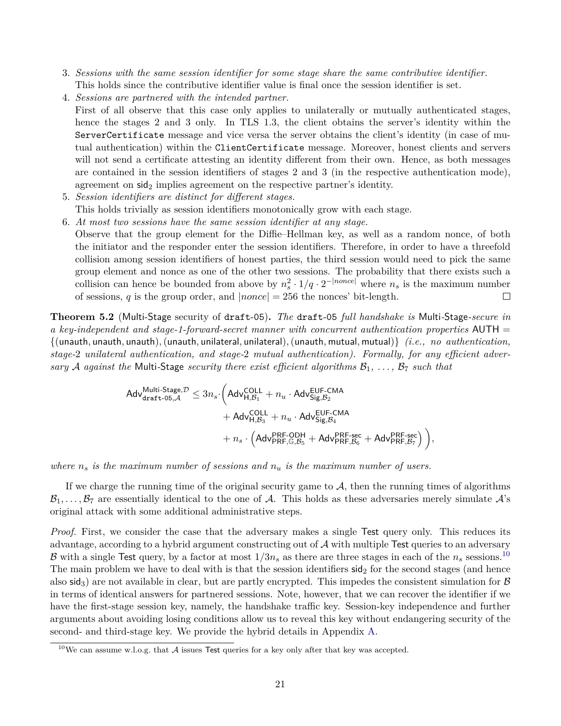- 3. *Sessions with the same session identifier for some stage share the same contributive identifier.* This holds since the contributive identifier value is final once the session identifier is set.
- 4. *Sessions are partnered with the intended partner.*
- First of all observe that this case only applies to unilaterally or mutually authenticated stages, hence the stages 2 and 3 only. In TLS 1.3, the client obtains the server's identity within the ServerCertificate message and vice versa the server obtains the client's identity (in case of mutual authentication) within the ClientCertificate message. Moreover, honest clients and servers will not send a certificate attesting an identity different from their own. Hence, as both messages are contained in the session identifiers of stages 2 and 3 (in the respective authentication mode), agreement on  $\operatorname{sid}_2$  implies agreement on the respective partner's identity.
- 5. *Session identifiers are distinct for different stages.* This holds trivially as session identifiers monotonically grow with each stage.
- 6. *At most two sessions have the same session identifier at any stage.*
- Observe that the group element for the Diffie–Hellman key, as well as a random nonce, of both the initiator and the responder enter the session identifiers. Therefore, in order to have a threefold collision among session identifiers of honest parties, the third session would need to pick the same group element and nonce as one of the other two sessions. The probability that there exists such a collision can hence be bounded from above by  $n_s^2 \cdot 1/q \cdot 2^{-|nonce|}$  where  $n_s$  is the maximum number of sessions,  $q$  is the group order, and  $|none| = 256$  the nonces' bit-length.  $\Box$

<span id="page-20-0"></span>**Theorem 5.2** (Multi-Stage security of draft-05)**.** *The* draft-05 *full handshake is* Multi*-*Stage*-secure in a key-independent and stage-1-forward-secret manner with concurrent authentication properties* AUTH = {(unauth*,* unauth*,* unauth)*,*(unauth*,* unilateral*,* unilateral)*,*(unauth*,* mutual*,* mutual)} *(i.e., no authentication, stage-*2 *unilateral authentication, and stage-*2 *mutual authentication). Formally, for any efficient adversary* A *against the* Multi-Stage *security there exist efficient algorithms*  $B_1, \ldots, B_7$  *such that* 

$$
\begin{aligned} \mathsf{Adv}_{\mathsf{draff}\text{-}\mathsf{05},\mathcal{A}}^{\mathsf{Multi\text{-}Stage},\mathcal{D}} &\leq 3n_s\cdot \bigg( \mathsf{Adv}_{\mathsf{H},\mathcal{B}_1}^{\mathsf{COLL}} + n_u\cdot \mathsf{Adv}_{\mathsf{Sig},\mathcal{B}_2}^{\mathsf{EUF}\text{-}\mathsf{CMA}} \\ &+ \mathsf{Adv}_{\mathsf{H},\mathcal{B}_3}^{\mathsf{COLL}} + n_u\cdot \mathsf{Adv}_{\mathsf{Sig},\mathcal{B}_4}^{\mathsf{EUF}\text{-}\mathsf{CMA}} \\ &+ n_s\cdot \left( \mathsf{Adv}_{\mathsf{PRF},\mathbb{G},\mathcal{B}_5}^{\mathsf{PRF}\text{-}\mathsf{QDH}} + \mathsf{Adv}_{\mathsf{PRF},\mathcal{B}_6}^{\mathsf{PRF}\text{-}\mathsf{sec}} + \mathsf{Adv}_{\mathsf{PRF},\mathcal{B}_7}^{\mathsf{PRF}\text{-}\mathsf{sec}} \right) \bigg), \end{aligned}
$$

*where n<sup>s</sup> is the maximum number of sessions and n<sup>u</sup> is the maximum number of users.*

If we charge the running time of the original security game to  $A$ , then the running times of algorithms  $B_1, \ldots, B_7$  are essentially identical to the one of A. This holds as these adversaries merely simulate  $A$ 's original attack with some additional administrative steps.

*Proof.* First, we consider the case that the adversary makes a single Test query only. This reduces its advantage, according to a hybrid argument constructing out of  $A$  with multiple Test queries to an adversary B with a single Test query, by a factor at most  $1/3n_s$  as there are three stages in each of the  $n_s$  sessions.<sup>[10](#page-20-1)</sup> The main problem we have to deal with is that the session identifiers  $\text{sid}_2$  for the second stages (and hence also sid<sub>3</sub>) are not available in clear, but are partly encrypted. This impedes the consistent simulation for  $\beta$ in terms of identical answers for partnered sessions. Note, however, that we can recover the identifier if we have the first-stage session key, namely, the handshake traffic key. Session-key independence and further arguments about avoiding losing conditions allow us to reveal this key without endangering security of the second- and third-stage key. We provide the hybrid details in Appendix [A.](#page-44-0)

<span id="page-20-1"></span><sup>&</sup>lt;sup>10</sup>We can assume w.l.o.g. that  $A$  issues Test queries for a key only after that key was accepted.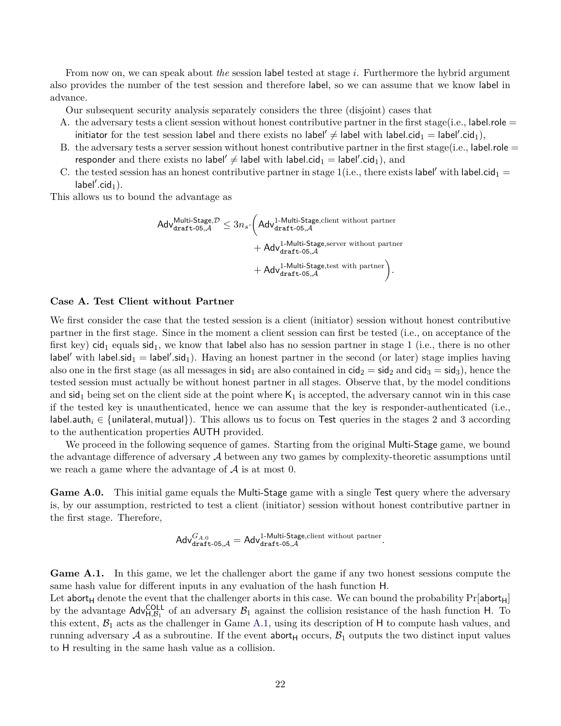From now on, we can speak about *the* session label tested at stage *i*. Furthermore the hybrid argument also provides the number of the test session and therefore label, so we can assume that we know label in advance.

Our subsequent security analysis separately considers the three (disjoint) cases that

- A. the adversary tests a client session without honest contributive partner in the first stage(i.e., label.role = initiator for the test session label and there exists no label'  $\neq$  label with label.cid<sub>1</sub> = label'.cid<sub>1</sub>),
- B. the adversary tests a server session without honest contributive partner in the first stage(i.e., label.role = responder and there exists no label'  $\neq$  label with label.cid<sub>1</sub>  $=$  label'.cid<sub>1</sub>), and
- C. the tested session has an honest contributive partner in stage 1(i.e., there exists label' with label.cid<sub>1</sub> =  $label'.cid_1).$

This allows us to bound the advantage as

$$
\begin{aligned} \mathsf{Adv}_{\texttt{draff-05}, \mathcal{A}}^{\text{Multi-Stage}, \mathcal{D}} &\leq 3n_s \cdot \bigg( \mathsf{Adv}_{\texttt{draff-05}, \mathcal{A}}^{\text{1-Multi-Stage, client without partner}} \\ &+ \mathsf{Adv}_{\texttt{draff-05}, \mathcal{A}}^{\text{1-Multi-Stage, server without partner}} \\ &+ \mathsf{Adv}_{\texttt{draff-05}, \mathcal{A}}^{\text{1-Multi-Stage, test with partner}} \bigg). \end{aligned}
$$

## **Case A. Test Client without Partner**

We first consider the case that the tested session is a client (initiator) session without honest contributive partner in the first stage. Since in the moment a client session can first be tested (i.e., on acceptance of the first key) cid<sub>1</sub> equals  $sid_1$ , we know that label also has no session partner in stage 1 (i.e., there is no other  $\lambda$ label' with label.sid<sub>1</sub> = label'.sid<sub>1</sub>). Having an honest partner in the second (or later) stage implies having also one in the first stage (as all messages in sid<sub>1</sub> are also contained in  $cid_2 = sid_2$  and  $cid_3 = sid_3$ ), hence the tested session must actually be without honest partner in all stages. Observe that, by the model conditions and  $\text{sid}_1$  being set on the client side at the point where  $\mathsf{K}_1$  is accepted, the adversary cannot win in this case if the tested key is unauthenticated, hence we can assume that the key is responder-authenticated (i.e., label.auth<sub>i</sub> ∈ {unilateral, mutual}). This allows us to focus on Test queries in the stages 2 and 3 according to the authentication properties AUTH provided.

We proceed in the following sequence of games. Starting from the original Multi-Stage game, we bound the advantage difference of adversary  $\mathcal A$  between any two games by complexity-theoretic assumptions until we reach a game where the advantage of  $A$  is at most 0.

**Game A.0.** This initial game equals the Multi-Stage game with a single Test query where the adversary is, by our assumption, restricted to test a client (initiator) session without honest contributive partner in the first stage. Therefore,

$$
\mathsf{Adv}_{\mathsf{dratt-05,} \mathcal{A}}^{G_{A.0}} = \mathsf{Adv}_{\mathsf{dratt-05,} \mathcal{A}}^{1\text{-}Multi\text{-} \mathsf{Stage}, \mathsf{client} \text{ without partner}}.
$$

<span id="page-21-0"></span>Game A.1. In this game, we let the challenger abort the game if any two honest sessions compute the same hash value for different inputs in any evaluation of the hash function H.

Let abort<sub>H</sub> denote the event that the challenger aborts in this case. We can bound the probability  $Pr[$ abort<sub>H</sub>] by the advantage  $\text{Adv}_{H,\mathcal{B}_1}^{\text{COLL}}$  of an adversary  $\mathcal{B}_1$  against the collision resistance of the hash function H. To this extent,  $\mathcal{B}_1$  acts as the challenger in Game [A.1,](#page-21-0) using its description of H to compute hash values, and running adversary A as a subroutine. If the event abort<sub>H</sub> occurs,  $\mathcal{B}_1$  outputs the two distinct input values to H resulting in the same hash value as a collision.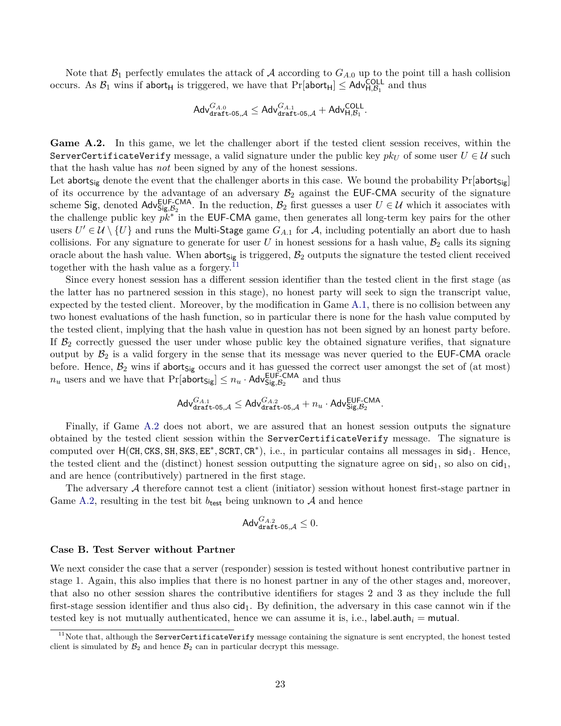Note that  $\mathcal{B}_1$  perfectly emulates the attack of A according to  $G_{A,0}$  up to the point till a hash collision occurs. As  $\mathcal{B}_1$  wins if abort<sub>H</sub> is triggered, we have that  $Pr[\text{abort}_H] \leq \text{Adv}_{H,\mathcal{B}_1}^{\text{COLL}}$  and thus

$$
\mathsf{Adv}_{\mathsf{draff}\text{-}\mathsf{05},\mathcal{A}}^{G_{A.0}} \leq \mathsf{Adv}_{\mathsf{draff}\text{-}\mathsf{05},\mathcal{A}}^{G_{A.1}} + \mathsf{Adv}_{\mathsf{H},\mathcal{B}_1}^{\mathsf{COLL}}.
$$

<span id="page-22-1"></span>Game A.2. In this game, we let the challenger abort if the tested client session receives, within the ServerCertificateVerify message, a valid signature under the public key  $pk<sub>U</sub>$  of some user  $U \in \mathcal{U}$  such that the hash value has *not* been signed by any of the honest sessions.

Let abort<sub>Sig</sub> denote the event that the challenger aborts in this case. We bound the probability  $Pr[abort_{Sig}]$ of its occurrence by the advantage of an adversary  $\mathcal{B}_2$  against the EUF-CMA security of the signature scheme Sig, denoted Adv<sup>EUF-CMA</sup>. In the reduction,  $B_2$  first guesses a user  $U \in \mathcal{U}$  which it associates with the challenge public key *pk*<sup>∗</sup> in the EUF-CMA game, then generates all long-term key pairs for the other users  $U' \in \mathcal{U} \setminus \{U\}$  and runs the Multi-Stage game  $G_{A,1}$  for  $\mathcal{A}$ , including potentially an abort due to hash collisions. For any signature to generate for user *U* in honest sessions for a hash value,  $\mathcal{B}_2$  calls its signing oracle about the hash value. When  $\text{abort}_{Sig}$  is triggered,  $\mathcal{B}_2$  outputs the signature the tested client received together with the hash value as a forgery.<sup>[11](#page-22-0)</sup>

Since every honest session has a different session identifier than the tested client in the first stage (as the latter has no partnered session in this stage), no honest party will seek to sign the transcript value, expected by the tested client. Moreover, by the modification in Game [A.1,](#page-21-0) there is no collision between any two honest evaluations of the hash function, so in particular there is none for the hash value computed by the tested client, implying that the hash value in question has not been signed by an honest party before. If  $\mathcal{B}_2$  correctly guessed the user under whose public key the obtained signature verifies, that signature output by  $\mathcal{B}_2$  is a valid forgery in the sense that its message was never queried to the EUF-CMA oracle before. Hence,  $B_2$  wins if abort<sub>Sig</sub> occurs and it has guessed the correct user amongst the set of (at most)  $n_u$  users and we have that  $Pr[\text{abort}_{\text{Sig}}] \leq n_u \cdot \text{Adv}_{\text{Sig}, \mathcal{B}_2}^{\text{EUF-CMA}}$  and thus

$$
\mathsf{Adv}_{\mathsf{dratt-05}, \mathcal{A}}^{G_{A.1}} \leq \mathsf{Adv}_{\mathsf{dratt-05}, \mathcal{A}}^{G_{A.2}} + n_u \cdot \mathsf{Adv}_{\mathsf{Sig}, \mathcal{B}_2}^{\mathsf{EUF-CMA}}.
$$

Finally, if Game [A.2](#page-22-1) does not abort, we are assured that an honest session outputs the signature obtained by the tested client session within the ServerCertificateVerify message. The signature is computed over  $H(CH, CKS, SH, SKS, EE^*, SCRT, CR^*)$ , i.e., in particular contains all messages in sid<sub>1</sub>. Hence, the tested client and the (distinct) honest session outputting the signature agree on  $sid<sub>1</sub>$ , so also on cid<sub>1</sub>, and are hence (contributively) partnered in the first stage.

The adversary A therefore cannot test a client (initiator) session without honest first-stage partner in Game [A.2,](#page-22-1) resulting in the test bit  $b_{\text{test}}$  being unknown to A and hence

$$
\mathsf{Adv}_{\mathsf{draff}\text{-}\mathsf{05},\mathcal{A}}^{G_{A.2}} \leq 0.
$$

#### **Case B. Test Server without Partner**

We next consider the case that a server (responder) session is tested without honest contributive partner in stage 1. Again, this also implies that there is no honest partner in any of the other stages and, moreover, that also no other session shares the contributive identifiers for stages 2 and 3 as they include the full first-stage session identifier and thus also  $\text{cid}_1$ . By definition, the adversary in this case cannot win if the tested key is not mutually authenticated, hence we can assume it is, i.e., label.auth $i =$  mutual.

<span id="page-22-0"></span> $11$ Note that, although the ServerCertificateVerify message containing the signature is sent encrypted, the honest tested client is simulated by  $\mathcal{B}_2$  and hence  $\mathcal{B}_2$  can in particular decrypt this message.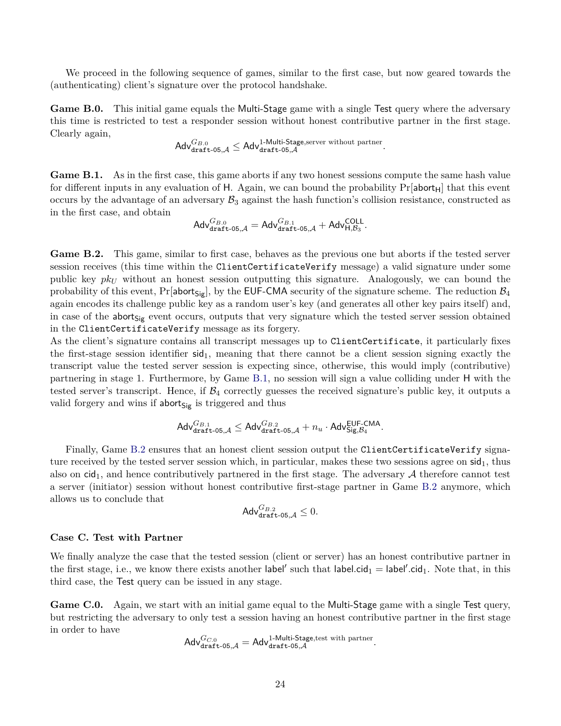We proceed in the following sequence of games, similar to the first case, but now geared towards the (authenticating) client's signature over the protocol handshake.

**Game B.0.** This initial game equals the Multi-Stage game with a single Test query where the adversary this time is restricted to test a responder session without honest contributive partner in the first stage. Clearly again,

$$
\mathsf{Adv}_{\mathsf{draff}\text{-}\mathsf{05},\mathcal{A}}^{G_{B.0}} \leq \mathsf{Adv}_{\mathsf{draff}\text{-}\mathsf{05},\mathcal{A}}^{1\text{-}\mathsf{Multi\text{-}Stage},\text{server without partner}}.
$$

<span id="page-23-0"></span>**Game B.1.** As in the first case, this game aborts if any two honest sessions compute the same hash value for different inputs in any evaluation of H. Again, we can bound the probability  $Pr[$ **abort**<sub>H</sub> $]$  that this event occurs by the advantage of an adversary  $\mathcal{B}_3$  against the hash function's collision resistance, constructed as in the first case, and obtain

$$
\mathsf{Adv}_{\mathsf{draff}\text{-}\mathsf{05},\mathcal{A}}^{G_{B.0}}=\mathsf{Adv}_{\mathsf{draff}\text{-}\mathsf{05},\mathcal{A}}^{G_{B.1}}+\mathsf{Adv}_{\mathsf{H},\mathcal{B}_3}^{\mathsf{COLL}}.
$$

<span id="page-23-1"></span>**Game B.2.** This game, similar to first case, behaves as the previous one but aborts if the tested server session receives (this time within the ClientCertificateVerify message) a valid signature under some public key *pk<sup>U</sup>* without an honest session outputting this signature. Analogously, we can bound the probability of this event,  $Pr[abort_{Sig}],$  by the EUF-CMA security of the signature scheme. The reduction  $\mathcal{B}_4$ again encodes its challenge public key as a random user's key (and generates all other key pairs itself) and, in case of the abort $s_{ig}$  event occurs, outputs that very signature which the tested server session obtained in the ClientCertificateVerify message as its forgery.

As the client's signature contains all transcript messages up to ClientCertificate, it particularly fixes the first-stage session identifier  $sid_1$ , meaning that there cannot be a client session signing exactly the transcript value the tested server session is expecting since, otherwise, this would imply (contributive) partnering in stage 1. Furthermore, by Game [B.1,](#page-23-0) no session will sign a value colliding under H with the tested server's transcript. Hence, if  $\mathcal{B}_4$  correctly guesses the received signature's public key, it outputs a valid forgery and wins if  $abort_{Sig}$  is triggered and thus

$$
\mathsf{Adv}_{\mathsf{dratt-05}, \mathcal{A}}^{G_{B.1}} \leq \mathsf{Adv}_{\mathsf{dratt-05}, \mathcal{A}}^{G_{B.2}} + n_u \cdot \mathsf{Adv}_{\mathsf{Sig}, \mathcal{B}_4}^{\mathsf{EUF-CMA}}.
$$

Finally, Game [B.2](#page-23-1) ensures that an honest client session output the ClientCertificateVerify signature received by the tested server session which, in particular, makes these two sessions agree on  $sid<sub>1</sub>$ , thus also on  $\text{cid}_1$ , and hence contributively partnered in the first stage. The adversary A therefore cannot test a server (initiator) session without honest contributive first-stage partner in Game [B.2](#page-23-1) anymore, which allows us to conclude that

$$
\mathsf{Adv}_{\mathsf{draff}\text{-}\mathsf{05},\mathcal{A}}^{G_{B.2}} \leq 0.
$$

#### **Case C. Test with Partner**

We finally analyze the case that the tested session (client or server) has an honest contributive partner in the first stage, i.e., we know there exists another  $|abel'$  such that  $|abel.cid_1 = |abel'.cid_1$ . Note that, in this third case, the Test query can be issued in any stage.

Game C.0. Again, we start with an initial game equal to the Multi-Stage game with a single Test query, but restricting the adversary to only test a session having an honest contributive partner in the first stage in order to have

$$
\mathsf{Adv}_{\mathsf{draff}\text{-}\mathsf{05},\mathcal{A}}^{G_{C.0}}=\mathsf{Adv}_{\mathsf{draff}\text{-}\mathsf{05},\mathcal{A}}^{\text{1-Multi-Stage},\text{test with partner}}.
$$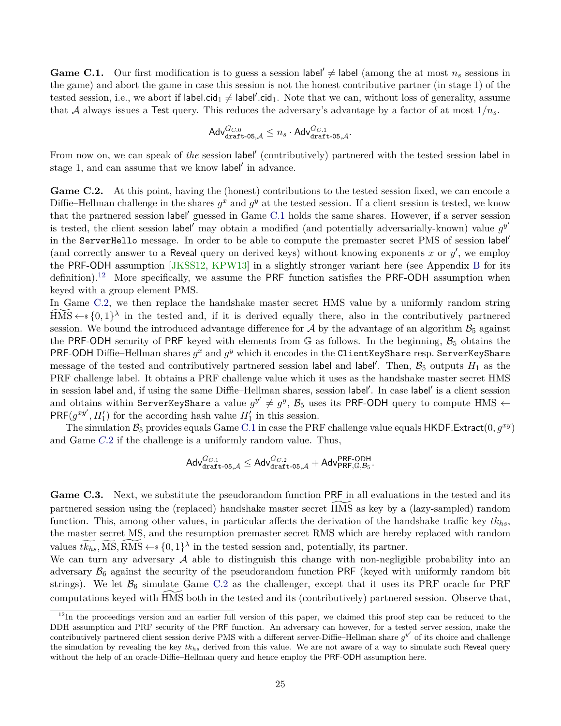<span id="page-24-4"></span><span id="page-24-0"></span>**Game C.1.** Our first modification is to guess a session label'  $\neq$  label (among the at most  $n_s$  sessions in the game) and abort the game in case this session is not the honest contributive partner (in stage 1) of the tested session, i.e., we abort if label.cid<sub>1</sub>  $\neq$  label'.cid<sub>1</sub>. Note that we can, without loss of generality, assume that A always issues a Test query. This reduces the adversary's advantage by a factor of at most  $1/n_s$ .

$$
\mathsf{Adv}_{\mathsf{draff}\text{-}\mathsf{05},\mathcal{A}}^{G_{C.0}} \leq n_s \cdot \mathsf{Adv}_{\mathsf{draff}\text{-}\mathsf{05},\mathcal{A}}^{G_{C.1}}.
$$

From now on, we can speak of the session label' (contributively) partnered with the tested session label in stage 1, and can assume that we know label' in advance.

<span id="page-24-2"></span>Game C.2. At this point, having the (honest) contributions to the tested session fixed, we can encode a Diffie–Hellman challenge in the shares  $g^x$  and  $g^y$  at the tested session. If a client session is tested, we know that the partnered session label' guessed in Game [C.1](#page-24-0) holds the same shares. However, if a server session is tested, the client session label<sup>'</sup> may obtain a modified (and potentially adversarially-known) value  $g^{y'}$ in the ServerHello message. In order to be able to compute the premaster secret PMS of session label (and correctly answer to a Reveal query on derived keys) without knowing exponents  $x$  or  $y'$ , we employ the PRF-ODH assumption [\[JKSS12,](#page-43-2) [KPW13\]](#page-43-5) in a slightly stronger variant here (see Appendix [B](#page-47-0) for its definition).<sup>[12](#page-24-1)</sup> More specifically, we assume the PRF function satisfies the PRF-ODH assumption when keyed with a group element PMS.

In Game [C.2,](#page-24-2) we then replace the handshake master secret HMS value by a uniformly random string  $\widetilde{HMS} \leftarrow \{0,1\}^{\lambda}$  in the tested and, if it is derived equally there, also in the contributively partnered session. We bound the introduced advantage difference for  $\mathcal A$  by the advantage of an algorithm  $\mathcal B_5$  against the PRF-ODH security of PRF keyed with elements from  $\mathbb{G}$  as follows. In the beginning,  $\mathcal{B}_5$  obtains the PRF-ODH Diffie–Hellman shares  $g^x$  and  $g^y$  which it encodes in the ClientKeyShare resp. ServerKeyShare message of the tested and contributively partnered session label and label'. Then,  $B_5$  outputs  $H_1$  as the PRF challenge label. It obtains a PRF challenge value which it uses as the handshake master secret HMS in session label and, if using the same Diffie–Hellman shares, session label'. In case label' is a client session and obtains within ServerKeyShare a value  $g^{y'} \neq g^y$ ,  $\mathcal{B}_5$  uses its PRF-ODH query to compute HMS  $\leftarrow$  $PRF(g^{xy'}, H'_1)$  for the according hash value  $H'_1$  in this session.

The simulation  $B_5$  provides equals Game [C.1](#page-24-0) in case the PRF challenge value equals HKDF. Extract(0,  $g^{xy}$ ) and Game *[C.](#page-24-2)*2 if the challenge is a uniformly random value. Thus,

$$
\mathsf{Adv}_{\mathsf{draff-05},\mathcal{A}}^{G_{C.1}} \leq \mathsf{Adv}_{\mathsf{draff-05},\mathcal{A}}^{G_{C.2}} + \mathsf{Adv}_{\mathsf{PRF},\mathbb{G},\mathcal{B}_5}^{\mathsf{PRF-ODH}}.
$$

<span id="page-24-3"></span>Game C.3. Next, we substitute the pseudorandom function PRF in all evaluations in the tested and its partnered session using the (replaced) handshake master secret HMS as key by a (lazy-sampled) random function. This, among other values, in particular affects the derivation of the handshake traffic key *tkhs*, the master secret MS, and the resumption premaster secret RMS which are hereby replaced with random values  $\widetilde{tk_{hs}}$ ,  $\widetilde{MS}$ ,  $\widetilde{RMS} \leftarrow \{0,1\}^{\lambda}$  in the tested session and, potentially, its partner.

We can turn any adversary  $A$  able to distinguish this change with non-negligible probability into an adversary  $\mathcal{B}_6$  against the security of the pseudorandom function PRF (keyed with uniformly random bit strings). We let  $\mathcal{B}_6$  simulate Game [C.2](#page-24-2) as the challenger, except that it uses its PRF oracle for PRF computations keyed with HMS both in the tested and its (contributively) partnered session. Observe that,

<span id="page-24-1"></span> $12$ In the proceedings version and an earlier full version of this paper, we claimed this proof step can be reduced to the DDH assumption and PRF security of the PRF function. An adversary can however, for a tested server session, make the contributively partnered client session derive PMS with a different server-Diffie–Hellman share  $g^{y'}$  of its choice and challenge the simulation by revealing the key *tkhs* derived from this value. We are not aware of a way to simulate such Reveal query without the help of an oracle-Diffie–Hellman query and hence employ the PRF-ODH assumption here.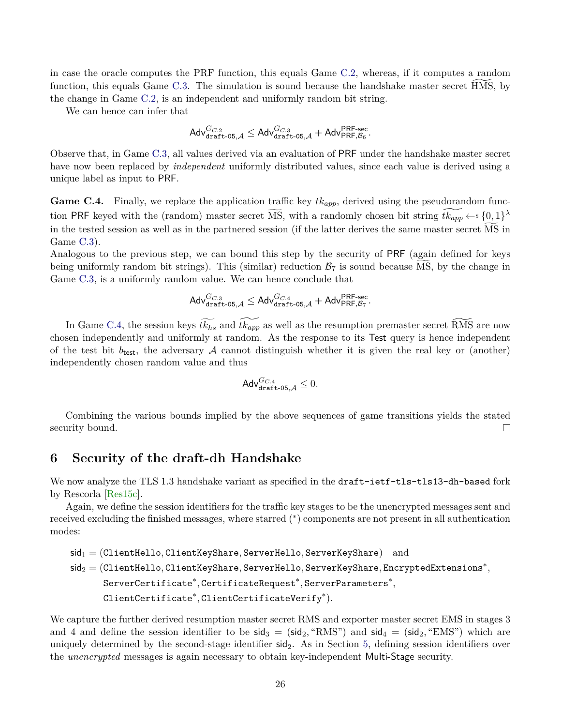<span id="page-25-2"></span>in case the oracle computes the PRF function, this equals Game [C.2,](#page-24-2) whereas, if it computes a random function, this equals Game  $C.3$ . The simulation is sound because the handshake master secret HMS, by the change in Game [C.2,](#page-24-2) is an independent and uniformly random bit string.

We can hence can infer that

$$
\mathsf{Adv}_{\mathsf{draff}\text{-}\mathsf{05},\mathcal{A}}^{G_{C,2}} \leq \mathsf{Adv}_{\mathsf{draff}\text{-}\mathsf{05},\mathcal{A}}^{G_{C,3}} + \mathsf{Adv}_{\mathsf{PRF},\mathcal{B}_6}^{\mathsf{PRF}\text{-}\mathsf{sec}}.
$$

Observe that, in Game [C.3,](#page-24-3) all values derived via an evaluation of PRF under the handshake master secret have now been replaced by *independent* uniformly distributed values, since each value is derived using a unique label as input to PRF.

<span id="page-25-1"></span>Game C.4. Finally, we replace the application traffic key  $tk_{app}$ , derived using the pseudorandom function PRF keyed with the (random) master secret  $\widetilde{\text{MS}}$ , with a randomly chosen bit string  $\widetilde{tk_{app}} \leftarrow s \{0,1\}^{\lambda}$ in the tested session as well as in the partnered session (if the latter derives the same master secret MS in Game [C.3\)](#page-24-3).

Analogous to the previous step, we can bound this step by the security of PRF (again defined for keys being uniformly random bit strings). This (similar) reduction  $B_7$  is sound because MS, by the change in Game [C.3,](#page-24-3) is a uniformly random value. We can hence conclude that

$$
\mathsf{Adv}_{\mathsf{draff}\text{-}\mathsf{05},\mathcal{A}}^{G_{C.3}} \leq \mathsf{Adv}_{\mathsf{draff}\text{-}\mathsf{05},\mathcal{A}}^{G_{C.4}} + \mathsf{Adv}_{\mathsf{PRF},\mathcal{B}_7}^{\mathsf{PRF}\text{-}\mathsf{sec}}.
$$

In Game [C.4,](#page-25-1) the session keys  $t\widetilde{k_{hs}}$  and  $t\widetilde{k_{app}}$  as well as the resumption premaster secret RMS are now chosen independently and uniformly at random. As the response to its Test query is hence independent of the test bit  $b_{\text{test}}$ , the adversary A cannot distinguish whether it is given the real key or (another) independently chosen random value and thus

$$
\mathsf{Adv}_{\mathsf{draff}\text{-}\mathsf{05},\mathcal{A}}^{G_{C.4}} \leq 0.
$$

Combining the various bounds implied by the above sequences of game transitions yields the stated security bound.  $\Box$ 

# <span id="page-25-0"></span>**6 Security of the draft-dh Handshake**

We now analyze the TLS 1.3 handshake variant as specified in the draft-ietf-tls-tls13-dh-based fork by Rescorla [\[Res15c\]](#page-44-3).

Again, we define the session identifiers for the traffic key stages to be the unencrypted messages sent and received excluding the finished messages, where starred (<sup>∗</sup> ) components are not present in all authentication modes:

```
sid1 = (ClientHello, ClientKeyShare, ServerHello, ServerKeyShare) and
sid2 = (ClientHello, ClientKeyShare, ServerHello, ServerKeyShare, EncryptedExtensions∗
,
       ServerCertificate∗
, CertificateRequest∗
, ServerParameters∗
,
       ClientCertificate∗
, ClientCertificateVerify∗
).
```
We capture the further derived resumption master secret RMS and exporter master secret EMS in stages 3 and 4 and define the session identifier to be  $\text{sid}_3 = (\text{sid}_2, \text{``RMS''})$  and  $\text{sid}_4 = (\text{sid}_2, \text{``EMS''})$  which are uniquely determined by the second-stage identifier sid<sub>2</sub>. As in Section [5,](#page-18-1) defining session identifiers over the *unencrypted* messages is again necessary to obtain key-independent Multi-Stage security.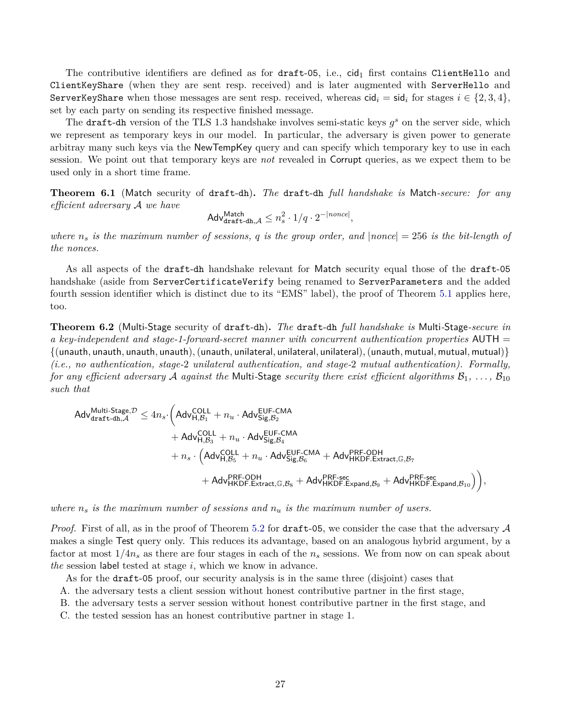The contributive identifiers are defined as for draft-05, i.e., cid<sub>1</sub> first contains ClientHello and ClientKeyShare (when they are sent resp. received) and is later augmented with ServerHello and ServerKeyShare when those messages are sent resp. received, whereas  $\text{cid}_i = \text{sid}_i$  for stages  $i \in \{2, 3, 4\}$ , set by each party on sending its respective finished message.

The draft-dh version of the TLS 1.3 handshake involves semi-static keys  $g^s$  on the server side, which we represent as temporary keys in our model. In particular, the adversary is given power to generate arbitray many such keys via the NewTempKey query and can specify which temporary key to use in each session. We point out that temporary keys are *not* revealed in Corrupt queries, as we expect them to be used only in a short time frame.

**Theorem 6.1** (Match security of draft-dh)**.** *The* draft-dh *full handshake is* Match*-secure: for any efficient adversary* A *we have*

$$
\mathsf{Adv}_{\mathsf{draff}\text{-}\mathsf{dh},\mathcal{A}}^{\mathsf{Match}} \leq n_s^2 \cdot 1/q \cdot 2^{-|none|},
$$

*where*  $n_s$  *is the maximum number of sessions,*  $q$  *is the group order, and*  $|none| = 256$  *is the bit-length of the nonces.*

As all aspects of the draft-dh handshake relevant for Match security equal those of the draft-05 handshake (aside from ServerCertificateVerify being renamed to ServerParameters and the added fourth session identifier which is distinct due to its "EMS" label), the proof of Theorem [5.1](#page-19-0) applies here, too.

**Theorem 6.2** (Multi-Stage security of draft-dh)**.** *The* draft-dh *full handshake is* Multi*-*Stage*-secure in a key-independent and stage-1-forward-secret manner with concurrent authentication properties* AUTH = {(unauth*,* unauth*,* unauth*,* unauth)*,*(unauth*,* unilateral*,* unilateral*,* unilateral)*,*(unauth*,* mutual*,* mutual*,* mutual)} *(i.e., no authentication, stage-*2 *unilateral authentication, and stage-*2 *mutual authentication). Formally, for any efficient adversary* A *against the* Multi-Stage *security there exist efficient algorithms*  $B_1, \ldots, B_{10}$ *such that*

$$
\begin{aligned} \mathsf{Adv}^{\mathsf{Multi\text{-}Stage},\mathcal{D}}_{\mathtt{draff}\text{-}\mathtt{dh},\mathcal{A}} \leq & ~{} \quad 4n_s \cdot \Big( \mathsf{Adv}^{\mathsf{COLL}}_{\mathsf{H},\mathcal{B}_1} + n_u \cdot \mathsf{Adv}^{\mathsf{EUF\text{-}CMA}}_{\mathsf{Sig},\mathcal{B}_2} \\ & + \mathsf{Adv}^{\mathsf{COLL}}_{\mathsf{H},\mathcal{B}_3} + n_u \cdot \mathsf{Adv}^{\mathsf{EUF\text{-}CMA}}_{\mathsf{Sig},\mathcal{B}_4} \\ & + n_s \cdot \Big( \mathsf{Adv}^{\mathsf{COLL}}_{\mathsf{H},\mathcal{B}_5} + n_u \cdot \mathsf{Adv}^{\mathsf{EUF\text{-}CMA}}_{\mathsf{Sig},\mathcal{B}_6} + \mathsf{Adv}^{\mathsf{PRF\text{-}ODH}}_{\mathsf{HKDF}.\mathsf{Extract},\mathbb{G},\mathcal{B}_7} \\ & + \mathsf{Adv}^{\mathsf{PRF\text{-}ODH}}_{\mathsf{HKDF}.\mathsf{Extract},\mathbb{G},\mathcal{B}_8} + \mathsf{Adv}^{\mathsf{PRF\text{-}sec}}_{\mathsf{HKDF}.\mathsf{Expand},\mathcal{B}_9} + \mathsf{Adv}^{\mathsf{PRF\text{-}sec}}_{\mathsf{HKDF}.\mathsf{Expand},\mathcal{B}_{10}} \Big) \Big), \end{aligned}
$$

*where n<sup>s</sup> is the maximum number of sessions and n<sup>u</sup> is the maximum number of users.*

*Proof.* First of all, as in the proof of Theorem [5.2](#page-20-0) for draft-05, we consider the case that the adversary  $\mathcal A$ makes a single Test query only. This reduces its advantage, based on an analogous hybrid argument, by a factor at most 1*/*4*n<sup>s</sup>* as there are four stages in each of the *n<sup>s</sup>* sessions. We from now on can speak about *the* session label tested at stage *i*, which we know in advance.

As for the draft-05 proof, our security analysis is in the same three (disjoint) cases that

- A. the adversary tests a client session without honest contributive partner in the first stage,
- B. the adversary tests a server session without honest contributive partner in the first stage, and
- C. the tested session has an honest contributive partner in stage 1.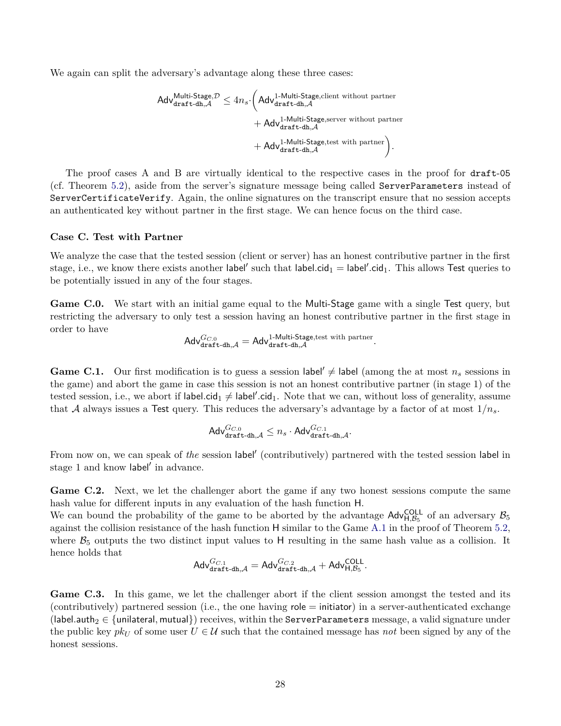We again can split the adversary's advantage along these three cases:

$$
\begin{aligned} \mathsf{Adv}^{\mathsf{Multi\text{-}Stage,}\mathcal{D}}_{\texttt{draff}\text{-}dh,\mathcal{A}} \leq 4n_s \cdot \Big( \mathsf{Adv}^{\texttt{1-Multi\text{-}Stage, client without partner}}_{\texttt{draff}\text{-}dh,\mathcal{A}} \\ &+ \mathsf{Adv}^{\texttt{1-Multi\text{-}Stage, server without partner}}_{\texttt{draff}\text{-}dh,\mathcal{A}} \\ &+ \mathsf{Adv}^{\texttt{1-Multi\text{-}Stage, test with partner}}_{\texttt{draff}\text{-}dh,\mathcal{A}} \Big). \end{aligned}
$$

The proof cases A and B are virtually identical to the respective cases in the proof for draft-05 (cf. Theorem [5.2\)](#page-20-0), aside from the server's signature message being called ServerParameters instead of ServerCertificateVerify. Again, the online signatures on the transcript ensure that no session accepts an authenticated key without partner in the first stage. We can hence focus on the third case.

#### **Case C. Test with Partner**

We analyze the case that the tested session (client or server) has an honest contributive partner in the first stage, i.e., we know there exists another  $|abel'$  such that  $|abel.cid_1| = |abel'.cid_1$ . This allows Test queries to be potentially issued in any of the four stages.

Game C.0. We start with an initial game equal to the Multi-Stage game with a single Test query, but restricting the adversary to only test a session having an honest contributive partner in the first stage in order to have

$$
\mathsf{Adv}_{\mathsf{draff}\text{-}\mathsf{dh},\mathcal{A}}^{G_{C.0}}=\mathsf{Adv}_{\mathsf{draff}\text{-}\mathsf{dh},\mathcal{A}}^{1\text{-}\mathsf{Multi}\text{-}\mathsf{Stage},\text{test with partner}}.
$$

**Game C.1.** Our first modification is to guess a session label'  $\neq$  label (among the at most  $n_s$  sessions in the game) and abort the game in case this session is not an honest contributive partner (in stage 1) of the tested session, i.e., we abort if label.cid<sub>1</sub>  $\neq$  label'.cid<sub>1</sub>. Note that we can, without loss of generality, assume that A always issues a Test query. This reduces the adversary's advantage by a factor of at most  $1/n_s$ .

$$
\mathsf{Adv}_{\mathsf{draff}\text{-}\mathsf{dh},\mathcal{A}}^{G_{C.0}} \leq n_s \cdot \mathsf{Adv}_{\mathsf{draff}\text{-}\mathsf{dh},\mathcal{A}}^{G_{C.1}}.
$$

From now on, we can speak of *the* session label' (contributively) partnered with the tested session label in stage 1 and know label' in advance.

<span id="page-27-1"></span>Game C.2. Next, we let the challenger abort the game if any two honest sessions compute the same hash value for different inputs in any evaluation of the hash function H.

We can bound the probability of the game to be aborted by the advantage  $\text{Adv}_{H,\mathcal{B}_5}^{\text{COLL}}$  of an adversary  $\mathcal{B}_5$ against the collision resistance of the hash function H similar to the Game [A.1](#page-21-0) in the proof of Theorem [5.2,](#page-20-0) where  $\mathcal{B}_5$  outputs the two distinct input values to H resulting in the same hash value as a collision. It hence holds that

$$
\mathsf{Adv}^{G_{C.1}}_{\mathsf{draff}\text{-}\mathsf{dh},\mathcal{A}}=\mathsf{Adv}^{G_{C.2}}_{\mathsf{draff}\text{-}\mathsf{dh},\mathcal{A}}+\mathsf{Adv}^{\mathsf{COLL}}_{\mathsf{H},\mathcal{B}_5}.
$$

<span id="page-27-0"></span>Game C.3. In this game, we let the challenger abort if the client session amongst the tested and its (contributively) partnered session (i.e., the one having role = initiator) in a server-authenticated exchange (label.auth<sub>2</sub>  $\in$  {unilateral, mutual}) receives, within the ServerParameters message, a valid signature under the public key  $pk<sub>U</sub>$  of some user  $U \in \mathcal{U}$  such that the contained message has *not* been signed by any of the honest sessions.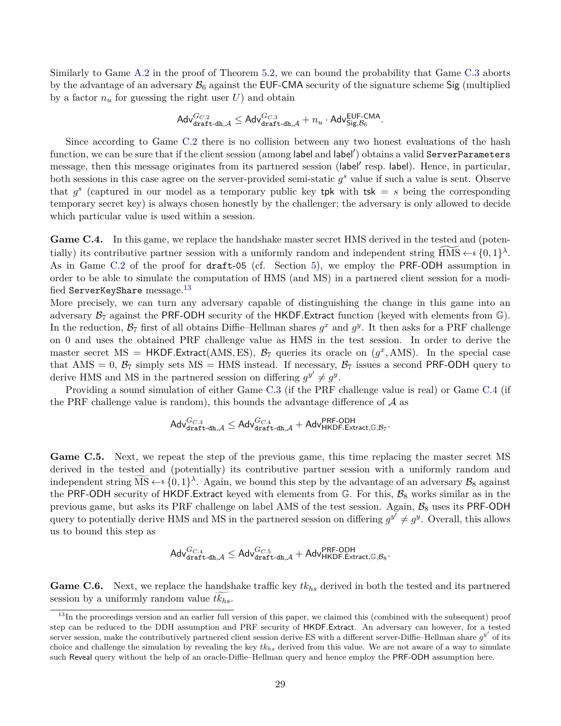Similarly to Game [A.2](#page-22-1) in the proof of Theorem [5.2,](#page-20-0) we can bound the probability that Game [C.3](#page-27-0) aborts by the advantage of an adversary  $B_6$  against the EUF-CMA security of the signature scheme Sig (multiplied by a factor  $n_u$  for guessing the right user  $U$ ) and obtain

$$
\mathsf{Adv}_{\mathsf{draff}\text{-}\mathsf{dh},\mathcal{A}}^{G_{C.2}} \leq \mathsf{Adv}_{\mathsf{draff}\text{-}\mathsf{dh},\mathcal{A}}^{G_{C.3}} + n_u \cdot \mathsf{Adv}_{\mathsf{Sig},\mathcal{B}_6}^{\mathsf{EUF}\text{-}\mathsf{CMA}}.
$$

Since according to Game [C.2](#page-27-1) there is no collision between any two honest evaluations of the hash function, we can be sure that if the client session (among label and label') obtains a valid ServerParameters message, then this message originates from its partnered session (label' resp. label). Hence, in particular, both sessions in this case agree on the server-provided semi-static  $g^s$  value if such a value is sent. Observe that  $g^s$  (captured in our model as a temporary public key tpk with tsk = *s* being the corresponding temporary secret key) is always chosen honestly by the challenger; the adversary is only allowed to decide which particular value is used within a session.

<span id="page-28-1"></span>Game C.4. In this game, we replace the handshake master secret HMS derived in the tested and (potentially) its contributive partner session with a uniformly random and independent string  $\widetilde{HMS} \leftarrow \{0,1\}^{\lambda}$ . As in Game [C.2](#page-24-2) of the proof for draft-05 (cf. Section [5\)](#page-18-1), we employ the PRF-ODH assumption in order to be able to simulate the computation of HMS (and MS) in a partnered client session for a modi-fied ServerKeyShare message.<sup>[13](#page-28-0)</sup>

More precisely, we can turn any adversary capable of distinguishing the change in this game into an adversary  $\mathcal{B}_7$  against the PRF-ODH security of the HKDF. Extract function (keyed with elements from  $\mathbb{G}$ ). In the reduction,  $\mathcal{B}_7$  first of all obtains Diffie–Hellman shares  $g^x$  and  $g^y$ . It then asks for a PRF challenge on 0 and uses the obtained PRF challenge value as HMS in the test session. In order to derive the master secret MS = HKDF.Extract(AMS, ES),  $\mathcal{B}_7$  queries its oracle on  $(g^x, \text{AMS})$ . In the special case that AMS = 0,  $\mathcal{B}_7$  simply sets MS = HMS instead. If necessary,  $\mathcal{B}_7$  issues a second PRF-ODH query to derive HMS and MS in the partnered session on differing  $g^{y'} \neq g^y$ .

Providing a sound simulation of either Game [C.3](#page-27-0) (if the PRF challenge value is real) or Game [C.4](#page-28-1) (if the PRF challenge value is random), this bounds the advantage difference of  $A$  as

$$
\mathsf{Adv}_{\mathsf{draff}\text{-}\mathsf{dh},\mathcal{A}}^{G_{C.3}} \leq \mathsf{Adv}_{\mathsf{draff}\text{-}\mathsf{dh},\mathcal{A}}^{G_{C.4}} + \mathsf{Adv}_{\mathsf{HKDF}.\mathsf{Extract},\mathbb{G},\mathcal{B}_7}^{\mathsf{PRF}\text{-}\mathsf{ODH}}.
$$

<span id="page-28-2"></span>Game C.5. Next, we repeat the step of the previous game, this time replacing the master secret MS derived in the tested and (potentially) its contributive partner session with a uniformly random and independent string  $\widetilde{MS} \leftarrow s \{0,1\}^{\lambda}$ . Again, we bound this step by the advantage of an adversary  $\mathcal{B}_8$  against the PRF-ODH security of HKDF.Extract keyed with elements from  $\mathbb{G}$ . For this,  $\mathcal{B}_8$  works similar as in the previous game, but asks its PRF challenge on label AMS of the test session. Again,  $B_8$  uses its PRF-ODH query to potentially derive HMS and MS in the partnered session on differing  $g^{y'} \neq g^y$ . Overall, this allows us to bound this step as

$$
\mathsf{Adv}_{\mathsf{draff}\text{-}\mathsf{dh},\mathcal{A}}^{G_{C.4}} \leq \mathsf{Adv}_{\mathsf{draff}\text{-}\mathsf{dh},\mathcal{A}}^{G_{C.5}} + \mathsf{Adv}_{\mathsf{HKDF}.\mathsf{Extract},\mathbb{G},\mathcal{B}_8}^{PRF\text{-}\mathsf{ODH}}.
$$

<span id="page-28-3"></span>**Game C.6.** Next, we replace the handshake traffic key *tkhs* derived in both the tested and its partnered session by a uniformly random value  $tk_{hs}$ .

<span id="page-28-0"></span><sup>&</sup>lt;sup>13</sup>In the proceedings version and an earlier full version of this paper, we claimed this (combined with the subsequent) proof step can be reduced to the DDH assumption and PRF security of HKDF*.*Extract. An adversary can however, for a tested server session, make the contributively partnered client session derive ES with a different server-Diffie–Hellman share  $g^{y'}$  of its choice and challenge the simulation by revealing the key  $tk<sub>hs</sub>$  derived from this value. We are not aware of a way to simulate such Reveal query without the help of an oracle-Diffie–Hellman query and hence employ the PRF-ODH assumption here.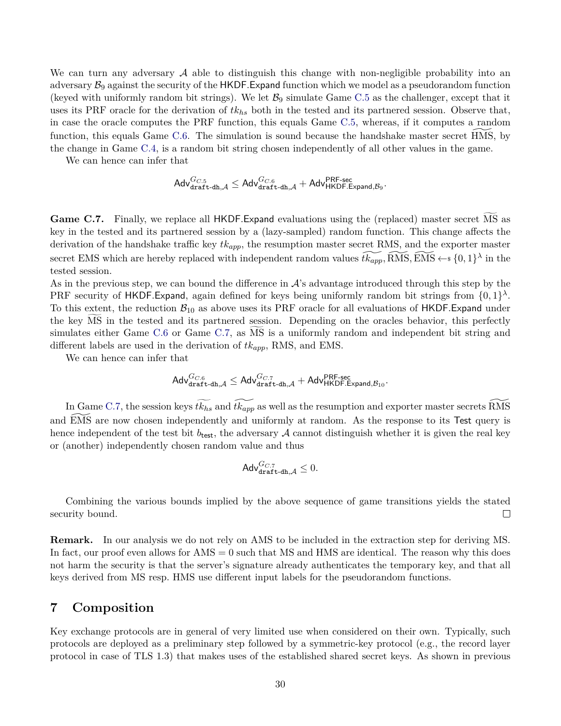We can turn any adversary  $\mathcal A$  able to distinguish this change with non-negligible probability into an adversary  $\mathcal{B}_9$  against the security of the HKDF. Expand function which we model as a pseudorandom function (keyed with uniformly random bit strings). We let  $B_9$  simulate Game [C.5](#page-28-2) as the challenger, except that it uses its PRF oracle for the derivation of *tkhs* both in the tested and its partnered session. Observe that, in case the oracle computes the PRF function, this equals Game [C.5,](#page-28-2) whereas, if it computes a random function, this equals Game  $C.6$ . The simulation is sound because the handshake master secret HMS, by the change in Game [C.4,](#page-28-1) is a random bit string chosen independently of all other values in the game.

We can hence can infer that

$$
\mathsf{Adv}_{\mathsf{draff}\text{-}\mathsf{dh},\mathcal{A}}^{G_{C.5}} \leq \mathsf{Adv}_{\mathsf{draff}\text{-}\mathsf{dh},\mathcal{A}}^{G_{C.6}} + \mathsf{Adv}_{\mathsf{HKDF}.\mathsf{Expand},\mathcal{B}_9}^{\mathsf{PRF}\text{-}\mathsf{sec}}.
$$

<span id="page-29-1"></span>Game C.7. Finally, we replace all HKDF. Expand evaluations using the (replaced) master secret MS as key in the tested and its partnered session by a (lazy-sampled) random function. This change affects the derivation of the handshake traffic key *tkapp*, the resumption master secret RMS, and the exporter master secret EMS which are hereby replaced with independent random values  $\widetilde{tk_{app}}, \widetilde{\text{RMS}}, \widetilde{\text{EMS}} \leftarrow \{0, 1\}^{\lambda}$  in the tested session.

As in the previous step, we can bound the difference in  $A$ 's advantage introduced through this step by the PRF security of HKDF. Expand, again defined for keys being uniformly random bit strings from  $\{0,1\}^{\lambda}$ . To this extent, the reduction  $B_{10}$  as above uses its PRF oracle for all evaluations of  $HKDF$ *.Expand under* the key MS in the tested and its partnered session. Depending on the oracles behavior, this perfectly simulates either Game [C.6](#page-28-3) or Game [C.7,](#page-29-1) as MS is a uniformly random and independent bit string and different labels are used in the derivation of *tkapp*, RMS, and EMS.

We can hence can infer that

$$
\mathsf{Adv}_{\mathsf{draff}\text{-}\mathsf{dh},\mathcal{A}}^{G_{C.6}} \leq \mathsf{Adv}_{\mathsf{draff}\text{-}\mathsf{dh},\mathcal{A}}^{G_{C.7}} + \mathsf{Adv}_{\mathsf{HKDF}.\mathsf{Expand},\mathcal{B}_{10}}^{\mathsf{PRF}\text{-}\mathsf{sec}}.
$$

In Game [C.7,](#page-29-1) the session keys  $\widetilde{tk_{hs}}$  and  $\widetilde{tk_{app}}$  as well as the resumption and exporter master secrets RMS and EMS are now chosen independently and uniformly at random. As the response to its Test query is hence independent of the test bit  $b_{test}$ , the adversary A cannot distinguish whether it is given the real key or (another) independently chosen random value and thus

$$
\mathsf{Adv}_{\mathsf{draff}\text{-}\mathsf{dh},\mathcal{A}}^{G_{C.7}} \leq 0.
$$

Combining the various bounds implied by the above sequence of game transitions yields the stated security bound.  $\Box$ 

**Remark.** In our analysis we do not rely on AMS to be included in the extraction step for deriving MS. In fact, our proof even allows for  $\text{AMS} = 0$  such that MS and HMS are identical. The reason why this does not harm the security is that the server's signature already authenticates the temporary key, and that all keys derived from MS resp. HMS use different input labels for the pseudorandom functions.

## <span id="page-29-0"></span>**7 Composition**

Key exchange protocols are in general of very limited use when considered on their own. Typically, such protocols are deployed as a preliminary step followed by a symmetric-key protocol (e.g., the record layer protocol in case of TLS 1.3) that makes uses of the established shared secret keys. As shown in previous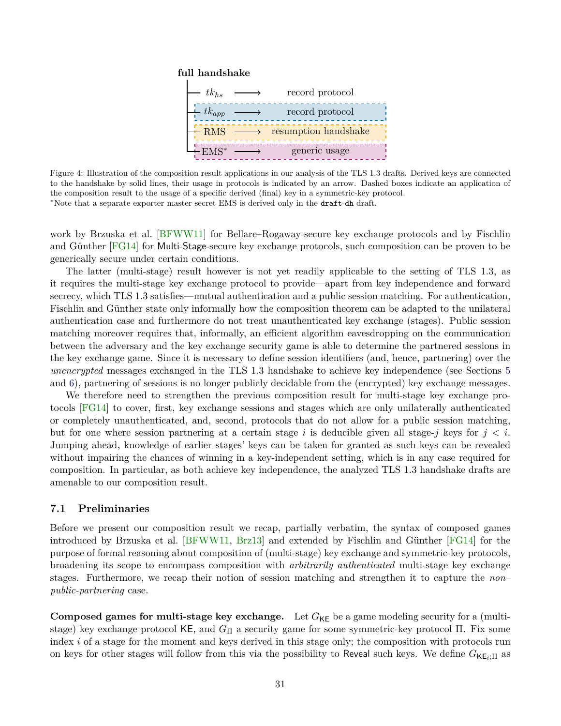#### <span id="page-30-1"></span>**full handshake**



Figure 4: Illustration of the composition result applications in our analysis of the TLS 1.3 drafts. Derived keys are connected to the handshake by solid lines, their usage in protocols is indicated by an arrow. Dashed boxes indicate an application of the composition result to the usage of a specific derived (final) key in a symmetric-key protocol. <sup>∗</sup>Note that a separate exporter master secret EMS is derived only in the draft-dh draft.

work by Brzuska et al. [\[BFWW11\]](#page-42-2) for Bellare–Rogaway-secure key exchange protocols and by Fischlin and Günther [\[FG14\]](#page-43-4) for Multi-Stage-secure key exchange protocols, such composition can be proven to be generically secure under certain conditions.

The latter (multi-stage) result however is not yet readily applicable to the setting of TLS 1.3, as it requires the multi-stage key exchange protocol to provide—apart from key independence and forward secrecy, which TLS 1.3 satisfies—mutual authentication and a public session matching. For authentication, Fischlin and Günther state only informally how the composition theorem can be adapted to the unilateral authentication case and furthermore do not treat unauthenticated key exchange (stages). Public session matching moreover requires that, informally, an efficient algorithm eavesdropping on the communication between the adversary and the key exchange security game is able to determine the partnered sessions in the key exchange game. Since it is necessary to define session identifiers (and, hence, partnering) over the *unencrypted* messages exchanged in the TLS 1.3 handshake to achieve key independence (see Sections [5](#page-18-1) and [6\)](#page-25-0), partnering of sessions is no longer publicly decidable from the (encrypted) key exchange messages.

We therefore need to strengthen the previous composition result for multi-stage key exchange protocols [\[FG14\]](#page-43-4) to cover, first, key exchange sessions and stages which are only unilaterally authenticated or completely unauthenticated, and, second, protocols that do not allow for a public session matching, but for one where session partnering at a certain stage *i* is deducible given all stage-*j* keys for *j < i*. Jumping ahead, knowledge of earlier stages' keys can be taken for granted as such keys can be revealed without impairing the chances of winning in a key-independent setting, which is in any case required for composition. In particular, as both achieve key independence, the analyzed TLS 1.3 handshake drafts are amenable to our composition result.

#### <span id="page-30-0"></span>**7.1 Preliminaries**

Before we present our composition result we recap, partially verbatim, the syntax of composed games introduced by Brzuska et al. [\[BFWW11,](#page-42-2) [Brz13\]](#page-42-7) and extended by Fischlin and Günther [\[FG14\]](#page-43-4) for the purpose of formal reasoning about composition of (multi-stage) key exchange and symmetric-key protocols, broadening its scope to encompass composition with *arbitrarily authenticated* multi-stage key exchange stages. Furthermore, we recap their notion of session matching and strengthen it to capture the *non– public-partnering* case.

**Composed games for multi-stage key exchange.** Let  $G_{KE}$  be a game modeling security for a (multistage) key exchange protocol KE, and *G*<sup>Π</sup> a security game for some symmetric-key protocol Π. Fix some index *i* of a stage for the moment and keys derived in this stage only; the composition with protocols run on keys for other stages will follow from this via the possibility to Reveal such keys. We define *G*KE*i*;Π as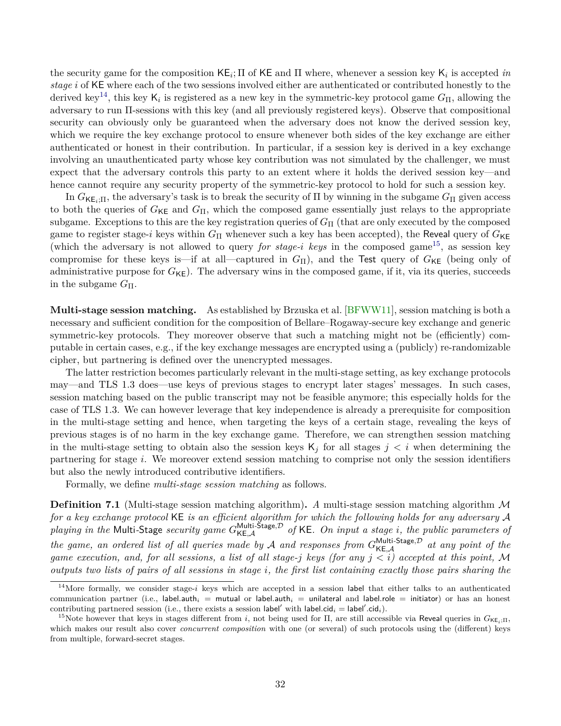<span id="page-31-2"></span>the security game for the composition  $KE_i$ ;  $\Pi$  of  $KE$  and  $\Pi$  where, whenever a session key  $K_i$  is accepted *in stage i* of KE where each of the two sessions involved either are authenticated or contributed honestly to the derived key[14](#page-31-0), this key K*<sup>i</sup>* is registered as a new key in the symmetric-key protocol game *G*Π, allowing the adversary to run Π-sessions with this key (and all previously registered keys). Observe that compositional security can obviously only be guaranteed when the adversary does not know the derived session key, which we require the key exchange protocol to ensure whenever both sides of the key exchange are either authenticated or honest in their contribution. In particular, if a session key is derived in a key exchange involving an unauthenticated party whose key contribution was not simulated by the challenger, we must expect that the adversary controls this party to an extent where it holds the derived session key—and hence cannot require any security property of the symmetric-key protocol to hold for such a session key.

In  $G_{\mathsf{KE}_i;\Pi}$ , the adversary's task is to break the security of  $\Pi$  by winning in the subgame  $G_{\Pi}$  given access to both the queries of  $G_{\text{KE}}$  and  $G_{\text{II}}$ , which the composed game essentially just relays to the appropriate subgame. Exceptions to this are the key registration queries of  $G<sub>Π</sub>$  (that are only executed by the composed game to register stage-*i* keys within  $G_{\Pi}$  whenever such a key has been accepted), the Reveal query of  $G_{\text{KE}}$ (which the adversary is not allowed to query *for stage-i* keys in the composed game<sup>[15](#page-31-1)</sup>, as session key compromise for these keys is—if at all—captured in  $G_{\Pi}$ ), and the Test query of  $G_{\text{KE}}$  (being only of administrative purpose for  $G_{KE}$ ). The adversary wins in the composed game, if it, via its queries, succeeds in the subgame  $G_{\Pi}$ .

**Multi-stage session matching.** As established by Brzuska et al. [\[BFWW11\]](#page-42-2), session matching is both a necessary and sufficient condition for the composition of Bellare–Rogaway-secure key exchange and generic symmetric-key protocols. They moreover observe that such a matching might not be (efficiently) computable in certain cases, e.g., if the key exchange messages are encrypted using a (publicly) re-randomizable cipher, but partnering is defined over the unencrypted messages.

The latter restriction becomes particularly relevant in the multi-stage setting, as key exchange protocols may—and TLS 1.3 does—use keys of previous stages to encrypt later stages' messages. In such cases, session matching based on the public transcript may not be feasible anymore; this especially holds for the case of TLS 1.3. We can however leverage that key independence is already a prerequisite for composition in the multi-stage setting and hence, when targeting the keys of a certain stage, revealing the keys of previous stages is of no harm in the key exchange game. Therefore, we can strengthen session matching in the multi-stage setting to obtain also the session keys  $K_j$  for all stages  $j < i$  when determining the partnering for stage *i*. We moreover extend session matching to comprise not only the session identifiers but also the newly introduced contributive identifiers.

Formally, we define *multi-stage session matching* as follows.

**Definition 7.1** (Multi-stage session matching algorithm). A multi-stage session matching algorithm M *for a key exchange protocol* KE *is an efficient algorithm for which the following holds for any adversary* A *playing in the* Multi-Stage *security game*  $G_{\text{KE},\mathcal{A}}^{\text{Multi-Stage},\mathcal{D}}$  of KE. On input a stage *i*, the public parameters of *the game, an ordered list of all queries made by* A *and responses from*  $G_{\text{KE},\mathcal{A}}^{\text{Multi-Stage},\mathcal{D}}$  *at any point of the game execution, and, for all sessions, a list of all stage-j keys (for any j < i) accepted at this point,* M *outputs two lists of pairs of all sessions in stage i, the first list containing exactly those pairs sharing the*

<span id="page-31-0"></span><sup>&</sup>lt;sup>14</sup>More formally, we consider stage-*i* keys which are accepted in a session label that either talks to an authenticated communication partner (i.e., label.auth<sub>i</sub> = mutual or label.auth<sub>i</sub> = unilateral and label.role = initiator) or has an honest contributing partnered session (i.e., there exists a session label' with label.cid<sub>*i*</sub> = label'.cid<sub>*i*</sub>).

<span id="page-31-1"></span><sup>&</sup>lt;sup>15</sup>Note however that keys in stages different from *i*, not being used for  $\Pi$ , are still accessible via Reveal queries in  $G_{\mathsf{KE}_i;\Pi}$ , which makes our result also cover *concurrent composition* with one (or several) of such protocols using the (different) keys from multiple, forward-secret stages.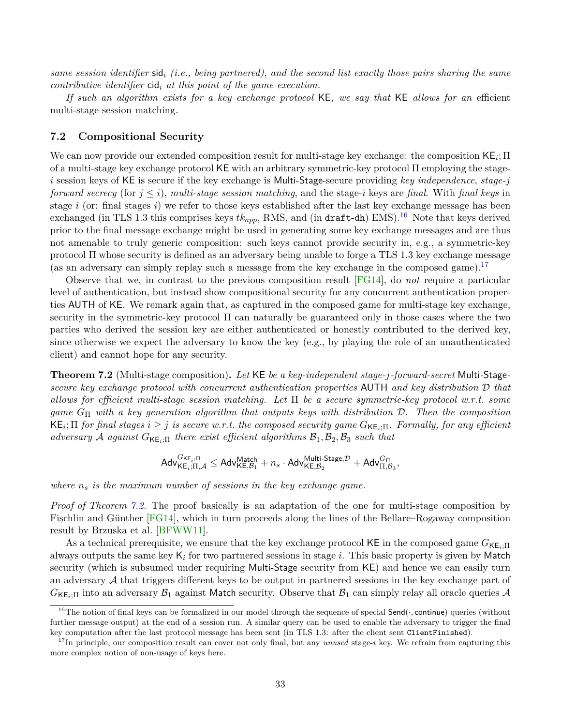<span id="page-32-4"></span>*same session identifier* sid*<sup>i</sup> (i.e., being partnered), and the second list exactly those pairs sharing the same contributive identifier* cid*<sup>i</sup> at this point of the game execution.*

*If such an algorithm exists for a key exchange protocol* KE*, we say that* KE *allows for an* efficient multi-stage session matching*.*

### <span id="page-32-0"></span>**7.2 Compositional Security**

We can now provide our extended composition result for multi-stage key exchange: the composition KE*<sup>i</sup>* ; Π of a multi-stage key exchange protocol KE with an arbitrary symmetric-key protocol Π employing the stage*i* session keys of KE is secure if the key exchange is Multi-Stage-secure providing *key independence*, *stage-j forward secrecy* (for *j* ≤ *i*), *multi-stage session matching*, and the stage-*i* keys are *final*. With *final keys* in stage *i* (or: final stages *i*) we refer to those keys established after the last key exchange message has been exchanged (in TLS 1.3 this comprises keys  $tk_{app}$ , RMS, and (in draft-dh) EMS).<sup>[16](#page-32-1)</sup> Note that keys derived prior to the final message exchange might be used in generating some key exchange messages and are thus not amenable to truly generic composition: such keys cannot provide security in, e.g., a symmetric-key protocol Π whose security is defined as an adversary being unable to forge a TLS 1.3 key exchange message (as an adversary can simply replay such a message from the key exchange in the composed game).<sup>[17](#page-32-2)</sup>

Observe that we, in contrast to the previous composition result [\[FG14\]](#page-43-4), do *not* require a particular level of authentication, but instead show compositional security for any concurrent authentication properties AUTH of KE. We remark again that, as captured in the composed game for multi-stage key exchange, security in the symmetric-key protocol  $\Pi$  can naturally be guaranteed only in those cases where the two parties who derived the session key are either authenticated or honestly contributed to the derived key, since otherwise we expect the adversary to know the key (e.g., by playing the role of an unauthenticated client) and cannot hope for any security.

<span id="page-32-3"></span>**Theorem 7.2** (Multi-stage composition)**.** *Let* KE *be a key-independent stage-j-forward-secret* Multi*-*Stage*secure key exchange protocol with concurrent authentication properties* AUTH *and key distribution* D *that allows for efficient multi-stage session matching. Let* Π *be a secure symmetric-key protocol w.r.t. some game G*<sup>Π</sup> *with a key generation algorithm that outputs keys with distribution* D*. Then the composition*  $\mathsf{KE}_i$ ;  $\Pi$  *for final stages*  $i \geq j$  *is secure w.r.t. the composed security game*  $G_{\mathsf{KE}_i;\Pi}$ *. Formally, for any efficient adversary* A *against*  $G_{\text{KE}}$ ; $\Pi$  *there exist efficient algorithms*  $B_1$ ,  $B_2$ ,  $B_3$  *such that* 

$$
\mathsf{Adv}_{\mathsf{KE}_{i};\Pi,\mathcal{A}}^{G_{\mathsf{KE}_{i};\Pi}} \leq \mathsf{Adv}_{\mathsf{KE},\mathcal{B}_1}^{\mathsf{Match}} + n_s\cdot \mathsf{Adv}_{\mathsf{KE},\mathcal{B}_2}^{\mathsf{Multi\text{-}Stage},\mathcal{D}} + \mathsf{Adv}_{\Pi,\mathcal{B}_3}^{\mathsf{GT}},
$$

*where n<sup>s</sup> is the maximum number of sessions in the key exchange game.*

*Proof of Theorem [7.2.](#page-32-3)* The proof basically is an adaptation of the one for multi-stage composition by Fischlin and Günther [\[FG14\]](#page-43-4), which in turn proceeds along the lines of the Bellare–Rogaway composition result by Brzuska et al. [\[BFWW11\]](#page-42-2).

As a technical prerequisite, we ensure that the key exchange protocol KE in the composed game  $G_{\text{KE}}$ <sub>i</sub>. always outputs the same key K*<sup>i</sup>* for two partnered sessions in stage *i*. This basic property is given by Match security (which is subsumed under requiring Multi-Stage security from KE) and hence we can easily turn an adversary  $\mathcal A$  that triggers different keys to be output in partnered sessions in the key exchange part of  $G_{\mathsf{KE}_i;\Pi}$  into an adversary  $\mathcal{B}_1$  against Match security. Observe that  $\mathcal{B}_1$  can simply relay all oracle queries  $\mathcal{A}$ 

<span id="page-32-1"></span><sup>&</sup>lt;sup>16</sup>The notion of final keys can be formalized in our model through the sequence of special Send( $\cdot$ , continue) queries (without further message output) at the end of a session run. A similar query can be used to enable the adversary to trigger the final key computation after the last protocol message has been sent (in TLS 1.3: after the client sent ClientFinished).

<span id="page-32-2"></span><sup>&</sup>lt;sup>17</sup>In principle, our composition result can cover not only final, but any *unused* stage-*i* key. We refrain from capturing this more complex notion of non-usage of keys here.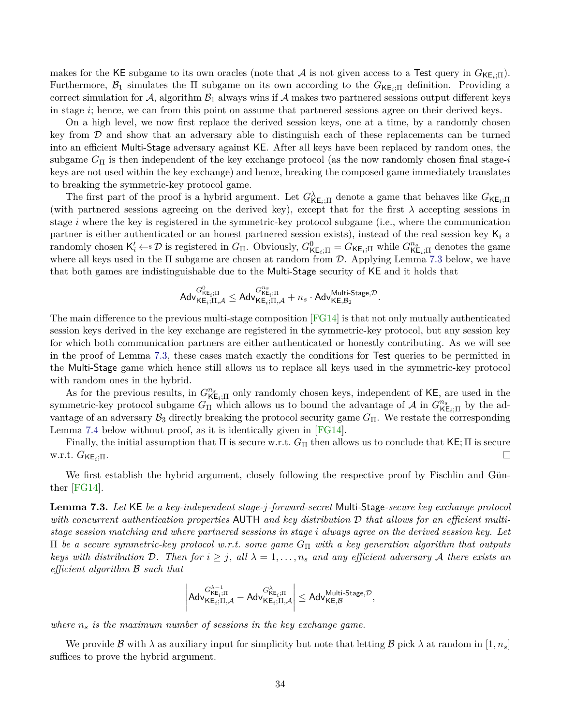<span id="page-33-1"></span>makes for the KE subgame to its own oracles (note that A is not given access to a Test query in  $G_{\text{KE}_i;\Pi}$ ). Furthermore,  $\mathcal{B}_1$  simulates the  $\Pi$  subgame on its own according to the  $G_{\text{KE}_i;\Pi}$  definition. Providing a correct simulation for A, algorithm  $\mathcal{B}_1$  always wins if A makes two partnered sessions output different keys in stage *i*; hence, we can from this point on assume that partnered sessions agree on their derived keys.

On a high level, we now first replace the derived session keys, one at a time, by a randomly chosen key from  $\mathcal D$  and show that an adversary able to distinguish each of these replacements can be turned into an efficient Multi-Stage adversary against KE. After all keys have been replaced by random ones, the subgame *G*<sup>Π</sup> is then independent of the key exchange protocol (as the now randomly chosen final stage-*i* keys are not used within the key exchange) and hence, breaking the composed game immediately translates to breaking the symmetric-key protocol game.

The first part of the proof is a hybrid argument. Let  $G^{\lambda}_{\mathsf{KE}_i;\Pi}$  denote a game that behaves like  $G_{\mathsf{KE}_i;\Pi}$ (with partnered sessions agreeing on the derived key), except that for the first  $\lambda$  accepting sessions in stage *i* where the key is registered in the symmetric-key protocol subgame (i.e., where the communication partner is either authenticated or an honest partnered session exists), instead of the real session key K*<sup>i</sup>* a  $\mathsf{r}$  randomly chosen  $\mathsf{K}'_i \leftarrow \mathcal{F}$  is registered in  $G_{\Pi}$ . Obviously,  $G^0_{\mathsf{KE}_i;\Pi} = G_{\mathsf{KE}_i;\Pi}$  while  $G^{n_s}_{\mathsf{KE}_i;\Pi}$  denotes the game where all keys used in the  $\Pi$  subgame are chosen at random from  $D$ . Applying Lemma [7.3](#page-33-0) below, we have that both games are indistinguishable due to the Multi-Stage security of KE and it holds that

$$
\mathsf{Adv}^{G^0_{\mathsf{KE}_i;\Pi}}_{\mathsf{KE}_i;\Pi,\mathcal{A}} \leq \mathsf{Adv}^{G^{ns}_{\mathsf{KE}_i;\Pi}}_{\mathsf{KE}_i;\Pi,\mathcal{A}} + n_s \cdot \mathsf{Adv}^{\mathsf{Multi\text{-}Stage},\mathcal{D}}_{\mathsf{KE},\mathcal{B}_2}.
$$

The main difference to the previous multi-stage composition [\[FG14\]](#page-43-4) is that not only mutually authenticated session keys derived in the key exchange are registered in the symmetric-key protocol, but any session key for which both communication partners are either authenticated or honestly contributing. As we will see in the proof of Lemma [7.3,](#page-33-0) these cases match exactly the conditions for Test queries to be permitted in the Multi-Stage game which hence still allows us to replace all keys used in the symmetric-key protocol with random ones in the hybrid.

As for the previous results, in  $G^{n_s}_{\mathsf{KE}_i;\Pi}$  only randomly chosen keys, independent of KE, are used in the symmetric-key protocol subgame  $G_{\Pi}$  which allows us to bound the advantage of A in  $G_{\text{KE}_i;\Pi}^{n_s}$  by the advantage of an adversary  $\mathcal{B}_3$  directly breaking the protocol security game  $G_{\Pi}$ . We restate the corresponding Lemma [7.4](#page-35-2) below without proof, as it is identically given in [\[FG14\]](#page-43-4).

Finally, the initial assumption that  $\Pi$  is secure w.r.t.  $G_{\Pi}$  then allows us to conclude that  $\mathsf{KE}$ ;  $\Pi$  is secure w.r.t. *G*KE*i*;Π.  $\Box$ 

We first establish the hybrid argument, closely following the respective proof by Fischlin and Günther [\[FG14\]](#page-43-4).

<span id="page-33-0"></span>**Lemma 7.3.** *Let* KE *be a key-independent stage-j-forward-secret* Multi*-*Stage*-secure key exchange protocol with concurrent authentication properties* AUTH *and key distribution* D *that allows for an efficient multistage session matching and where partnered sessions in stage i always agree on the derived session key. Let* Π *be a secure symmetric-key protocol w.r.t. some game G*<sup>Π</sup> *with a key generation algorithm that outputs keys with distribution*  $D$ . Then for  $i \geq j$ , all  $\lambda = 1, \ldots, n_s$  and any efficient adversary  $A$  there exists an *efficient algorithm* B *such that*

$$
\left|\mathsf{Adv}_{\mathsf{KE}_{i};\Pi,\mathcal{A}}^{G^{ \lambda-1}_{\mathsf{KE}_{i};\Pi}}-\mathsf{Adv}_{\mathsf{KE}_{i};\Pi,\mathcal{A}}^{G^{ \lambda}_{\mathsf{KE}_{i};\Pi}}\right|\leq \mathsf{Adv}_{\mathsf{KE},\mathcal{B}}^{\mathsf{Multi-Stage},\mathcal{D}},
$$

*where n<sup>s</sup> is the maximum number of sessions in the key exchange game.*

We provide B with  $\lambda$  as auxiliary input for simplicity but note that letting B pick  $\lambda$  at random in  $[1, n_s]$ suffices to prove the hybrid argument.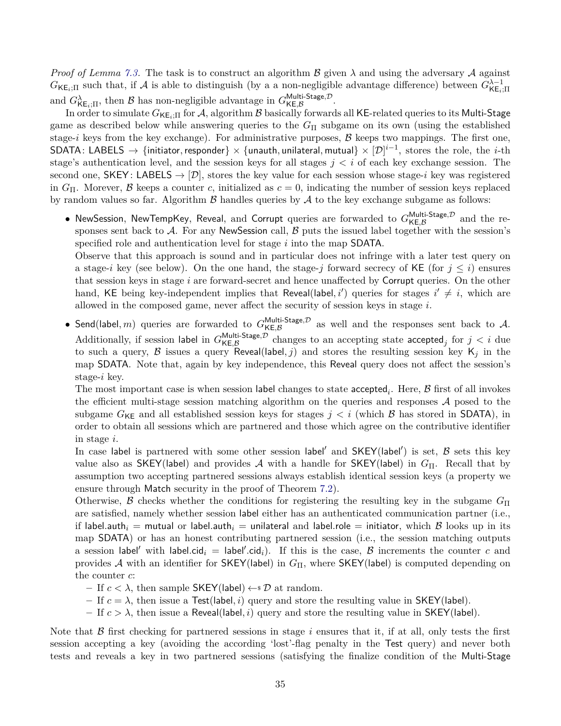*Proof of Lemma [7.3.](#page-33-0)* The task is to construct an algorithm  $\beta$  given  $\lambda$  and using the adversary  $\mathcal A$  against  $G_{\mathsf{KE}_i;\Pi}$  such that, if A is able to distinguish (by a a non-negligible advantage difference) between  $G_{\mathsf{KE}_i;\Pi}^{\lambda-1}$ KE*i*;Π and  $G^{\lambda}_{\mathsf{KE}_i;\Pi}$ , then  $\beta$  has non-negligible advantage in  $G^{\mathsf{Multi\text{-}Stage},\mathcal{D}}_{\mathsf{KE},\beta}$  $\mathsf{W}\mathsf{U}\mathsf{I}\mathsf{I}\mathsf{I}\mathsf{I}$ -Stage, $\mathsf{P}\mathsf{I}\mathsf{I}\mathsf{I}\mathsf{I}\mathsf{I}\mathsf{I}$ 

In order to simulate  $G_{KE_i;\Pi}$  for A, algorithm B basically forwards all KE-related queries to its Multi-Stage game as described below while answering queries to the *G*<sup>Π</sup> subgame on its own (using the established stage- $i$  keys from the key exchange). For administrative purposes,  $\beta$  keeps two mappings. The first one, SDATA: LABELS  $\rightarrow$  {initiator, responder}  $\times$  {unauth, unilateral, mutual}  $\times$   $[\mathcal{D}]^{i-1}$ , stores the role, the *i*-th stage's authentication level, and the session keys for all stages *j < i* of each key exchange session. The second one,  $SKEY$ : LABELS  $\rightarrow [D]$ , stores the key value for each session whose stage-*i* key was registered in  $G_{\Pi}$ . Morever, B keeps a counter *c*, initialized as  $c = 0$ , indicating the number of session keys replaced by random values so far. Algorithm  $\beta$  handles queries by  $\mathcal A$  to the key exchange subgame as follows:

• NewSession, NewTempKey, Reveal, and Corrupt queries are forwarded to  $G_{\mathsf{KF}\, \mathcal{B}}^{\mathsf{Multi\text{-}Stage},\mathcal{D}}$  $KE, B$  and the responses sent back to  $A$ . For any NewSession call,  $B$  puts the issued label together with the session's specified role and authentication level for stage *i* into the map SDATA.

Observe that this approach is sound and in particular does not infringe with a later test query on a stage-*i* key (see below). On the one hand, the stage-*j* forward secrecy of KE (for  $j \leq i$ ) ensures that session keys in stage *i* are forward-secret and hence unaffected by Corrupt queries. On the other hand, KE being key-independent implies that Reveal(label,  $i'$ ) queries for stages  $i' \neq i$ , which are allowed in the composed game, never affect the security of session keys in stage *i*.

• Send(label, *m*) queries are forwarded to  $G_{\text{KE }B}^{\text{Multi-Stage}, \mathcal{D}}$  $K_{\mathsf{R},\mathcal{B}}^{[\mathsf{H}]}$  as well and the responses sent back to  $\mathcal{A}$ . Additionally, if session label in  $G_{\mathsf{KE}}^{\mathsf{Multi-Stage}, \mathcal{D}}$  $\kappa E, \mathcal{B}$  changes to an accepting state accepted<sub>j</sub> for  $j < i$  due to such a query,  $\beta$  issues a query Reveal(label, j) and stores the resulting session key  $K_j$  in the map SDATA. Note that, again by key independence, this Reveal query does not affect the session's stage-*i* key.

The most important case is when session label changes to state  $\mathsf{accepted}_i$ . Here,  $\mathcal B$  first of all invokes the efficient multi-stage session matching algorithm on the queries and responses  $A$  posed to the subgame  $G_{KE}$  and all established session keys for stages  $j < i$  (which  $\beta$  has stored in SDATA), in order to obtain all sessions which are partnered and those which agree on the contributive identifier in stage *i*.

In case label is partnered with some other session label' and  $SKEY($ label') is set,  $B$  sets this key value also as SKEY(label) and provides A with a handle for SKEY(label) in  $G_{\Pi}$ . Recall that by assumption two accepting partnered sessions always establish identical session keys (a property we ensure through Match security in the proof of Theorem [7.2\)](#page-32-3).

Otherwise, B checks whether the conditions for registering the resulting key in the subgame  $G_{\Pi}$ are satisfied, namely whether session label either has an authenticated communication partner (i.e., if label.auth<sub>i</sub> = mutual or label.auth<sub>i</sub> = unilateral and label.role = initiator, which  $\beta$  looks up in its map SDATA) or has an honest contributing partnered session (i.e., the session matching outputs a session label' with label.cid<sub>*i*</sub> = label'.cid<sub>*i*</sub>). If this is the case,  $\beta$  increments the counter *c* and provides A with an identifier for  $SKEY($ label) in  $G_{\Pi}$ , where  $SKEY($ label) is computed depending on the counter *c*:

- $−$  If *c* <  $λ$ , then sample SKEY(label)  $\leftarrow$  *s*  $\mathcal{D}$  at random.
- $-$  If  $c = \lambda$ , then issue a Test(label, *i*) query and store the resulting value in SKEY(label).
- **–** If *c > λ*, then issue a Reveal(label*, i*) query and store the resulting value in SKEY(label).

Note that  $\beta$  first checking for partnered sessions in stage *i* ensures that it, if at all, only tests the first session accepting a key (avoiding the according 'lost'-flag penalty in the Test query) and never both tests and reveals a key in two partnered sessions (satisfying the finalize condition of the Multi-Stage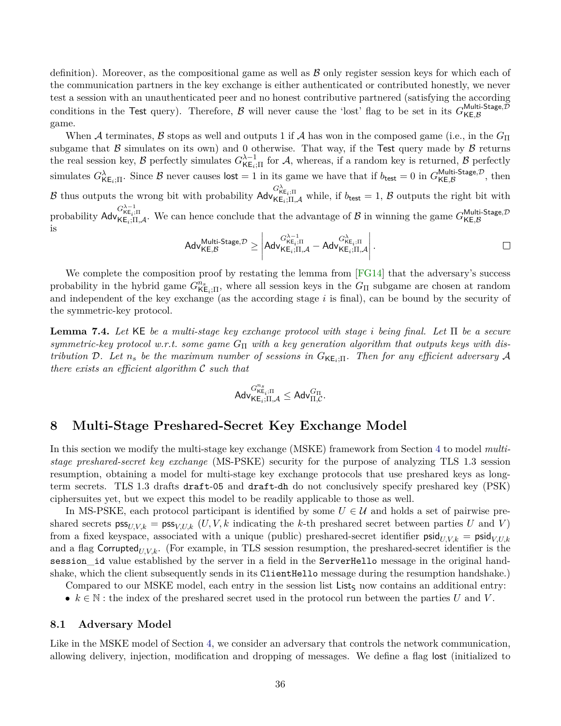<span id="page-35-3"></span>definition). Moreover, as the compositional game as well as  $\beta$  only register session keys for which each of the communication partners in the key exchange is either authenticated or contributed honestly, we never test a session with an unauthenticated peer and no honest contributive partnered (satisfying the according conditions in the Test query). Therefore, B will never cause the 'lost' flag to be set in its  $G_{\bf K}^{\text{Multi-Stage}, \mathcal{D}}$ KE*,*B game.

When A terminates, B stops as well and outputs 1 if A has won in the composed game (i.e., in the  $G_{\Pi}$ subgame that  $\beta$  simulates on its own) and 0 otherwise. That way, if the Test query made by  $\beta$  returns the real session key,  $\beta$  perfectly simulates  $G_{\mathsf{KE}_i;\Pi}^{\lambda-1}$  for  $\mathcal{A}$ , whereas, if a random key is returned,  $\beta$  perfectly simulates  $G^{\lambda}_{\mathsf{KE}_i;\Pi}$ . Since  $\beta$  never causes  $\mathsf{lost} = 1$  in its game we have that if  $b_{\mathsf{test}} = 0$  in  $G^{\mathsf{Multi\text{-}Stage},\mathcal{D}}_{\mathsf{KE},\beta}$  $\mathsf{KE}, \mathcal{B}$  (KE,  $\mathcal{B}$ ) B thus outputs the wrong bit with probability  $\mathsf{Adv}_{\mathsf{KE}_i;\Pi,\mathcal{A}}^{G_{\mathsf{KE}_i;\Pi}^{\lambda}}$  while, if  $b_{\mathsf{test}} = 1, \mathcal{B}$  outputs the right bit with probability  $\mathsf{Adv}_{\mathsf{KE}_i;\Pi,\mathcal{A}}^{G_{\mathsf{KE}_i;\Pi}^{\lambda-1}$ . We can hence conclude that the advantage of  $\mathcal B$  in winning the game  $G_{\mathsf{KE},\mathcal{B}}^{\mathsf{Multi-Stage},\mathcal{D}}$ KE*,*B is *λ*−1

$$
\mathsf{Adv}_{\mathsf{KE},\mathcal{B}}^{\mathsf{Multi\text{-}Stage},\mathcal{D}} \geq \left|\mathsf{Adv}_{\mathsf{KE}_i;\Pi,\mathcal{A}}^{\mathit{G}^{\lambda-1}_{\mathsf{KE}_i;\Pi}} - \mathsf{Adv}_{\mathsf{KE}_i;\Pi,\mathcal{A}}^{\mathit{G}^{\lambda}_{\mathsf{KE}_i;\Pi}}\right|.
$$

We complete the composition proof by restating the lemma from  $\lfloor$  FG14 $\rfloor$  that the adversary's success probability in the hybrid game  $G_{\text{KE}_i;\Pi}^{n_s}$ , where all session keys in the  $G_{\Pi}$  subgame are chosen at random and independent of the key exchange (as the according stage *i* is final), can be bound by the security of the symmetric-key protocol.

<span id="page-35-2"></span>**Lemma 7.4.** *Let* KE *be a multi-stage key exchange protocol with stage i being final. Let* Π *be a secure symmetric-key protocol w.r.t. some game G*<sup>Π</sup> *with a key generation algorithm that outputs keys with distribution* D. Let  $n_s$  *be the maximum number of sessions in*  $G_{\mathsf{KE}_i;\Pi}$ . Then for any efficient adversary A *there exists an efficient algorithm* C *such that*

$$
\mathsf{Adv}^{G^{n_s}_{\mathsf{KE}_i;\Pi}}_{\mathsf{KE}_i;\Pi,\mathcal{A}} \leq \mathsf{Adv}^{G_{\Pi}}_{\Pi,\mathcal{C}}.
$$

# <span id="page-35-0"></span>**8 Multi-Stage Preshared-Secret Key Exchange Model**

In this section we modify the multi-stage key exchange (MSKE) framework from Section [4](#page-11-0) to model *multistage preshared-secret key exchange* (MS-PSKE) security for the purpose of analyzing TLS 1.3 session resumption, obtaining a model for multi-stage key exchange protocols that use preshared keys as longterm secrets. TLS 1.3 drafts draft-05 and draft-dh do not conclusively specify preshared key (PSK) ciphersuites yet, but we expect this model to be readily applicable to those as well.

In MS-PSKE, each protocol participant is identified by some  $U \in \mathcal{U}$  and holds a set of pairwise preshared secrets  $\text{pss}_{U,V,k} = \text{pss}_{V,U,k}$  (*U, V, k* indicating the *k*-th preshared secret between parties *U* and *V*) from a fixed keyspace, associated with a unique (public) preshared-secret identifier  $\text{psid}_{U,V,k} = \text{psid}_{V,U,k}$ and a flag Corrupted<sub>U,V,k</sub>. (For example, in TLS session resumption, the preshared-secret identifier is the session\_id value established by the server in a field in the ServerHello message in the original handshake, which the client subsequently sends in its ClientHello message during the resumption handshake.)

Compared to our MSKE model, each entry in the session list List<sub>S</sub> now contains an additional entry:

•  $k \in \mathbb{N}$ : the index of the preshared secret used in the protocol run between the parties *U* and *V*.

#### <span id="page-35-1"></span>**8.1 Adversary Model**

Like in the MSKE model of Section [4,](#page-11-0) we consider an adversary that controls the network communication, allowing delivery, injection, modification and dropping of messages. We define a flag lost (initialized to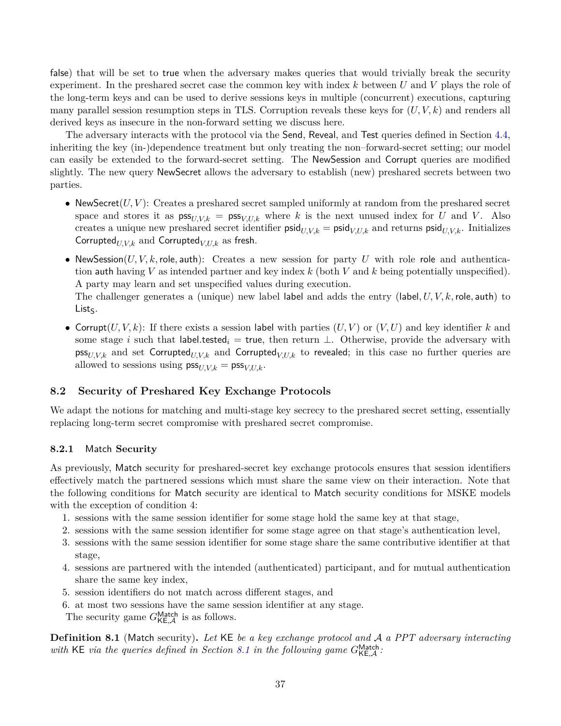false) that will be set to true when the adversary makes queries that would trivially break the security experiment. In the preshared secret case the common key with index *k* between *U* and *V* plays the role of the long-term keys and can be used to derive sessions keys in multiple (concurrent) executions, capturing many parallel session resumption steps in TLS. Corruption reveals these keys for (*U, V, k*) and renders all derived keys as insecure in the non-forward setting we discuss here.

The adversary interacts with the protocol via the Send, Reveal, and Test queries defined in Section [4.4,](#page-14-0) inheriting the key (in-)dependence treatment but only treating the non–forward-secret setting; our model can easily be extended to the forward-secret setting. The NewSession and Corrupt queries are modified slightly. The new query NewSecret allows the adversary to establish (new) preshared secrets between two parties.

- NewSecret $(U, V)$ : Creates a preshared secret sampled uniformly at random from the preshared secret space and stores it as  $\mathsf{pss}_{U,V,k} = \mathsf{pss}_{V,U,k}$  where k is the next unused index for U and V. Also creates a unique new preshared secret identifier  $\text{psid}_{U,V,k} = \text{psid}_{V,U,k}$  and returns  $\text{psid}_{U,V,k}$ . Initializes Corrupted $U_{V,k}$  and Corrupted $V_{V,k}$  as fresh.
- NewSession( $U, V, k$ , role, auth): Creates a new session for party  $U$  with role role and authentication auth having *V* as intended partner and key index *k* (both *V* and *k* being potentially unspecified). A party may learn and set unspecified values during execution.

The challenger generates a (unique) new label label and adds the entry (label*, U, V, k,* role*,* auth) to  $List<sub>S</sub>$ .

• Corrupt $(U, V, k)$ : If there exists a session label with parties  $(U, V)$  or  $(V, U)$  and key identifier k and some stage *i* such that label.tested<sub>*i*</sub> = true, then return  $\perp$ . Otherwise, provide the adversary with  $\text{pss}_{U,V,k}$  and set Corrupted<sub>U,V,k</sub> and Corrupted<sub>V,U,k</sub> to revealed; in this case no further queries are allowed to sessions using  $\text{pss}_{U,V,k} = \text{pss}_{V,U,k}$ .

## <span id="page-36-0"></span>**8.2 Security of Preshared Key Exchange Protocols**

We adapt the notions for matching and multi-stage key secrecy to the preshared secret setting, essentially replacing long-term secret compromise with preshared secret compromise.

#### <span id="page-36-1"></span>**8.2.1** Match **Security**

As previously, Match security for preshared-secret key exchange protocols ensures that session identifiers effectively match the partnered sessions which must share the same view on their interaction. Note that the following conditions for Match security are identical to Match security conditions for MSKE models with the exception of condition 4:

- 1. sessions with the same session identifier for some stage hold the same key at that stage,
- 2. sessions with the same session identifier for some stage agree on that stage's authentication level,
- 3. sessions with the same session identifier for some stage share the same contributive identifier at that stage,
- 4. sessions are partnered with the intended (authenticated) participant, and for mutual authentication share the same key index,
- 5. session identifiers do not match across different stages, and
- 6. at most two sessions have the same session identifier at any stage. The security game  $G_{\mathsf{KE},\mathcal{A}}^{\mathsf{Match}}$  is as follows.

**Def inition 8.1** (Match security)**.** *Let* KE *be a key exchange protocol and* A *a PPT adversary interacting* with KE via the queries defined in Section [8.1](#page-35-1) in the following game  $G_{\text{KE},\mathcal{A}}^{\text{Match}}$ .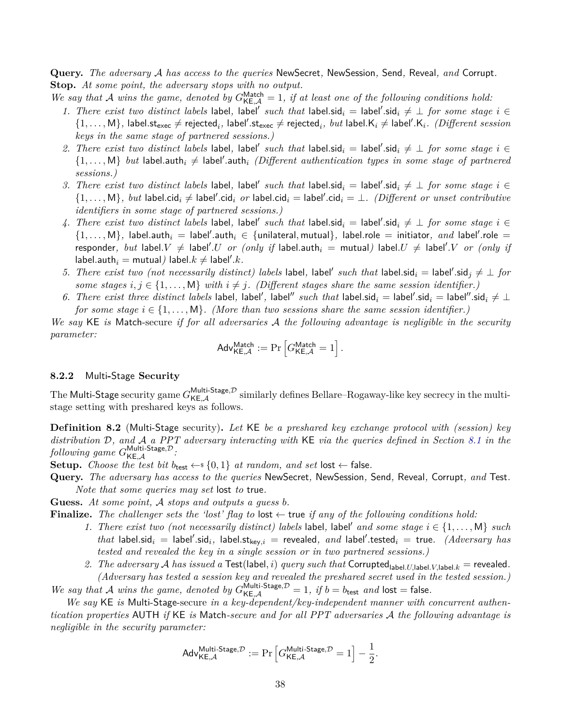**Query.** *The adversary* A *has access to the queries* NewSecret*,* NewSession*,* Send*,* Reveal*, and* Corrupt*.* **Stop.** *At some point, the adversary stops with no output.*

- We say that A wins the game, denoted by  $G_{\text{KE},\mathcal{A}}^{\text{Match}} = 1$ , if at least one of the following conditions hold:
	- 1. There exist two distinct labels label, label' such that label.sid<sub>i</sub> = label'.sid<sub>i</sub>  $\neq \bot$  for some stage  $i \in$  $\{1,\ldots,M\}$ , label.st<sub>exec</sub>  $\neq$  rejected<sub>*i*</sub>, label'.st<sub>exec</sub>  $\neq$  rejected*<sub>i</sub>*, *but* label.K<sub>i</sub>  $\neq$  label'.K<sub>i</sub>. *(Different session keys in the same stage of partnered sessions.)*
	- 2. There exist two distinct labels label, label' such that label.sid<sub>i</sub> = label'.sid<sub>i</sub>  $\neq \bot$  for some stage  $i \in$  $\{1,\ldots,M\}$  *but* label.auth<sub>i</sub>  $\neq$  label'.auth<sub>i</sub> (Different authentication types in some stage of partnered *sessions.)*
	- 3. There exist two distinct labels label, label' such that label.sid<sub>i</sub> = label'.sid<sub>i</sub>  $\neq \bot$  *for some stage*  $i \in$  $\{1,\ldots,M\}$ , but label.cid<sub>i</sub>  $\neq$  label'.cid<sub>i</sub> or label.cid<sub>i</sub> = label'.cid<sub>i</sub> =  $\perp$ . *(Different or unset contributive identifiers in some stage of partnered sessions.)*
	- 4. There exist two distinct labels label, label' such that label.sid<sub>i</sub> = label'.sid<sub>i</sub>  $\neq \bot$  for some stage  $i \in$  $\{1,\ldots,M\}$ , label.auth $_i =$  label'.auth $_i \in \{$ unilateral, mutual $\}$ , label.role = initiator, and label'.role =  $\mathsf{respectively,}~but~\mathsf{label}.V~\neq~\mathsf{label}.U~or~(only~if~\mathsf{label}.\mathsf{a}$   $=$   $\mathsf{mutual})~\mathsf{label}.U~\neq~\mathsf{label}.V~or~(only~if~\mathsf{label}$  $\mathsf{label}$ . auth $_i = \mathsf{mutual}$  ) label. $k \neq \mathsf{label}'.k$  .
	- 5. There exist two (not necessarily distinct) labels label, label' such that label.sid<sub>i</sub> = label'.sid<sub>j</sub>  $\neq \perp$  for *some stages*  $i, j \in \{1, \ldots, M\}$  *with*  $i \neq j$ *. (Different stages share the same session identifier.)*
	- 6. There exist three distinct labels label, label', label'' such that label.sid<sub>i</sub> = label'.sid<sub>i</sub> = label''.sid<sub>i</sub>  $\neq \bot$ *for some stage*  $i \in \{1, \ldots, M\}$ . (More than two sessions share the same session identifier.)

*We say* KE *is* Match-secure *if for all adversaries* A *the following advantage is negligible in the security parameter:*

$$
\mathsf{Adv}_{\mathsf{KE}, \mathcal{A}}^{\mathsf{Match}} := \Pr \left[ G_{\mathsf{KE}, \mathcal{A}}^{\mathsf{Match}} = 1 \right].
$$

#### <span id="page-37-0"></span>**8.2.2** Multi**-**Stage **Security**

The Multi-Stage security game  $G_{\mathsf{KE},\mathcal{A}}^{\mathsf{Multi-Stage},\mathcal{D}}$  similarly defines Bellare–Rogaway-like key secrecy in the multistage setting with preshared keys as follows.

**Def inition 8.2** (Multi-Stage security)**.** *Let* KE *be a preshared key exchange protocol with (session) key distribution* D*, and* A *a PPT adversary interacting with* KE *via the queries defined in Section [8.1](#page-35-1) in the*  $\emph{following game}$   $G_{\mathsf{KE},\mathcal{A}}^{\mathsf{Multi\text{-}Stage},\mathcal{D}}$  *:* 

**Setup.** *Choose the test bit*  $b_{\text{test}} \leftarrow s \{0, 1\}$  *at random, and set* lost  $\leftarrow$  false.

**Query.** *The adversary has access to the queries* NewSecret*,* NewSession*,* Send*,* Reveal*,* Corrupt*, and* Test*. Note that some queries may set* lost *to* true*.*

**Guess.** *At some point,* A *stops and outputs a guess b.*

**Finalize.** The challenger sets the 'lost' flag to  $\vert \text{ost} \rangle$  true if any of the following conditions hold:

- 1. There exist two (not necessarily distinct) labels label, label' and some stage  $i \in \{1, \ldots, M\}$  such  $that$  label.sid<sub>*i*</sub> = label'.sid<sub>*i*</sub>, label.st<sub>key,</sub> $i$  = revealed, and label'.tested<sub>*i*</sub> = true. (Adversary has *tested and revealed the key in a single session or in two partnered sessions.)*
- 2. *The adversary* A *has issued a* Test(label, i) *query such that* Corrupted<sub>label</sub>.*U*,label.*K*,label.*k* = revealed. *(Adversary has tested a session key and revealed the preshared secret used in the tested session.)*

We say that A wins the game, denoted by  $G_{\text{KE},\mathcal{A}}^{\text{Multi-Stage},\mathcal{D}} = 1$ , if  $b = b_{\text{test}}$  and  $\text{lost} = \text{false}$ .

*We say* KE *is* Multi-Stage-secure *in a key-dependent/key-independent manner with concurrent authentication properties* AUTH *if* KE *is* Match*-secure and for all PPT adversaries* A *the following advantage is negligible in the security parameter:*

$$
\mathsf{Adv}_{\mathsf{KE}, \mathcal{A}}^{\mathsf{Multi-Stage}, \mathcal{D}} := \Pr\left[G_{\mathsf{KE}, \mathcal{A}}^{\mathsf{Multi-Stage}, \mathcal{D}} = 1\right] - \frac{1}{2}.
$$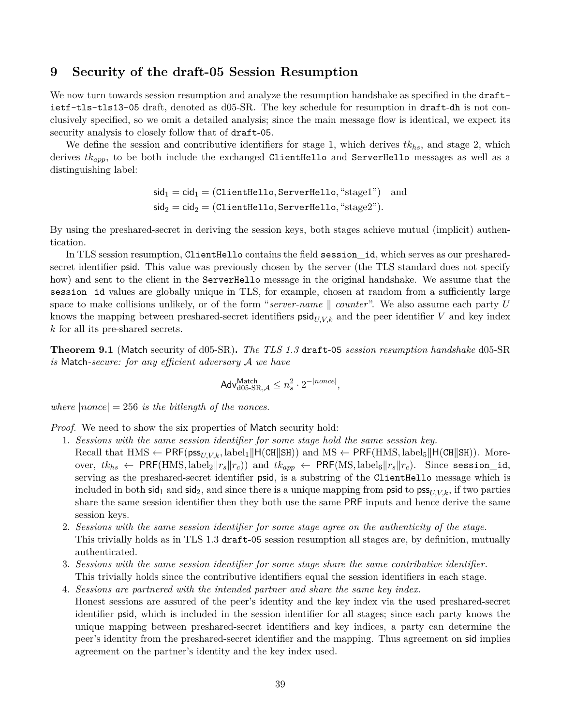# <span id="page-38-0"></span>**9 Security of the draft-05 Session Resumption**

We now turn towards session resumption and analyze the resumption handshake as specified in the draftietf-tls-tls13-05 draft, denoted as d05-SR. The key schedule for resumption in draft-dh is not conclusively specified, so we omit a detailed analysis; since the main message flow is identical, we expect its security analysis to closely follow that of draft-05.

We define the session and contributive identifiers for stage 1, which derives *tkhs*, and stage 2, which derives *tkapp*, to be both include the exchanged ClientHello and ServerHello messages as well as a distinguishing label:

> $sid_1 = cid_1 = (ClientHello, ServerHello, "stage1")$  and  $\mathsf{sid}_2 = \mathsf{cid}_2 = (\texttt{ClientHello}, \texttt{ServerHello}, \texttt{``stage2''}).$

By using the preshared-secret in deriving the session keys, both stages achieve mutual (implicit) authentication.

In TLS session resumption, ClientHello contains the field session\_id, which serves as our presharedsecret identifier psid. This value was previously chosen by the server (the TLS standard does not specify how) and sent to the client in the ServerHello message in the original handshake. We assume that the session\_id values are globally unique in TLS, for example, chosen at random from a sufficiently large space to make collisions unlikely, or of the form "server-name  $\parallel counter$ ". We also assume each party *U* knows the mapping between preshared-secret identifiers  $\text{psid}_{U,V,k}$  and the peer identifier *V* and key index *k* for all its pre-shared secrets.

**Theorem 9.1** (Match security of d05-SR)**.** *The TLS 1.3* draft-05 *session resumption handshake* d05-SR *is* Match*-secure: for any efficient adversary* A *we have*

$$
\mathsf{Adv}_{\mathsf{d05}\text{-SR},\mathcal{A}}^{\mathsf{Match}} \leq n_s^2 \cdot 2^{-|none|},
$$

*where*  $|none| = 256$  *is the bitlength of the nonces.* 

*Proof.* We need to show the six properties of Match security hold:

- 1. *Sessions with the same session identifier for some stage hold the same session key.*
	- Recall that  $HMS \leftarrow PRF(pss_{U,V,k}, label_1||H(CH||SH))$  and  $MS \leftarrow PRF(HMS, label_5||H(CH||SH)).$  Moreover,  $tk_{hs} \leftarrow \text{PRF}(\text{HMS}, \text{label}_2 || r_s || r_c)$  and  $tk_{app} \leftarrow \text{PRF}(\text{MS}, \text{label}_6 || r_s || r_c)$ . Since session\_id, serving as the preshared-secret identifier psid, is a substring of the ClientHello message which is included in both sid<sub>1</sub> and sid<sub>2</sub>, and since there is a unique mapping from psid to  $\text{pss}_{U,V,k}$ , if two parties share the same session identifier then they both use the same PRF inputs and hence derive the same session keys.
- 2. *Sessions with the same session identifier for some stage agree on the authenticity of the stage.* This trivially holds as in TLS 1.3 draft-05 session resumption all stages are, by definition, mutually authenticated.
- 3. *Sessions with the same session identifier for some stage share the same contributive identifier.* This trivially holds since the contributive identifiers equal the session identifiers in each stage.
- 4. *Sessions are partnered with the intended partner and share the same key index.* Honest sessions are assured of the peer's identity and the key index via the used preshared-secret identifier psid, which is included in the session identifier for all stages; since each party knows the unique mapping between preshared-secret identifiers and key indices, a party can determine the peer's identity from the preshared-secret identifier and the mapping. Thus agreement on sid implies agreement on the partner's identity and the key index used.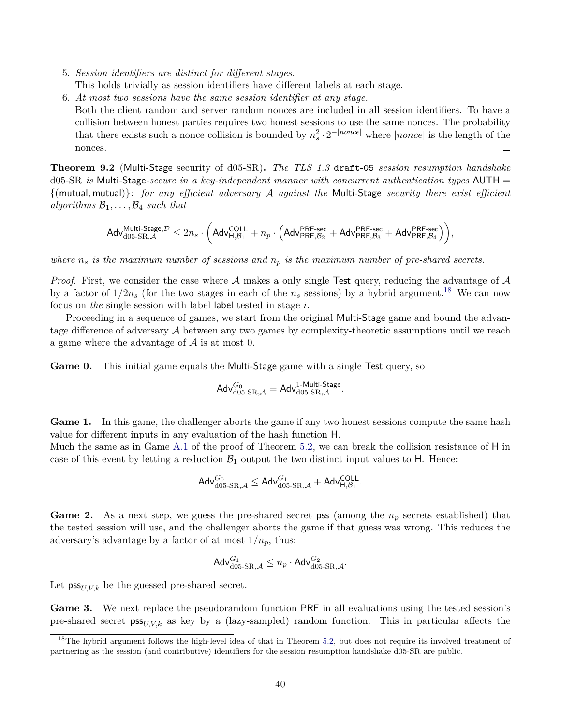- 5. *Session identifiers are distinct for different stages.* This holds trivially as session identifiers have different labels at each stage.
- 6. *At most two sessions have the same session identifier at any stage.*
- Both the client random and server random nonces are included in all session identifiers. To have a collision between honest parties requires two honest sessions to use the same nonces. The probability that there exists such a nonce collision is bounded by  $n_s^2 \cdot 2^{-|none|}$  where  $|none|$  is the length of the nonces.

**Theorem 9.2** (Multi-Stage security of d05-SR)**.** *The TLS 1.3* draft-05 *session resumption handshake* d05-SR *is* Multi*-*Stage*-secure in a key-independent manner with concurrent authentication types* AUTH = {(mutual*,* mutual)}*: for any efficient adversary* A *against the* Multi*-*Stage *security there exist efficient algorithms*  $\mathcal{B}_1, \ldots, \mathcal{B}_4$  *such that* 

$$
\mathsf{Adv}_{\mathsf{d05-SR},\mathcal{A}}^{\mathsf{Multi\text{-}Stage},\mathcal{D}} \leq 2n_s \cdot \Big( \mathsf{Adv}_{\mathsf{H},\mathcal{B}_1}^{\mathsf{COLL}} + n_p \cdot \Big( \mathsf{Adv}_{\mathsf{PRF},\mathcal{B}_2}^{\mathsf{PRF\text{-}sec}} + \mathsf{Adv}_{\mathsf{PRF},\mathcal{B}_3}^{\mathsf{PRF\text{-}sec}} + \mathsf{Adv}_{\mathsf{PRF},\mathcal{B}_4}^{\mathsf{PRF\text{-}sec}} \Big) \Big),
$$

*where n<sup>s</sup> is the maximum number of sessions and n<sup>p</sup> is the maximum number of pre-shared secrets.*

*Proof.* First, we consider the case where A makes a only single Test query, reducing the advantage of A by a factor of  $1/2n_s$  (for the two stages in each of the  $n_s$  sessions) by a hybrid argument.<sup>[18](#page-39-0)</sup> We can now focus on *the* single session with label label tested in stage *i*.

Proceeding in a sequence of games, we start from the original Multi-Stage game and bound the advantage difference of adversary A between any two games by complexity-theoretic assumptions until we reach a game where the advantage of  $A$  is at most 0.

**Game 0.** This initial game equals the Multi-Stage game with a single Test query, so

$$
\mathsf{Adv}_{\mathsf{d05-SR},\mathcal{A}}^{G_0} = \mathsf{Adv}_{\mathsf{d05-SR},\mathcal{A}}^{\mathsf{1-Multi\text{-}Stage}}.
$$

<span id="page-39-3"></span>Game 1. In this game, the challenger aborts the game if any two honest sessions compute the same hash value for different inputs in any evaluation of the hash function H.

Much the same as in Game [A.1](#page-21-0) of the proof of Theorem [5.2,](#page-20-0) we can break the collision resistance of H in case of this event by letting a reduction  $\mathcal{B}_1$  output the two distinct input values to H. Hence:

$$
\mathsf{Adv}_{\mathsf{d05\text{-}SR},\mathcal{A}}^{G_0} \leq \mathsf{Adv}_{\mathsf{d05\text{-}SR},\mathcal{A}}^{G_1} + \mathsf{Adv}_{\mathsf{H},\mathcal{B}_1}^{\mathsf{COLL}}.
$$

<span id="page-39-1"></span>**Game 2.** As a next step, we guess the pre-shared secret pss (among the *n<sup>p</sup>* secrets established) that the tested session will use, and the challenger aborts the game if that guess was wrong. This reduces the adversary's advantage by a factor of at most  $1/n_p$ , thus:

$$
\mathsf{Adv}_{\mathsf{d05-SR},\mathcal{A}}^{G_1} \leq n_p \cdot \mathsf{Adv}_{\mathsf{d05-SR},\mathcal{A}}^{G_2}.
$$

<span id="page-39-2"></span>Let  $\mathsf{pss}_{U,V,k}$  be the guessed pre-shared secret.

Game 3. We next replace the pseudorandom function PRF in all evaluations using the tested session's pre-shared secret  $\mathsf{pss}_{U,V,k}$  as key by a (lazy-sampled) random function. This in particular affects the

<span id="page-39-0"></span> $18$ The hybrid argument follows the high-level idea of that in Theorem [5.2,](#page-20-0) but does not require its involved treatment of partnering as the session (and contributive) identifiers for the session resumption handshake d05-SR are public.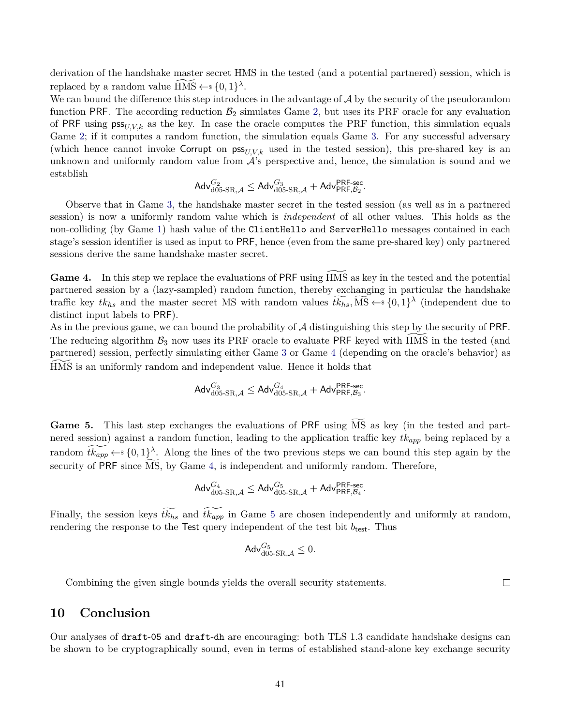derivation of the handshake master secret HMS in the tested (and a potential partnered) session, which is replaced by a random value  $\widetilde{HMS} \leftarrow s \{0,1\}^{\lambda}$ .

We can bound the difference this step introduces in the advantage of  $\mathcal A$  by the security of the pseudorandom function PRF. The according reduction  $B_2$  simulates Game [2,](#page-39-1) but uses its PRF oracle for any evaluation of PRF using  $\mathsf{pss}_{U,V,k}$  as the key. In case the oracle computes the PRF function, this simulation equals Game [2;](#page-39-1) if it computes a random function, the simulation equals Game [3.](#page-39-2) For any successful adversary (which hence cannot invoke Corrupt on  $\mathsf{pss}_{U,V,k}$  used in the tested session), this pre-shared key is an unknown and uniformly random value from  $A$ 's perspective and, hence, the simulation is sound and we establish

$$
\mathsf{Adv}_{\mathsf{d05}\text{-}\mathsf{SR},\mathcal{A}}^{G_2}\leq \mathsf{Adv}_{\mathsf{d05}\text{-}\mathsf{SR},\mathcal{A}}^{G_3} + \mathsf{Adv}_{\mathsf{PRF},\mathcal{B}_2}^{\mathsf{PRF}\text{-}\mathsf{sec}}.
$$

Observe that in Game [3,](#page-39-2) the handshake master secret in the tested session (as well as in a partnered session) is now a uniformly random value which is *independent* of all other values. This holds as the non-colliding (by Game [1\)](#page-39-3) hash value of the ClientHello and ServerHello messages contained in each stage's session identifier is used as input to PRF, hence (even from the same pre-shared key) only partnered sessions derive the same handshake master secret.

<span id="page-40-1"></span>**Game 4.** In this step we replace the evaluations of PRF using HMS as key in the tested and the potential partnered session by a (lazy-sampled) random function, thereby exchanging in particular the handshake traffic key  $tk_{hs}$  and the master secret MS with random values  $t\widetilde{k_{hs}}$ ,  $\widetilde{MS} \leftarrow s\{0,1\}^{\lambda}$  (independent due to distinct input labels to PRF).

As in the previous game, we can bound the probability of  $A$  distinguishing this step by the security of PRF. The reducing algorithm  $\mathcal{B}_3$  now uses its PRF oracle to evaluate PRF keyed with HMS in the tested (and partnered) session, perfectly simulating either Game [3](#page-39-2) or Game [4](#page-40-1) (depending on the oracle's behavior) as HMS is an uniformly random and independent value. Hence it holds that

$$
\mathsf{Adv}_{\mathsf{d05\text{-}SR},\mathcal{A}}^{G_3} \leq \mathsf{Adv}_{\mathsf{d05\text{-}SR},\mathcal{A}}^{G_4} + \mathsf{Adv}_{\mathsf{PRF},\mathcal{B}_3}^{\mathsf{PRF\text{-}sec}}.
$$

<span id="page-40-2"></span>Game 5. This last step exchanges the evaluations of PRF using MS as key (in the tested and partnered session) against a random function, leading to the application traffic key *tkapp* being replaced by a random  $\widetilde{tk_{app}} \leftarrow \{0,1\}^{\lambda}$ . Along the lines of the two previous steps we can bound this step again by the security of PRF since  $\widetilde{\text{MS}}$ , by Game [4,](#page-40-1) is independent and uniformly random. Therefore,

$$
\mathsf{Adv}_{\mathsf{d05}\text{-}\mathsf{SR},\mathcal{A}}^{G_4}\leq \mathsf{Adv}_{\mathsf{d05}\text{-}\mathsf{SR},\mathcal{A}}^{G_5}+\mathsf{Adv}_{\mathsf{PRF},\mathcal{B}_4}^{\mathsf{PRF}\text{-}\mathsf{sec}}.
$$

Finally, the session keys  $\widetilde{tk_{hs}}$  and  $\widetilde{tk_{app}}$  in Game [5](#page-40-2) are chosen independently and uniformly at random, rendering the response to the Test query independent of the test bit  $b_{test}$ . Thus

$$
\mathsf{Adv}_{\mathsf{d05-SR},\mathcal{A}}^{G_5}\leq 0.
$$

Combining the given single bounds yields the overall security statements.

 $\Box$ 

# <span id="page-40-0"></span>**10 Conclusion**

Our analyses of draft-05 and draft-dh are encouraging: both TLS 1.3 candidate handshake designs can be shown to be cryptographically sound, even in terms of established stand-alone key exchange security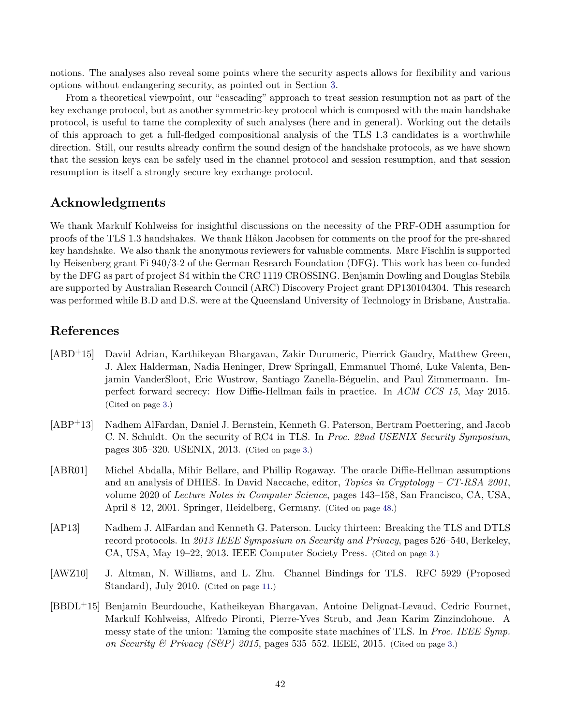notions. The analyses also reveal some points where the security aspects allows for flexibility and various options without endangering security, as pointed out in Section [3.](#page-8-0)

From a theoretical viewpoint, our "cascading" approach to treat session resumption not as part of the key exchange protocol, but as another symmetric-key protocol which is composed with the main handshake protocol, is useful to tame the complexity of such analyses (here and in general). Working out the details of this approach to get a full-fledged compositional analysis of the TLS 1.3 candidates is a worthwhile direction. Still, our results already confirm the sound design of the handshake protocols, as we have shown that the session keys can be safely used in the channel protocol and session resumption, and that session resumption is itself a strongly secure key exchange protocol.

# **Acknowledgments**

We thank Markulf Kohlweiss for insightful discussions on the necessity of the PRF-ODH assumption for proofs of the TLS 1.3 handshakes. We thank Håkon Jacobsen for comments on the proof for the pre-shared key handshake. We also thank the anonymous reviewers for valuable comments. Marc Fischlin is supported by Heisenberg grant Fi 940/3-2 of the German Research Foundation (DFG). This work has been co-funded by the DFG as part of project S4 within the CRC 1119 CROSSING. Benjamin Dowling and Douglas Stebila are supported by Australian Research Council (ARC) Discovery Project grant DP130104304. This research was performed while B.D and D.S. were at the Queensland University of Technology in Brisbane, Australia.

# **References**

- <span id="page-41-2"></span>[ABD+15] David Adrian, Karthikeyan Bhargavan, Zakir Durumeric, Pierrick Gaudry, Matthew Green, J. Alex Halderman, Nadia Heninger, Drew Springall, Emmanuel Thomé, Luke Valenta, Benjamin VanderSloot, Eric Wustrow, Santiago Zanella-Béguelin, and Paul Zimmermann. Imperfect forward secrecy: How Diffie-Hellman fails in practice. In *ACM CCS 15*, May 2015. (Cited on page [3.](#page-2-5))
- <span id="page-41-0"></span>[ABP+13] Nadhem AlFardan, Daniel J. Bernstein, Kenneth G. Paterson, Bertram Poettering, and Jacob C. N. Schuldt. On the security of RC4 in TLS. In *Proc. 22nd USENIX Security Symposium*, pages 305–320. USENIX, 2013. (Cited on page [3.](#page-2-5))
- <span id="page-41-5"></span>[ABR01] Michel Abdalla, Mihir Bellare, and Phillip Rogaway. The oracle Diffie-Hellman assumptions and an analysis of DHIES. In David Naccache, editor, *Topics in Cryptology – CT-RSA 2001*, volume 2020 of *Lecture Notes in Computer Science*, pages 143–158, San Francisco, CA, USA, April 8–12, 2001. Springer, Heidelberg, Germany. (Cited on page [48.](#page-47-1))
- <span id="page-41-1"></span>[AP13] Nadhem J. AlFardan and Kenneth G. Paterson. Lucky thirteen: Breaking the TLS and DTLS record protocols. In *2013 IEEE Symposium on Security and Privacy*, pages 526–540, Berkeley, CA, USA, May 19–22, 2013. IEEE Computer Society Press. (Cited on page [3.](#page-2-5))
- <span id="page-41-4"></span>[AWZ10] J. Altman, N. Williams, and L. Zhu. Channel Bindings for TLS. RFC 5929 (Proposed Standard), July 2010. (Cited on page [11.](#page-10-1))
- <span id="page-41-3"></span>[BBDL+15] Benjamin Beurdouche, Katheikeyan Bhargavan, Antoine Delignat-Levaud, Cedric Fournet, Markulf Kohlweiss, Alfredo Pironti, Pierre-Yves Strub, and Jean Karim Zinzindohoue. A messy state of the union: Taming the composite state machines of TLS. In *Proc. IEEE Symp. on Security & Privacy (S&P) 2015*, pages 535–552. IEEE, 2015. (Cited on page [3.](#page-2-5))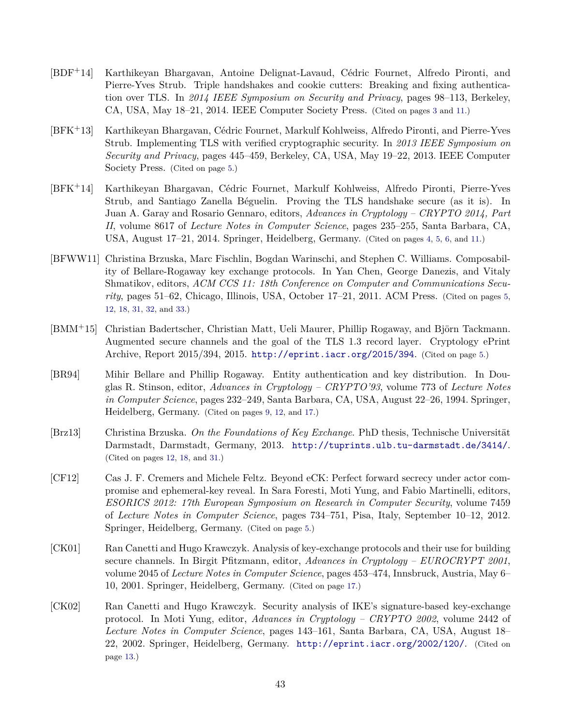- <span id="page-42-0"></span>[BDF+14] Karthikeyan Bhargavan, Antoine Delignat-Lavaud, Cédric Fournet, Alfredo Pironti, and Pierre-Yves Strub. Triple handshakes and cookie cutters: Breaking and fixing authentication over TLS. In *2014 IEEE Symposium on Security and Privacy*, pages 98–113, Berkeley, CA, USA, May 18–21, 2014. IEEE Computer Society Press. (Cited on pages [3](#page-2-5) and [11.](#page-10-1))
- <span id="page-42-4"></span>[BFK+13] Karthikeyan Bhargavan, Cédric Fournet, Markulf Kohlweiss, Alfredo Pironti, and Pierre-Yves Strub. Implementing TLS with verified cryptographic security. In *2013 IEEE Symposium on Security and Privacy*, pages 445–459, Berkeley, CA, USA, May 19–22, 2013. IEEE Computer Society Press. (Cited on page [5.](#page-4-2))
- <span id="page-42-1"></span>[BFK+14] Karthikeyan Bhargavan, Cédric Fournet, Markulf Kohlweiss, Alfredo Pironti, Pierre-Yves Strub, and Santiago Zanella Béguelin. Proving the TLS handshake secure (as it is). In Juan A. Garay and Rosario Gennaro, editors, *Advances in Cryptology – CRYPTO 2014, Part II*, volume 8617 of *Lecture Notes in Computer Science*, pages 235–255, Santa Barbara, CA, USA, August 17–21, 2014. Springer, Heidelberg, Germany. (Cited on pages [4,](#page-3-2) [5,](#page-4-2) [6,](#page-5-1) and [11.](#page-10-1))
- <span id="page-42-2"></span>[BFWW11] Christina Brzuska, Marc Fischlin, Bogdan Warinschi, and Stephen C. Williams. Composability of Bellare-Rogaway key exchange protocols. In Yan Chen, George Danezis, and Vitaly Shmatikov, editors, *ACM CCS 11: 18th Conference on Computer and Communications Security*, pages 51–62, Chicago, Illinois, USA, October 17–21, 2011. ACM Press. (Cited on pages [5,](#page-4-2) [12,](#page-11-3) [18,](#page-17-2) [31,](#page-30-1) [32,](#page-31-2) and [33.](#page-32-4))
- <span id="page-42-3"></span>[BMM+15] Christian Badertscher, Christian Matt, Ueli Maurer, Phillip Rogaway, and Björn Tackmann. Augmented secure channels and the goal of the TLS 1.3 record layer. Cryptology ePrint Archive, Report 2015/394, 2015. <http://eprint.iacr.org/2015/394>. (Cited on page [5.](#page-4-2))
- <span id="page-42-6"></span>[BR94] Mihir Bellare and Phillip Rogaway. Entity authentication and key distribution. In Douglas R. Stinson, editor, *Advances in Cryptology – CRYPTO'93*, volume 773 of *Lecture Notes in Computer Science*, pages 232–249, Santa Barbara, CA, USA, August 22–26, 1994. Springer, Heidelberg, Germany. (Cited on pages [9,](#page-8-3) [12,](#page-11-3) and [17.](#page-16-1))
- <span id="page-42-7"></span>[Brz13] Christina Brzuska. *On the Foundations of Key Exchange*. PhD thesis, Technische Universität Darmstadt, Darmstadt, Germany, 2013. <http://tuprints.ulb.tu-darmstadt.de/3414/>. (Cited on pages [12,](#page-11-3) [18,](#page-17-2) and [31.](#page-30-1))
- <span id="page-42-5"></span>[CF12] Cas J. F. Cremers and Michele Feltz. Beyond eCK: Perfect forward secrecy under actor compromise and ephemeral-key reveal. In Sara Foresti, Moti Yung, and Fabio Martinelli, editors, *ESORICS 2012: 17th European Symposium on Research in Computer Security*, volume 7459 of *Lecture Notes in Computer Science*, pages 734–751, Pisa, Italy, September 10–12, 2012. Springer, Heidelberg, Germany. (Cited on page [5.](#page-4-2))
- <span id="page-42-9"></span>[CK01] Ran Canetti and Hugo Krawczyk. Analysis of key-exchange protocols and their use for building secure channels. In Birgit Pfitzmann, editor, *Advances in Cryptology – EUROCRYPT 2001*, volume 2045 of *Lecture Notes in Computer Science*, pages 453–474, Innsbruck, Austria, May 6– 10, 2001. Springer, Heidelberg, Germany. (Cited on page [17.](#page-16-1))
- <span id="page-42-8"></span>[CK02] Ran Canetti and Hugo Krawczyk. Security analysis of IKE's signature-based key-exchange protocol. In Moti Yung, editor, *Advances in Cryptology – CRYPTO 2002*, volume 2442 of *Lecture Notes in Computer Science*, pages 143–161, Santa Barbara, CA, USA, August 18– 22, 2002. Springer, Heidelberg, Germany. <http://eprint.iacr.org/2002/120/>. (Cited on page [13.](#page-12-0))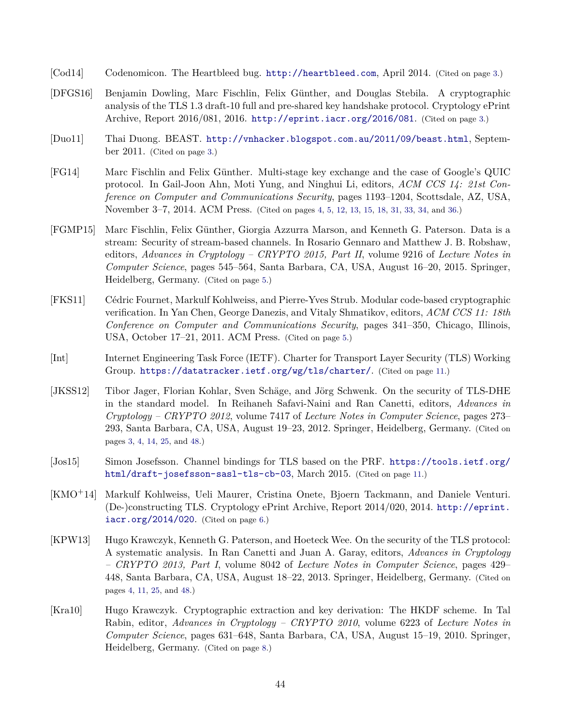- <span id="page-43-1"></span>[Cod14] Codenomicon. The Heartbleed bug. <http://heartbleed.com>, April 2014. (Cited on page [3.](#page-2-5))
- <span id="page-43-3"></span>[DFGS16] Benjamin Dowling, Marc Fischlin, Felix Günther, and Douglas Stebila. A cryptographic analysis of the TLS 1.3 draft-10 full and pre-shared key handshake protocol. Cryptology ePrint Archive, Report 2016/081, 2016. <http://eprint.iacr.org/2016/081>. (Cited on page [3.](#page-2-5))
- <span id="page-43-0"></span>[Duo11] Thai Duong. BEAST. <http://vnhacker.blogspot.com.au/2011/09/beast.html>, September 2011. (Cited on page [3.](#page-2-5))
- <span id="page-43-4"></span>[FG14] Marc Fischlin and Felix Günther. Multi-stage key exchange and the case of Google's QUIC protocol. In Gail-Joon Ahn, Moti Yung, and Ninghui Li, editors, *ACM CCS 14: 21st Conference on Computer and Communications Security*, pages 1193–1204, Scottsdale, AZ, USA, November 3–7, 2014. ACM Press. (Cited on pages [4,](#page-3-2) [5,](#page-4-2) [12,](#page-11-3) [13,](#page-12-0) [15,](#page-14-1) [18,](#page-17-2) [31,](#page-30-1) [33,](#page-32-4) [34,](#page-33-1) and [36.](#page-35-3))
- <span id="page-43-6"></span>[FGMP15] Marc Fischlin, Felix Günther, Giorgia Azzurra Marson, and Kenneth G. Paterson. Data is a stream: Security of stream-based channels. In Rosario Gennaro and Matthew J. B. Robshaw, editors, *Advances in Cryptology – CRYPTO 2015, Part II*, volume 9216 of *Lecture Notes in Computer Science*, pages 545–564, Santa Barbara, CA, USA, August 16–20, 2015. Springer, Heidelberg, Germany. (Cited on page [5.](#page-4-2))
- <span id="page-43-7"></span>[FKS11] Cédric Fournet, Markulf Kohlweiss, and Pierre-Yves Strub. Modular code-based cryptographic verification. In Yan Chen, George Danezis, and Vitaly Shmatikov, editors, *ACM CCS 11: 18th Conference on Computer and Communications Security*, pages 341–350, Chicago, Illinois, USA, October 17–21, 2011. ACM Press. (Cited on page [5.](#page-4-2))
- <span id="page-43-11"></span>[Int] Internet Engineering Task Force (IETF). Charter for Transport Layer Security (TLS) Working Group. <https://datatracker.ietf.org/wg/tls/charter/>. (Cited on page [11.](#page-10-1))
- <span id="page-43-2"></span>[JKSS12] Tibor Jager, Florian Kohlar, Sven Schäge, and Jörg Schwenk. On the security of TLS-DHE in the standard model. In Reihaneh Safavi-Naini and Ran Canetti, editors, *Advances in Cryptology – CRYPTO 2012*, volume 7417 of *Lecture Notes in Computer Science*, pages 273– 293, Santa Barbara, CA, USA, August 19–23, 2012. Springer, Heidelberg, Germany. (Cited on pages [3,](#page-2-5) [4,](#page-3-2) [14,](#page-13-3) [25,](#page-24-4) and [48.](#page-47-1))
- <span id="page-43-10"></span>[Jos15] Simon Josefsson. Channel bindings for TLS based on the PRF. [https://tools.ietf.org/](https://tools.ietf.org/html/draft-josefsson-sasl-tls-cb-03) [html/draft-josefsson-sasl-tls-cb-03](https://tools.ietf.org/html/draft-josefsson-sasl-tls-cb-03), March 2015. (Cited on page [11.](#page-10-1))
- <span id="page-43-8"></span>[KMO+14] Markulf Kohlweiss, Ueli Maurer, Cristina Onete, Bjoern Tackmann, and Daniele Venturi. (De-)constructing TLS. Cryptology ePrint Archive, Report 2014/020, 2014. [http://eprint.](http://eprint.iacr.org/2014/020) [iacr.org/2014/020](http://eprint.iacr.org/2014/020). (Cited on page [6.](#page-5-1))
- <span id="page-43-5"></span>[KPW13] Hugo Krawczyk, Kenneth G. Paterson, and Hoeteck Wee. On the security of the TLS protocol: A systematic analysis. In Ran Canetti and Juan A. Garay, editors, *Advances in Cryptology – CRYPTO 2013, Part I*, volume 8042 of *Lecture Notes in Computer Science*, pages 429– 448, Santa Barbara, CA, USA, August 18–22, 2013. Springer, Heidelberg, Germany. (Cited on pages [4,](#page-3-2) [11,](#page-10-1) [25,](#page-24-4) and [48.](#page-47-1))
- <span id="page-43-9"></span>[Kra10] Hugo Krawczyk. Cryptographic extraction and key derivation: The HKDF scheme. In Tal Rabin, editor, *Advances in Cryptology – CRYPTO 2010*, volume 6223 of *Lecture Notes in Computer Science*, pages 631–648, Santa Barbara, CA, USA, August 15–19, 2010. Springer, Heidelberg, Germany. (Cited on page [8.](#page-7-3))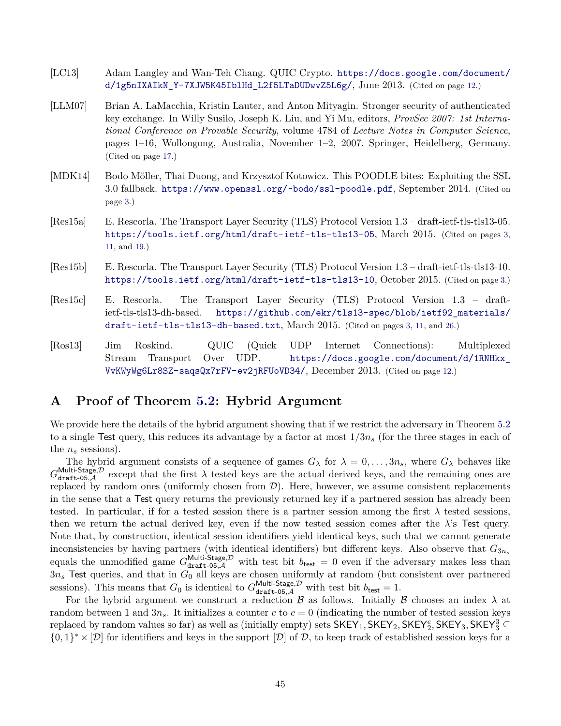- <span id="page-44-6"></span>[LC13] Adam Langley and Wan-Teh Chang. QUIC Crypto. [https://docs.google.com/document/](https://docs.google.com/document/d/1g5nIXAIkN_Y-7XJW5K45IblHd_L2f5LTaDUDwvZ5L6g/) [d/1g5nIXAIkN\\_Y-7XJW5K45IblHd\\_L2f5LTaDUDwvZ5L6g/](https://docs.google.com/document/d/1g5nIXAIkN_Y-7XJW5K45IblHd_L2f5LTaDUDwvZ5L6g/), June 2013. (Cited on page [12.](#page-11-3))
- <span id="page-44-7"></span>[LLM07] Brian A. LaMacchia, Kristin Lauter, and Anton Mityagin. Stronger security of authenticated key exchange. In Willy Susilo, Joseph K. Liu, and Yi Mu, editors, *ProvSec 2007: 1st International Conference on Provable Security*, volume 4784 of *Lecture Notes in Computer Science*, pages 1–16, Wollongong, Australia, November 1–2, 2007. Springer, Heidelberg, Germany. (Cited on page [17.](#page-16-1))
- <span id="page-44-1"></span>[MDK14] Bodo Möller, Thai Duong, and Krzysztof Kotowicz. This POODLE bites: Exploiting the SSL 3.0 fallback. <https://www.openssl.org/~bodo/ssl-poodle.pdf>, September 2014. (Cited on page [3.](#page-2-5))
- <span id="page-44-2"></span>[Res15a] E. Rescorla. The Transport Layer Security (TLS) Protocol Version 1.3 – draft-ietf-tls-tls13-05. <https://tools.ietf.org/html/draft-ietf-tls-tls13-05>, March 2015. (Cited on pages [3,](#page-2-5) [11,](#page-10-1) and [19.](#page-18-2))
- <span id="page-44-4"></span>[Res15b] E. Rescorla. The Transport Layer Security (TLS) Protocol Version 1.3 – draft-ietf-tls-tls13-10. <https://tools.ietf.org/html/draft-ietf-tls-tls13-10>, October 2015. (Cited on page [3.](#page-2-5))
- <span id="page-44-3"></span>[Res15c] E. Rescorla. The Transport Layer Security (TLS) Protocol Version 1.3 – draftietf-tls-tls13-dh-based. [https://github.com/ekr/tls13-spec/blob/ietf92\\_materials/](https://github.com/ekr/tls13-spec/blob/ietf92_materials/draft-ietf-tls-tls13-dh-based.txt) [draft-ietf-tls-tls13-dh-based.txt](https://github.com/ekr/tls13-spec/blob/ietf92_materials/draft-ietf-tls-tls13-dh-based.txt), March 2015. (Cited on pages [3,](#page-2-5) [11,](#page-10-1) and [26.](#page-25-2))
- <span id="page-44-5"></span>[Ros13] Jim Roskind. QUIC (Quick UDP Internet Connections): Multiplexed Stream Transport Over UDP. [https://docs.google.com/document/d/1RNHkx\\_](https://docs.google.com/document/d/1RNHkx_VvKWyWg6Lr8SZ-saqsQx7rFV-ev2jRFUoVD34/) [VvKWyWg6Lr8SZ-saqsQx7rFV-ev2jRFUoVD34/](https://docs.google.com/document/d/1RNHkx_VvKWyWg6Lr8SZ-saqsQx7rFV-ev2jRFUoVD34/), December 2013. (Cited on page [12.](#page-11-3))

# <span id="page-44-0"></span>**A Proof of Theorem [5.2:](#page-20-0) Hybrid Argument**

We provide here the details of the hybrid argument showing that if we restrict the adversary in Theorem [5.2](#page-20-0) to a single Test query, this reduces its advantage by a factor at most 1*/*3*n<sup>s</sup>* (for the three stages in each of the  $n_s$  sessions).

The hybrid argument consists of a sequence of games  $G_{\lambda}$  for  $\lambda = 0, \ldots, 3n_s$ , where  $G_{\lambda}$  behaves like  $G_{\text{draff}-05,\mathcal{A}}^{\text{Multi-Stage},\mathcal{D}}$  except that the first  $\lambda$  tested keys are the actual derived keys, and the remaining ones are replaced by random ones (uniformly chosen from  $\mathcal{D}$ ). Here, however, we assume consistent replacements in the sense that a Test query returns the previously returned key if a partnered session has already been tested. In particular, if for a tested session there is a partner session among the first  $\lambda$  tested sessions, then we return the actual derived key, even if the now tested session comes after the  $\lambda$ 's Test query. Note that, by construction, identical session identifiers yield identical keys, such that we cannot generate inconsistencies by having partners (with identical identifiers) but different keys. Also observe that  $G_{3n_s}$ equals the unmodified game  $G_{\text{draff-05},\mathcal{A}}^{\text{Multi-Stage},\mathcal{D}}$  with test bit  $b_{\text{test}} = 0$  even if the adversary makes less than  $3n_s$  Test queries, and that in  $G_0$  all keys are chosen uniformly at random (but consistent over partnered sessions). This means that  $G_0$  is identical to  $G_{\text{draff-05},\mathcal{A}}^{\text{Multi-Stage},\mathcal{D}}$  with test bit  $b_{\text{test}} = 1$ .

For the hybrid argument we construct a reduction  $\beta$  as follows. Initially  $\beta$  chooses an index  $\lambda$  at random between 1 and  $3n_s$ . It initializes a counter  $c$  to  $c = 0$  (indicating the number of tested session keys replaced by random values so far) as well as (initially empty) sets  $\mathsf{SKEY}_1$ ,  $\mathsf{SKEY}_2$ ,  $\mathsf{SKEY}_2^e$ ,  $\mathsf{SKEY}_3$ ,  $\mathsf{SKEY}_3^3$   $\subseteq$  $\{0,1\}^* \times [D]$  for identifiers and keys in the support  $[D]$  of D, to keep track of established session keys for a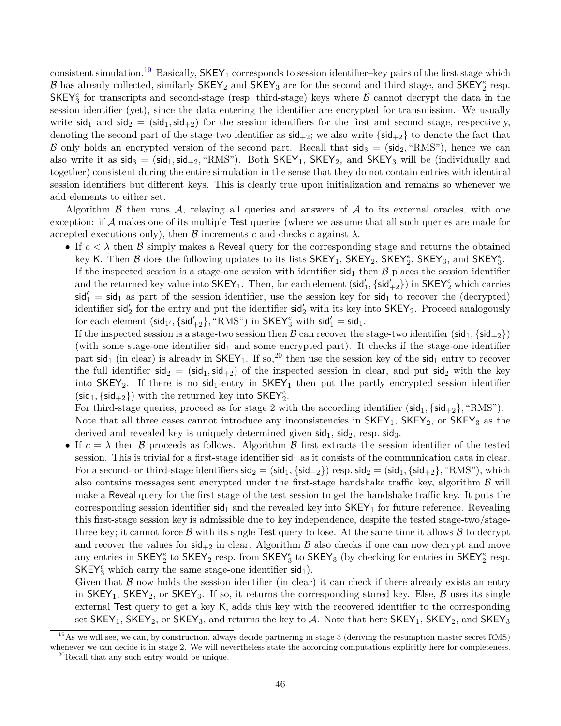consistent simulation.<sup>[19](#page-45-0)</sup> Basically,  $SKEY_1$  corresponds to session identifier–key pairs of the first stage which  $B$  has already collected, similarly  $\mathsf{SKEY}_2$  and  $\mathsf{SKEY}_3$  are for the second and third stage, and  $\mathsf{SKEY}_2^e$  resp.  $SKEY^e_3$  for transcripts and second-stage (resp. third-stage) keys where  $\beta$  cannot decrypt the data in the session identifier (yet), since the data entering the identifier are encrypted for transmission. We usually write  $\text{sid}_1$  and  $\text{sid}_2 = (\text{sid}_1, \text{sid}_2)$  for the session identifiers for the first and second stage, respectively, denoting the second part of the stage-two identifier as  $\text{sid}_{+2}$ ; we also write  $\{\text{sid}_{+2}\}\)$  to denote the fact that B only holds an encrypted version of the second part. Recall that  $sig_3 = (sid_2, "RMS"),$  hence we can also write it as  $\text{sid}_3 = (\text{sid}_1, \text{sid}_{+2}, \text{``RMS''}).$  Both  $\text{SKEY}_1$ ,  $\text{SKEY}_2$ , and  $\text{SKEY}_3$  will be (individually and together) consistent during the entire simulation in the sense that they do not contain entries with identical session identifiers but different keys. This is clearly true upon initialization and remains so whenever we add elements to either set.

Algorithm  $\beta$  then runs  $\mathcal{A}$ , relaying all queries and answers of  $\mathcal{A}$  to its external oracles, with one exception: if  $A$  makes one of its multiple Test queries (where we assume that all such queries are made for accepted executions only), then  $\beta$  increments *c* and checks *c* against  $\lambda$ .

• If  $c < \lambda$  then  $\beta$  simply makes a Reveal query for the corresponding stage and returns the obtained key K. Then  $\mathcal B$  does the following updates to its lists  $\mathsf{SKEY}_1$ ,  $\mathsf{SKEY}_2$ ,  $\mathsf{SKEY}_2^e$ ,  $\mathsf{SKEY}_3$ , and  $\mathsf{SKEY}_3^e$ .

If the inspected session is a stage-one session with identifier  $sid_1$  then  $\beta$  places the session identifier and the returned key value into  $\mathsf{SKEY}_1$ . Then, for each element  $(\mathsf{sid}'_1,\{\mathsf{sid}'_{+2}\})$  in  $\mathsf{SKEY}^e_2$  which carries  $\mathsf{sid}_1' = \mathsf{sid}_1$  as part of the session identifier, use the session key for  $\mathsf{sid}_1$  to recover the (decrypted) identifier sid<sub>2</sub> for the entry and put the identifier sid<sub>2</sub> with its key into  $\mathsf{SKEY}_2$ . Proceed analogously for each element  $(\mathsf{sid}_{1'}, \{\mathsf{sid}_{+2}'\}, \text{``RMS''})$  in  $\mathsf{SKEY}^e_3$  with  $\mathsf{sid}_1' = \mathsf{sid}_1$ .

If the inspected session is a stage-two session then B can recover the stage-two identifier (sid<sub>1</sub>, {sid<sub>+2</sub>}) (with some stage-one identifier  $sid<sub>1</sub>$  and some encrypted part). It checks if the stage-one identifier part sid<sub>1</sub> (in clear) is already in  $SKEY_1$ . If so,<sup>[20](#page-45-1)</sup> then use the session key of the sid<sub>1</sub> entry to recover the full identifier  $\text{sid}_2 = (\text{sid}_1, \text{sid}_2)$  of the inspected session in clear, and put  $\text{sid}_2$  with the key into  $SKEY_2$ . If there is no  $sid_1$ -entry in  $SKEY_1$  then put the partly encrypted session identifier  $(\mathsf{sid}_1, \{\mathsf{sid}_{+2}\})$  with the returned key into  $\mathsf{SKEY}_2^e.$ 

For third-stage queries, proceed as for stage 2 with the according identifier ( $\text{sid}_1$ ,  $\{\text{sid}_+2\}$ , "RMS"). Note that all three cases cannot introduce any inconsistencies in  $SKEY_1$ ,  $SKEY_2$ , or  $SKEY_3$  as the derived and revealed key is uniquely determined given  $sid_1$ ,  $sid_2$ , resp.  $sid_3$ .

If  $c = \lambda$  then B proceeds as follows. Algorithm B first extracts the session identifier of the tested session. This is trivial for a first-stage identifier  $sid_1$  as it consists of the communication data in clear. For a second- or third-stage identifiers  $sig_2 = (sid_1, {sid_{+2}})$  resp.  $sig_2 = (sid_1, {sid_{+2}})$ , "RMS"), which also contains messages sent encrypted under the first-stage handshake traffic key, algorithm  $\beta$  will make a Reveal query for the first stage of the test session to get the handshake traffic key. It puts the corresponding session identifier  $sid_1$  and the revealed key into  $SKEY_1$  for future reference. Revealing this first-stage session key is admissible due to key independence, despite the tested stage-two/stagethree key; it cannot force  $\beta$  with its single Test query to lose. At the same time it allows  $\beta$  to decrypt and recover the values for  $\text{sid}_{+2}$  in clear. Algorithm  $\beta$  also checks if one can now decrypt and move any entries in  $\mathsf{SKEY}^e_2$  to  $\mathsf{SKEY}_2$  resp. from  $\mathsf{SKEY}^e_3$  to  $\mathsf{SKEY}_3$  (by checking for entries in  $\mathsf{SKEY}^e_2$  resp.  ${\sf SKEY}_3^e$  which carry the same stage-one identifier  $\mathsf{sid}_1$ ).

Given that  $\beta$  now holds the session identifier (in clear) it can check if there already exists an entry in SKEY<sub>1</sub>, SKEY<sub>2</sub>, or SKEY<sub>3</sub>. If so, it returns the corresponding stored key. Else,  $\beta$  uses its single external Test query to get a key K, adds this key with the recovered identifier to the corresponding set  $SKEY_1$ ,  $SKEY_2$ , or  $SKEY_3$ , and returns the key to  $A$ . Note that here  $SKEY_1$ ,  $SKEY_2$ , and  $SKEY_3$ 

<span id="page-45-1"></span><span id="page-45-0"></span> $^{19}$ As we will see, we can, by construction, always decide partnering in stage 3 (deriving the resumption master secret RMS) whenever we can decide it in stage 2. We will nevertheless state the according computations explicitly here for completeness. <sup>20</sup>Recall that any such entry would be unique.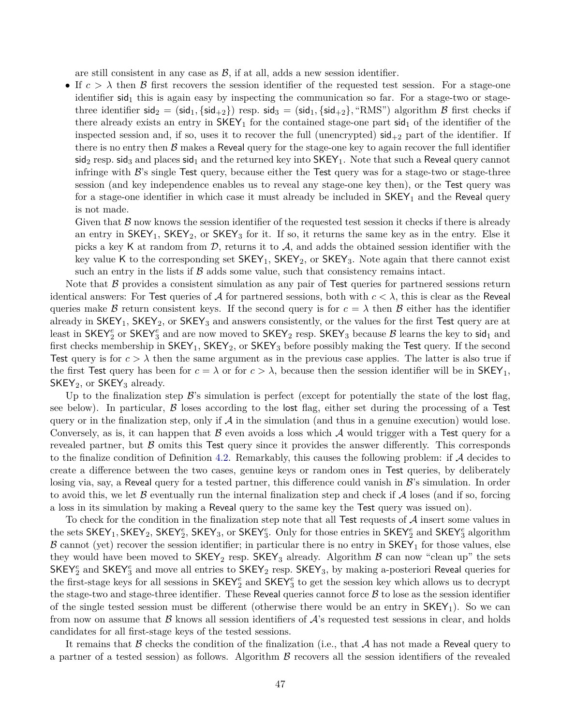are still consistent in any case as  $\mathcal{B}$ , if at all, adds a new session identifier.

• If  $c > \lambda$  then B first recovers the session identifier of the requested test session. For a stage-one identifier  $sid_1$  this is again easy by inspecting the communication so far. For a stage-two or stagethree identifier  $sig_2 = (sid_1, {sid_{+2}})$  resp.  $sid_3 = (sid_1, {sid_{+2}}), "RMS")$  algorithm  $\beta$  first checks if there already exists an entry in  $SKEY_1$  for the contained stage-one part sid<sub>1</sub> of the identifier of the inspected session and, if so, uses it to recover the full (unencrypted)  $\text{sid}_{+2}$  part of the identifier. If there is no entry then  $\beta$  makes a Reveal query for the stage-one key to again recover the full identifier  $sig_2$  resp. sid<sub>3</sub> and places sid<sub>1</sub> and the returned key into  $SKEY_1$ . Note that such a Reveal query cannot infringe with  $\mathcal{B}$ 's single Test query, because either the Test query was for a stage-two or stage-three session (and key independence enables us to reveal any stage-one key then), or the Test query was for a stage-one identifier in which case it must already be included in  $SKEY_1$  and the Reveal query is not made.

Given that  $\beta$  now knows the session identifier of the requested test session it checks if there is already an entry in  $SKEY_1$ ,  $SKEY_2$ , or  $SKEY_3$  for it. If so, it returns the same key as in the entry. Else it picks a key K at random from  $\mathcal{D}$ , returns it to  $\mathcal{A}$ , and adds the obtained session identifier with the key value K to the corresponding set  $SKEY_1$ ,  $SKEY_2$ , or  $SKEY_3$ . Note again that there cannot exist such an entry in the lists if  $\beta$  adds some value, such that consistency remains intact.

Note that  $\beta$  provides a consistent simulation as any pair of Test queries for partnered sessions return identical answers: For Test queries of A for partnered sessions, both with  $c < \lambda$ , this is clear as the Reveal queries make B return consistent keys. If the second query is for  $c = \lambda$  then B either has the identifier already in  $SKEY_1$ ,  $SKEY_2$ , or  $SKEY_3$  and answers consistently, or the values for the first Test query are at least in  $\mathsf{SKEY}_2^e$  or  $\mathsf{SKEY}_3^e$  and are now moved to  $\mathsf{SKEY}_2$  resp.  $\mathsf{SKEY}_3$  because  $\mathcal B$  learns the key to sid<sub>1</sub> and first checks membership in  $SKEY_1$ ,  $SKEY_2$ , or  $SKEY_3$  before possibly making the Test query. If the second Test query is for  $c > \lambda$  then the same argument as in the previous case applies. The latter is also true if the first Test query has been for  $c = \lambda$  or for  $c > \lambda$ , because then the session identifier will be in SKEY<sub>1</sub>,  $SKEY_2$ , or  $SKEY_3$  already.

Up to the finalization step  $\mathcal{B}$ 's simulation is perfect (except for potentially the state of the lost flag, see below). In particular,  $\beta$  loses according to the lost flag, either set during the processing of a Test query or in the finalization step, only if  $\mathcal A$  in the simulation (and thus in a genuine execution) would lose. Conversely, as is, it can happen that  $\beta$  even avoids a loss which  $\lambda$  would trigger with a Test query for a revealed partner, but  $\beta$  omits this Test query since it provides the answer differently. This corresponds to the finalize condition of Definition [4.2.](#page-18-3) Remarkably, this causes the following problem: if  $\mathcal A$  decides to create a difference between the two cases, genuine keys or random ones in Test queries, by deliberately losing via, say, a Reveal query for a tested partner, this difference could vanish in  $\mathcal{B}'$ 's simulation. In order to avoid this, we let  $\beta$  eventually run the internal finalization step and check if  $\mathcal A$  loses (and if so, forcing a loss in its simulation by making a Reveal query to the same key the Test query was issued on).

To check for the condition in the finalization step note that all Test requests of  $\mathcal A$  insert some values in the sets  $SKEY_1, SKEY_2, SKEY_2^e, SKEY_3, or SKEY_3^e$ . Only for those entries in  $SKEY_2^e$  and  $SKEY_3^e$  algorithm  $\beta$  cannot (yet) recover the session identifier; in particular there is no entry in  $SKEY_1$  for those values, else they would have been moved to  $SKEY_2$  resp.  $SKEY_3$  already. Algorithm  $\beta$  can now "clean up" the sets  $\mathsf{SKEY}_2^e$  and  $\mathsf{SKEY}_3^e$  and move all entries to  $\mathsf{SKEY}_2$  resp.  $\mathsf{SKEY}_3$ , by making a-posteriori Reveal queries for the first-stage keys for all sessions in  $\mathsf{SKEY}^e_2$  and  $\mathsf{SKEY}^e_3$  to get the session key which allows us to decrypt the stage-two and stage-three identifier. These Reveal queries cannot force  $\beta$  to lose as the session identifier of the single tested session must be different (otherwise there would be an entry in  $SKEY_1$ ). So we can from now on assume that  $\beta$  knows all session identifiers of  $\mathcal{A}$ 's requested test sessions in clear, and holds candidates for all first-stage keys of the tested sessions.

It remains that  $\beta$  checks the condition of the finalization (i.e., that  $\mathcal A$  has not made a Reveal query to a partner of a tested session) as follows. Algorithm  $\beta$  recovers all the session identifiers of the revealed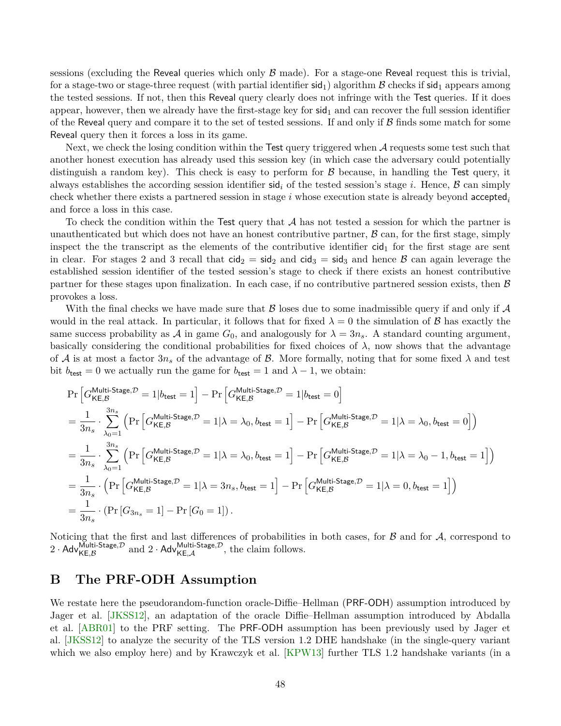<span id="page-47-1"></span>sessions (excluding the Reveal queries which only  $\beta$  made). For a stage-one Reveal request this is trivial, for a stage-two or stage-three request (with partial identifier  $\text{sid}_1$ ) algorithm  $\beta$  checks if  $\text{sid}_1$  appears among the tested sessions. If not, then this Reveal query clearly does not infringe with the Test queries. If it does appear, however, then we already have the first-stage key for  $sid<sub>1</sub>$  and can recover the full session identifier of the Reveal query and compare it to the set of tested sessions. If and only if  $\beta$  finds some match for some Reveal query then it forces a loss in its game.

Next, we check the losing condition within the Test query triggered when  $\mathcal A$  requests some test such that another honest execution has already used this session key (in which case the adversary could potentially distinguish a random key). This check is easy to perform for  $\beta$  because, in handling the Test query, it always establishes the according session identifier  $\text{sid}_i$  of the tested session's stage *i*. Hence,  $\beta$  can simply check whether there exists a partnered session in stage *i* whose execution state is already beyond accepted*<sup>i</sup>* and force a loss in this case.

To check the condition within the Test query that  $A$  has not tested a session for which the partner is unauthenticated but which does not have an honest contributive partner,  $\beta$  can, for the first stage, simply inspect the the transcript as the elements of the contributive identifier  $\text{cid}_1$  for the first stage are sent in clear. For stages 2 and 3 recall that  $\text{cid}_2 = \text{sid}_2$  and  $\text{cid}_3 = \text{sid}_3$  and hence  $\beta$  can again leverage the established session identifier of the tested session's stage to check if there exists an honest contributive partner for these stages upon finalization. In each case, if no contributive partnered session exists, then  $\beta$ provokes a loss.

With the final checks we have made sure that  $\beta$  loses due to some inadmissible query if and only if  $\mathcal A$ would in the real attack. In particular, it follows that for fixed  $\lambda = 0$  the simulation of B has exactly the same success probability as A in game  $G_0$ , and analogously for  $\lambda = 3n_s$ . A standard counting argument, basically considering the conditional probabilities for fixed choices of  $\lambda$ , now shows that the advantage of A is at most a factor  $3n_s$  of the advantage of B. More formally, noting that for some fixed  $\lambda$  and test bit  $b_{\text{test}} = 0$  we actually run the game for  $b_{\text{test}} = 1$  and  $\lambda - 1$ , we obtain:

$$
\Pr\left[G_{\mathsf{KE},\mathcal{B}}^{\mathsf{Multi\text{-}Stage},\mathcal{D}} = 1 | b_{\mathsf{test}} = 1\right] - \Pr\left[G_{\mathsf{KE},\mathcal{B}}^{\mathsf{Multi\text{-}Stage},\mathcal{D}} = 1 | b_{\mathsf{test}} = 0\right]
$$
\n
$$
= \frac{1}{3n_s} \cdot \sum_{\lambda_0=1}^{3n_s} \left(\Pr\left[G_{\mathsf{KE},\mathcal{B}}^{\mathsf{Multi\text{-}Stage},\mathcal{D}} = 1 | \lambda = \lambda_0, b_{\mathsf{test}} = 1\right] - \Pr\left[G_{\mathsf{KE},\mathcal{B}}^{\mathsf{Multi\text{-}Stage},\mathcal{D}} = 1 | \lambda = \lambda_0, b_{\mathsf{test}} = 0\right]\right)
$$
\n
$$
= \frac{1}{3n_s} \cdot \sum_{\lambda_0=1}^{3n_s} \left(\Pr\left[G_{\mathsf{KE},\mathcal{B}}^{\mathsf{Multi\text{-}Stage},\mathcal{D}} = 1 | \lambda = \lambda_0, b_{\mathsf{test}} = 1\right] - \Pr\left[G_{\mathsf{KE},\mathcal{B}}^{\mathsf{Multi\text{-}Stage},\mathcal{D}} = 1 | \lambda = \lambda_0 - 1, b_{\mathsf{test}} = 1\right]\right)
$$
\n
$$
= \frac{1}{3n_s} \cdot \left(\Pr\left[G_{\mathsf{KE},\mathcal{B}}^{\mathsf{Multi\text{-}Stage},\mathcal{D}} = 1 | \lambda = 3n_s, b_{\mathsf{test}} = 1\right] - \Pr\left[G_{\mathsf{KE},\mathcal{B}}^{\mathsf{Multi\text{-}Stage},\mathcal{D}} = 1 | \lambda = 0, b_{\mathsf{test}} = 1\right]\right)
$$
\n
$$
= \frac{1}{3n_s} \cdot \left(\Pr\left[G_{3n_s} = 1\right] - \Pr\left[G_{0} = 1\right]\right).
$$

Noticing that the first and last differences of probabilities in both cases, for  $\beta$  and for  $\mathcal{A}$ , correspond to 2 · Adv $_{\mathsf{KE},\mathcal{B}}^{\mathsf{Multi-Stage},\mathcal{D}}$  and 2 · Adv $_{\mathsf{KE},\mathcal{A}}^{\mathsf{Multi-Stage},\mathcal{D}}$ , the claim follows.

# <span id="page-47-0"></span>**B The PRF-ODH Assumption**

We restate here the pseudorandom-function oracle-Diffie–Hellman (PRF-ODH) assumption introduced by Jager et al. [\[JKSS12\]](#page-43-2), an adaptation of the oracle Diffie–Hellman assumption introduced by Abdalla et al. [\[ABR01\]](#page-41-5) to the PRF setting. The PRF-ODH assumption has been previously used by Jager et al. [\[JKSS12\]](#page-43-2) to analyze the security of the TLS version 1.2 DHE handshake (in the single-query variant which we also employ here) and by Krawczyk et al. [\[KPW13\]](#page-43-5) further TLS 1.2 handshake variants (in a